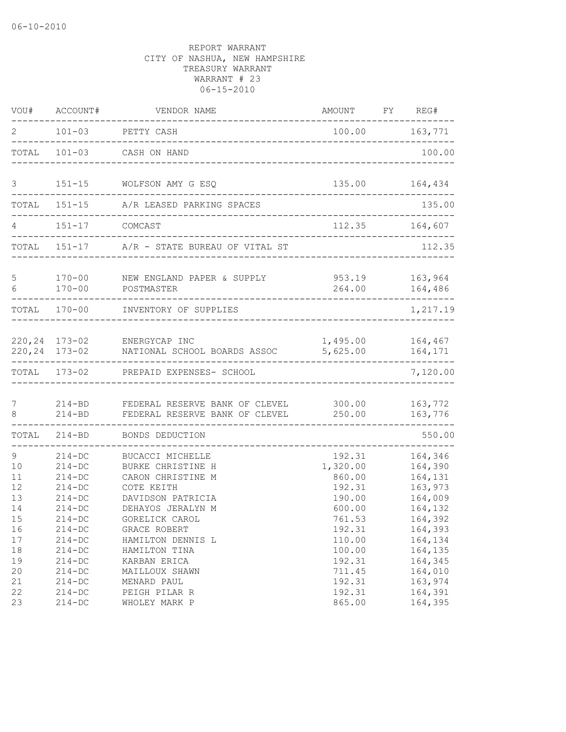| VOU#                       | ACCOUNT#                                                         | VENDOR NAME                                                                                   | AMOUNT FY REG#                                   |                                                     |
|----------------------------|------------------------------------------------------------------|-----------------------------------------------------------------------------------------------|--------------------------------------------------|-----------------------------------------------------|
| $\overline{2}$             |                                                                  | 101-03 PETTY CASH                                                                             |                                                  | 100.00 163,771                                      |
| TOTAL                      |                                                                  | 101-03 CASH ON HAND                                                                           |                                                  | 100.00                                              |
| 3                          |                                                                  | 151-15 WOLFSON AMY G ESQ                                                                      | 135.00                                           | 164,434                                             |
| TOTAL                      |                                                                  | 151-15 A/R LEASED PARKING SPACES<br>--------------------------------                          |                                                  | 135.00                                              |
| 4                          | 151-17 COMCAST                                                   |                                                                                               | 112.35<br>----------------------------           | 164,607                                             |
|                            |                                                                  | TOTAL 151-17 A/R - STATE BUREAU OF VITAL ST                                                   |                                                  | 112.35                                              |
| 5<br>6                     | $170 - 00$<br>$170 - 00$                                         | NEW ENGLAND PAPER & SUPPLY<br>POSTMASTER                                                      | 953.19<br>264.00                                 | 163,964<br>164,486<br>$- - - - -$                   |
|                            |                                                                  | TOTAL 170-00 INVENTORY OF SUPPLIES                                                            |                                                  | 1,217.19                                            |
|                            |                                                                  | 220,24 173-02 ENERGYCAP INC<br>220,24 173-02 NATIONAL SCHOOL BOARDS ASSOC                     | 1,495.00 164,467<br>5,625.00                     | 164,171                                             |
| TOTAL                      |                                                                  | 173-02 PREPAID EXPENSES- SCHOOL                                                               |                                                  | 7,120.00                                            |
| 7<br>8                     | $214 - BD$                                                       | 214-BD FEDERAL RESERVE BANK OF CLEVEL<br>FEDERAL RESERVE BANK OF CLEVEL                       | 300.00<br>250.00                                 | 163,772<br>163,776                                  |
| TOTAL                      | $214 - BD$                                                       | BONDS DEDUCTION                                                                               |                                                  | 550.00                                              |
| 9<br>10<br>11<br>12<br>13  | $214 - DC$<br>$214 - DC$<br>$214-DC$<br>$214 - DC$<br>$214 - DC$ | BUCACCI MICHELLE<br>BURKE CHRISTINE H<br>CARON CHRISTINE M<br>COTE KEITH<br>DAVIDSON PATRICIA | 192.31<br>1,320.00<br>860.00<br>192.31<br>190.00 | 164,346<br>164,390<br>164,131<br>163,973<br>164,009 |
| 14<br>15<br>16<br>17<br>18 | $214 - DC$<br>$214 - DC$<br>$214 - DC$<br>$214-DC$<br>$214 - DC$ | DEHAYOS JERALYN M<br>GORELICK CAROL<br>GRACE ROBERT<br>HAMILTON DENNIS L<br>HAMILTON TINA     | 600.00<br>761.53<br>192.31<br>110.00<br>100.00   | 164,132<br>164,392<br>164,393<br>164,134<br>164,135 |
| 19<br>20<br>21<br>22<br>23 | $214-DC$<br>$214 - DC$<br>$214-DC$<br>$214 - DC$<br>$214-DC$     | KARBAN ERICA<br>MAILLOUX SHAWN<br>MENARD PAUL<br>PEIGH PILAR R<br>WHOLEY MARK P               | 192.31<br>711.45<br>192.31<br>192.31<br>865.00   | 164,345<br>164,010<br>163,974<br>164,391<br>164,395 |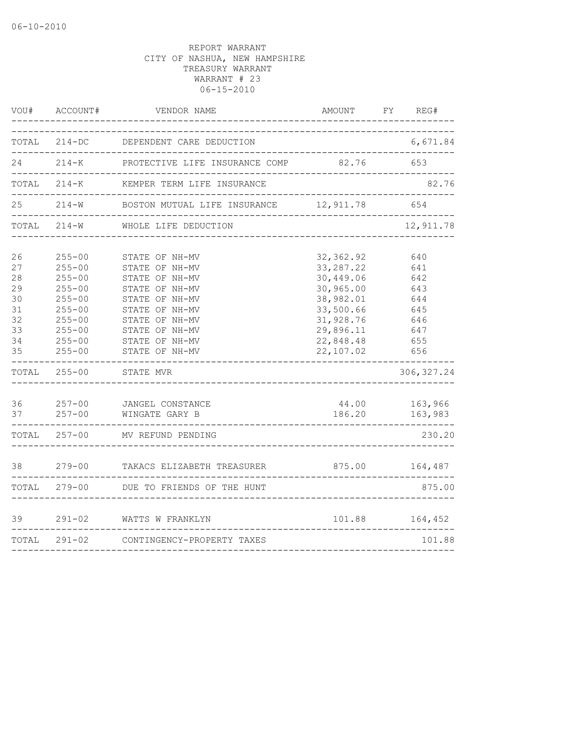| WOU#                                               | ACCOUNT#                                                                                                                   | VENDOR NAME                                                                                                                                                    | AMOUNT                                                                                                              | FY | REG#                                                        |
|----------------------------------------------------|----------------------------------------------------------------------------------------------------------------------------|----------------------------------------------------------------------------------------------------------------------------------------------------------------|---------------------------------------------------------------------------------------------------------------------|----|-------------------------------------------------------------|
| TOTAL                                              | $214-DC$                                                                                                                   | DEPENDENT CARE DEDUCTION                                                                                                                                       |                                                                                                                     |    | 6,671.84                                                    |
| 24                                                 | $214 - K$                                                                                                                  | PROTECTIVE LIFE INSURANCE COMP                                                                                                                                 | 82.76                                                                                                               |    | 653                                                         |
|                                                    | ------------------                                                                                                         | TOTAL 214-K KEMPER TERM LIFE INSURANCE                                                                                                                         | _____________________________________<br>. _ _ _ _ _ _ _ _ _ _ _ _ _ _ _ _ _ _                                      |    | 82.76                                                       |
| 25                                                 |                                                                                                                            | 214-W BOSTON MUTUAL LIFE INSURANCE 12,911.78<br>------------------------------------                                                                           |                                                                                                                     |    | 654                                                         |
|                                                    | TOTAL 214-W                                                                                                                | WHOLE LIFE DEDUCTION                                                                                                                                           |                                                                                                                     |    | 12,911.78                                                   |
| 26<br>27<br>28<br>29<br>30<br>31<br>32<br>33<br>34 | $255 - 00$<br>$255 - 00$<br>$255 - 00$<br>$255 - 00$<br>$255 - 00$<br>$255 - 00$<br>$255 - 00$<br>$255 - 00$<br>$255 - 00$ | STATE OF NH-MV<br>STATE OF NH-MV<br>STATE OF NH-MV<br>STATE OF NH-MV<br>STATE OF NH-MV<br>STATE OF NH-MV<br>STATE OF NH-MV<br>STATE OF NH-MV<br>STATE OF NH-MV | 32, 362.92<br>33, 287.22<br>30,449.06<br>30,965.00<br>38,982.01<br>33,500.66<br>31,928.76<br>29,896.11<br>22,848.48 |    | 640<br>641<br>642<br>643<br>644<br>645<br>646<br>647<br>655 |
| 35                                                 | $255 - 00$                                                                                                                 | STATE OF NH-MV                                                                                                                                                 | 22,107.02                                                                                                           |    | 656                                                         |
|                                                    | TOTAL 255-00                                                                                                               | STATE MVR<br>__________________________                                                                                                                        |                                                                                                                     |    | 306, 327.24                                                 |
| 36                                                 | $257 - 00$<br>$37$ $257 - 00$                                                                                              | JANGEL CONSTANCE<br>WINGATE GARY B                                                                                                                             | 44.00<br>186.20                                                                                                     |    | 163,966<br>163,983                                          |
|                                                    | TOTAL 257-00                                                                                                               | MV REFUND PENDING                                                                                                                                              |                                                                                                                     |    | 230.20                                                      |
| 38                                                 |                                                                                                                            | 279-00 TAKACS ELIZABETH TREASURER 875.00                                                                                                                       |                                                                                                                     |    | 164,487                                                     |
|                                                    |                                                                                                                            | TOTAL 279-00 DUE TO FRIENDS OF THE HUNT                                                                                                                        |                                                                                                                     |    | 875.00                                                      |
| 39                                                 |                                                                                                                            | 291-02 WATTS W FRANKLYN                                                                                                                                        |                                                                                                                     |    | 101.88    164,452                                           |
|                                                    | TOTAL 291-02                                                                                                               | CONTINGENCY-PROPERTY TAXES                                                                                                                                     |                                                                                                                     |    | 101.88                                                      |
|                                                    |                                                                                                                            |                                                                                                                                                                |                                                                                                                     |    |                                                             |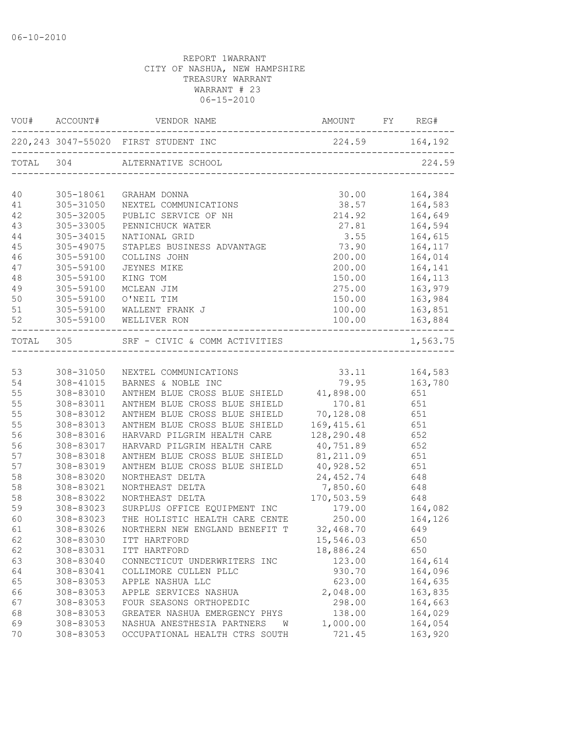|          | VOU# ACCOUNT#                | VENDOR NAME                                                                    | AMOUNT FY REG# |     |                |
|----------|------------------------------|--------------------------------------------------------------------------------|----------------|-----|----------------|
|          |                              | 220, 243 3047-55020 FIRST STUDENT INC                                          |                |     |                |
|          |                              | TOTAL 304 ALTERNATIVE SCHOOL                                                   |                |     | 224.59         |
| 40       | 305-18061                    | GRAHAM DONNA                                                                   | 30.00          |     | 164,384        |
| 41       | 305-31050                    | NEXTEL COMMUNICATIONS                                                          | 38.57          |     | 164,583        |
| 42       | 305-32005                    | PUBLIC SERVICE OF NH                                                           | 214.92         |     | 164,649        |
| 43       | 305-33005                    | PENNICHUCK WATER                                                               | 27.81          |     | 164,594        |
| 44       | 305-34015                    | NATIONAL GRID                                                                  | 3.55           |     | 164,615        |
| 45       | 305-49075                    | STAPLES BUSINESS ADVANTAGE 73.90                                               |                |     | 164,117        |
| 46       | 305-59100                    | COLLINS JOHN                                                                   | 200.00         |     | 164,014        |
| 47       | 305-59100                    | <b>JEYNES MIKE</b>                                                             | 200.00         |     | 164,141        |
| 48       | 305-59100                    | KING TOM                                                                       | 150.00         |     | 164,113        |
| 49       | 305-59100                    | MCLEAN JIM                                                                     | 275.00         |     | 163,979        |
| 50       | 305-59100                    | O'NEIL TIM                                                                     | 150.00         |     | 163,984        |
| 51       | 305-59100                    | WALLENT FRANK J                                                                | 100.00         |     | 163,851        |
| 52       | ---------------------------- | 305-59100 WELLIVER RON                                                         |                |     | ______________ |
|          |                              | TOTAL 305 SRF - CIVIC & COMM ACTIVITIES<br>----------------------------------- |                |     | 1,563.75       |
|          |                              |                                                                                |                |     |                |
| 53       | 308-31050                    | NEXTEL COMMUNICATIONS                                                          | 33.11          |     | 164,583        |
| 54       | 308-41015                    | BARNES & NOBLE INC                                                             | 79.95          |     | 163,780        |
| 55       | 308-83010                    | ANTHEM BLUE CROSS BLUE SHIELD 41,898.00                                        |                |     | 651<br>651     |
| 55<br>55 | 308-83011<br>308-83012       | ANTHEM BLUE CROSS BLUE SHIELD<br>ANTHEM BLUE CROSS BLUE SHIELD 70,128.08 651   | 170.81         |     |                |
| 55       | 308-83013                    | ANTHEM BLUE CROSS BLUE SHIELD                                                  | 169, 415.61    | 651 |                |
| 56       | 308-83016                    | HARVARD PILGRIM HEALTH CARE                                                    | 128,290.48     | 652 |                |
| 56       | 308-83017                    | HARVARD PILGRIM HEALTH CARE                                                    | 40,751.89      |     | 652            |
| 57       | 308-83018                    | ANTHEM BLUE CROSS BLUE SHIELD                                                  | 81,211.09      |     | 651            |
| 57       | 308-83019                    | ANTHEM BLUE CROSS BLUE SHIELD                                                  | 40,928.52      |     | 651            |
| 58       | 308-83020                    | NORTHEAST DELTA                                                                | 24,452.74      |     | 648            |
| 58       | 308-83021                    | NORTHEAST DELTA                                                                | 7,850.60       |     | 648            |
| 58       | 308-83022                    | NORTHEAST DELTA                                                                | 170,503.59     |     | 648            |
| 59       | 308-83023                    | SURPLUS OFFICE EQUIPMENT INC                                                   | 179.00         |     | 164,082        |
| 60       | 308-83023                    | THE HOLISTIC HEALTH CARE CENTE                                                 | 250.00         |     | 164,126        |
| 61       | 308-83026                    | NORTHERN NEW ENGLAND BENEFIT T 32,468.70                                       |                |     | 649            |
| 62       | 308-83030                    | ITT HARTFORD                                                                   | 15,546.03      |     | 650            |
| 62       | 308-83031                    | ITT HARTFORD                                                                   | 18,886.24      |     | 650            |
| 63       | 308-83040                    | CONNECTICUT UNDERWRITERS INC                                                   | 123.00         |     | 164,614        |
| 64       | 308-83041                    | COLLIMORE CULLEN PLLC                                                          | 930.70         |     | 164,096        |
| 65       | 308-83053                    | APPLE NASHUA LLC                                                               | 623.00         |     | 164,635        |
| 66       | 308-83053                    | APPLE SERVICES NASHUA                                                          | 2,048.00       |     | 163,835        |
| 67       | 308-83053                    | FOUR SEASONS ORTHOPEDIC                                                        | 298.00         |     | 164,663        |
| 68       | 308-83053                    | GREATER NASHUA EMERGENCY PHYS                                                  | 138.00         |     | 164,029        |
| 69       | 308-83053                    | NASHUA ANESTHESIA PARTNERS<br>W                                                | 1,000.00       |     | 164,054        |
| 70       | 308-83053                    | OCCUPATIONAL HEALTH CTRS SOUTH                                                 | 721.45         |     | 163,920        |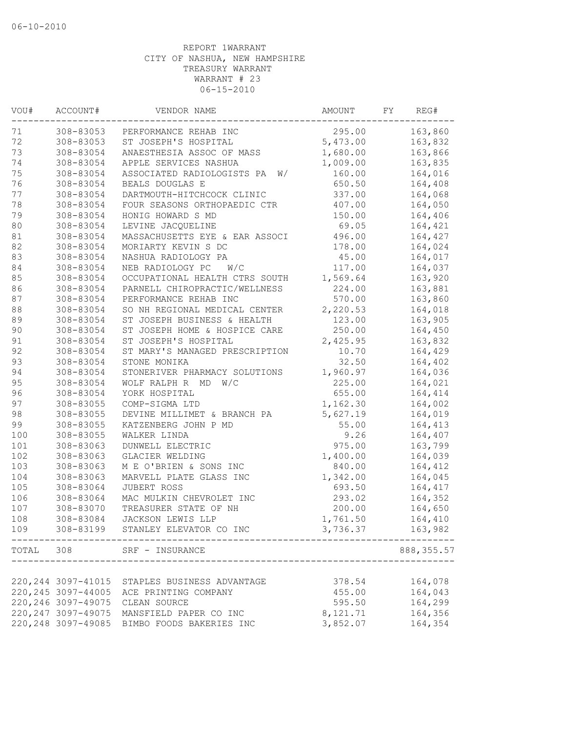| VOU#   | ACCOUNT#            | VENDOR NAME                       | AMOUNT           | FΥ | REG#       |
|--------|---------------------|-----------------------------------|------------------|----|------------|
| 71     | 308-83053           | PERFORMANCE REHAB INC             | 295.00           |    | 163,860    |
| 72     | 308-83053           | ST JOSEPH'S HOSPITAL              | 5,473.00         |    | 163,832    |
| 73     | 308-83054           | ANAESTHESIA ASSOC OF MASS         | 1,680.00         |    | 163,866    |
| 74     | 308-83054           | APPLE SERVICES NASHUA             | 1,009.00         |    | 163,835    |
| 75     | 308-83054           | ASSOCIATED RADIOLOGISTS PA<br>W/  | 160.00           |    | 164,016    |
| 76     | 308-83054           | BEALS DOUGLAS E                   | 650.50           |    | 164,408    |
| 77     | 308-83054           | DARTMOUTH-HITCHCOCK CLINIC        | 337.00           |    | 164,068    |
| 78     | 308-83054           | FOUR SEASONS ORTHOPAEDIC CTR      | 407.00           |    | 164,050    |
| 79     | 308-83054           | HONIG HOWARD S MD                 | 150.00           |    | 164,406    |
| $80\,$ | 308-83054           | LEVINE JACQUELINE                 | 69.05            |    | 164,421    |
| 81     | 308-83054           | MASSACHUSETTS EYE & EAR ASSOCI    | 496.00           |    | 164,427    |
| 82     | 308-83054           | MORIARTY KEVIN S DC               | 178.00           |    | 164,024    |
| 83     | 308-83054           | NASHUA RADIOLOGY PA               | 45.00            |    | 164,017    |
| 84     | 308-83054           | NEB RADIOLOGY PC<br>W/C           | 117.00           |    | 164,037    |
| 85     | 308-83054           | OCCUPATIONAL HEALTH CTRS SOUTH    | 1,569.64         |    | 163,920    |
| 86     | 308-83054           | PARNELL CHIROPRACTIC/WELLNESS     | 224.00           |    | 163,881    |
| $8\,7$ | 308-83054           | PERFORMANCE REHAB INC             | 570.00           |    | 163,860    |
| $8\,8$ | 308-83054           | SO NH REGIONAL MEDICAL CENTER     | 2,220.53         |    | 164,018    |
| 89     | 308-83054           | ST JOSEPH BUSINESS & HEALTH       | 123.00           |    | 163,905    |
| 90     | 308-83054           | ST JOSEPH HOME & HOSPICE CARE     | 250.00           |    | 164,450    |
| 91     | 308-83054           | ST JOSEPH'S HOSPITAL              | 2,425.95         |    | 163,832    |
| 92     | 308-83054           | ST MARY'S MANAGED PRESCRIPTION    | 10.70            |    | 164,429    |
| 93     | 308-83054           | STONE MONIKA                      | 32.50            |    | 164,402    |
| 94     | 308-83054           | STONERIVER PHARMACY SOLUTIONS     | 1,960.97         |    | 164,036    |
| 95     | 308-83054           | WOLF RALPH R MD<br>W/C            | 225.00           |    | 164,021    |
| 96     | 308-83054           | YORK HOSPITAL                     | 655.00           |    | 164,414    |
| 97     | 308-83055           | COMP-SIGMA LTD                    | 1,162.30         |    | 164,002    |
| 98     | 308-83055           | DEVINE MILLIMET & BRANCH PA       | 5,627.19         |    | 164,019    |
| 99     | 308-83055           | KATZENBERG JOHN P MD              | 55.00            |    | 164,413    |
| 100    |                     |                                   |                  |    |            |
|        | 308-83055           | WALKER LINDA                      | 9.26             |    | 164,407    |
| 101    | 308-83063           | DUNWELL ELECTRIC                  | 975.00           |    | 163,799    |
| 102    | 308-83063           | GLACIER WELDING                   | 1,400.00         |    | 164,039    |
| 103    | 308-83063           | M E O'BRIEN & SONS INC            | 840.00           |    | 164,412    |
| 104    | 308-83063           | MARVELL PLATE GLASS INC           | 1,342.00         |    | 164,045    |
| 105    | 308-83064           | JUBERT ROSS                       | 693.50           |    | 164,417    |
| 106    | 308-83064           | MAC MULKIN CHEVROLET INC          | 293.02           |    | 164,352    |
| 107    | 308-83070           | TREASURER STATE OF NH             | 200.00           |    | 164,650    |
| 108    | 308-83084           | JACKSON LEWIS LLP                 | 1,761.50         |    | 164,410    |
| 109    |                     | 308-83199 STANLEY ELEVATOR CO INC | 3,736.37 163,982 |    |            |
|        |                     | TOTAL 308 SRF - INSURANCE         |                  |    | 888,355.57 |
|        |                     |                                   |                  |    |            |
|        | 220, 244 3097-41015 | STAPLES BUSINESS ADVANTAGE        | 378.54           |    | 164,078    |
|        | 220, 245 3097-44005 | ACE PRINTING COMPANY              | 455.00           |    | 164,043    |
|        | 220, 246 3097-49075 | CLEAN SOURCE                      | 595.50           |    | 164,299    |
|        | 220, 247 3097-49075 | MANSFIELD PAPER CO INC            | 8,121.71         |    | 164,356    |
|        | 220, 248 3097-49085 | BIMBO FOODS BAKERIES INC          | 3,852.07         |    | 164,354    |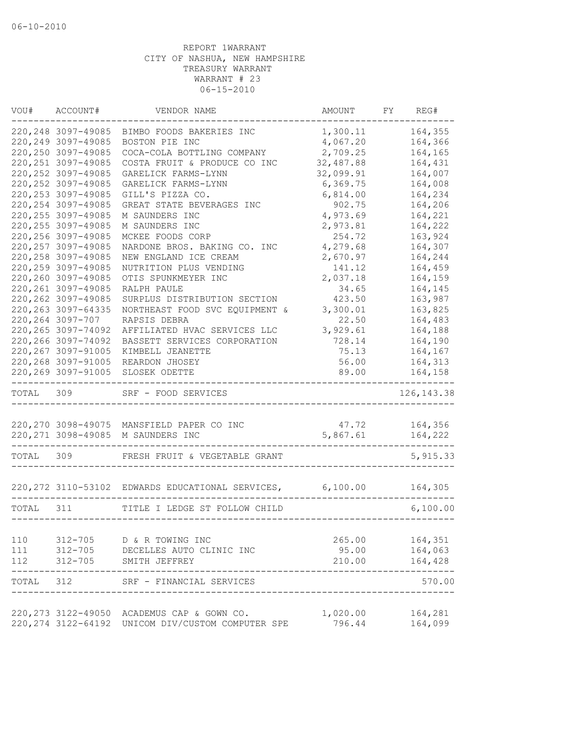| VOU#      | ACCOUNT#            | VENDOR NAME                                               | AMOUNT    | FY | REG#        |
|-----------|---------------------|-----------------------------------------------------------|-----------|----|-------------|
|           | 220, 248 3097-49085 | BIMBO FOODS BAKERIES INC                                  | 1,300.11  |    | 164,355     |
|           | 220, 249 3097-49085 | BOSTON PIE INC                                            | 4,067.20  |    | 164,366     |
|           | 220, 250 3097-49085 | COCA-COLA BOTTLING COMPANY                                | 2,709.25  |    | 164,165     |
|           | 220, 251 3097-49085 | COSTA FRUIT & PRODUCE CO INC                              | 32,487.88 |    | 164,431     |
|           | 220, 252 3097-49085 | GARELICK FARMS-LYNN                                       | 32,099.91 |    | 164,007     |
|           | 220, 252 3097-49085 | GARELICK FARMS-LYNN                                       | 6,369.75  |    | 164,008     |
|           | 220, 253 3097-49085 | GILL'S PIZZA CO.                                          | 6,814.00  |    | 164,234     |
|           | 220, 254 3097-49085 | GREAT STATE BEVERAGES INC                                 | 902.75    |    | 164,206     |
|           | 220, 255 3097-49085 | M SAUNDERS INC                                            | 4,973.69  |    | 164,221     |
|           | 220, 255 3097-49085 | M SAUNDERS INC                                            | 2,973.81  |    | 164,222     |
|           | 220, 256 3097-49085 | MCKEE FOODS CORP                                          | 254.72    |    | 163,924     |
|           | 220, 257 3097-49085 | NARDONE BROS. BAKING CO. INC                              | 4,279.68  |    | 164,307     |
|           | 220, 258 3097-49085 | NEW ENGLAND ICE CREAM                                     | 2,670.97  |    | 164,244     |
|           | 220, 259 3097-49085 | NUTRITION PLUS VENDING                                    | 141.12    |    | 164,459     |
|           | 220,260 3097-49085  | OTIS SPUNKMEYER INC                                       | 2,037.18  |    | 164,159     |
|           | 220, 261 3097-49085 | RALPH PAULE                                               | 34.65     |    | 164,145     |
|           | 220, 262 3097-49085 | SURPLUS DISTRIBUTION SECTION                              | 423.50    |    | 163,987     |
|           | 220, 263 3097-64335 | NORTHEAST FOOD SVC EQUIPMENT &                            | 3,300.01  |    | 163,825     |
|           | 220, 264 3097-707   | RAPSIS DEBRA                                              | 22.50     |    | 164,483     |
|           | 220, 265 3097-74092 | AFFILIATED HVAC SERVICES LLC                              | 3,929.61  |    | 164,188     |
|           | 220, 266 3097-74092 | BASSETT SERVICES CORPORATION                              | 728.14    |    | 164,190     |
|           | 220, 267 3097-91005 | KIMBELL JEANETTE                                          | 75.13     |    | 164,167     |
|           | 220, 268 3097-91005 | REARDON JHOSEY                                            | 56.00     |    | 164,313     |
|           | 220, 269 3097-91005 | SLOSEK ODETTE                                             | 89.00     |    | 164,158     |
| TOTAL 309 |                     | SRF - FOOD SERVICES                                       |           |    | 126, 143.38 |
|           |                     | 220, 270 3098-49075 MANSFIELD PAPER CO INC                | 47.72     |    | 164,356     |
|           |                     | 220, 271 3098-49085 M SAUNDERS INC                        | 5,867.61  |    | 164,222     |
|           |                     |                                                           |           |    |             |
| TOTAL     | 309                 | FRESH FRUIT & VEGETABLE GRANT                             |           |    | 5, 915.33   |
|           |                     | 220,272 3110-53102 EDWARDS EDUCATIONAL SERVICES, 6,100.00 |           |    | 164,305     |
| TOTAL 311 |                     | TITLE I LEDGE ST FOLLOW CHILD                             |           |    | 6,100.00    |
|           |                     |                                                           |           |    |             |
| 110       |                     | 312-705 D & R TOWING INC                                  | 265.00    |    | 164,351     |
| 111       |                     | 312-705 DECELLES AUTO CLINIC INC                          | 95.00     |    | 164,063     |
| 112       | 312-705             | SMITH JEFFREY                                             | 210.00    |    | 164,428     |
| TOTAL 312 |                     | SRF - FINANCIAL SERVICES                                  |           |    | 570.00      |
|           |                     | 220, 273 3122-49050 ACADEMUS CAP & GOWN CO.               | 1,020.00  |    | 164,281     |
|           |                     | 220, 274 3122-64192 UNICOM DIV/CUSTOM COMPUTER SPE        | 796.44    |    | 164,099     |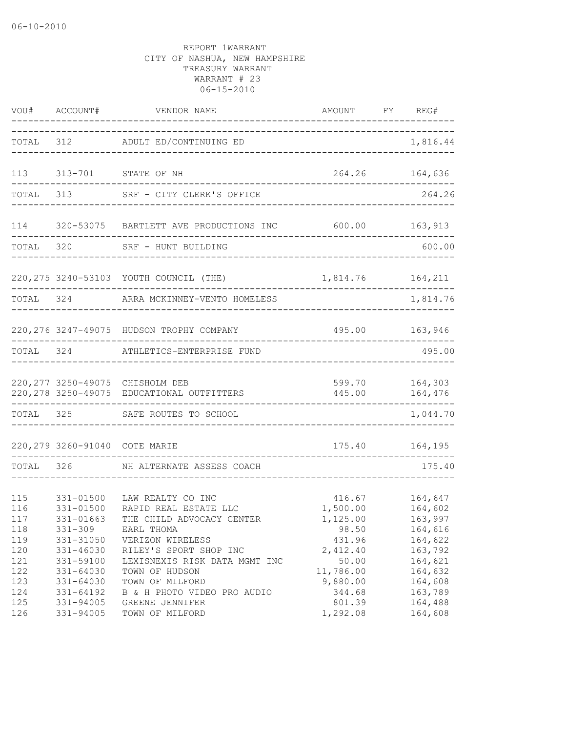|                                               | VOU# ACCOUNT#                                                                             | VENDOR NAME                                                                                                                                                          | AMOUNT FY REG#                                                         |                                                                           |
|-----------------------------------------------|-------------------------------------------------------------------------------------------|----------------------------------------------------------------------------------------------------------------------------------------------------------------------|------------------------------------------------------------------------|---------------------------------------------------------------------------|
|                                               |                                                                                           | TOTAL 312 ADULT ED/CONTINUING ED                                                                                                                                     | _____________________                                                  | 1,816.44                                                                  |
| 113                                           |                                                                                           | 313-701 STATE OF NH                                                                                                                                                  |                                                                        | 264.26 164,636                                                            |
| TOTAL                                         |                                                                                           | 313 SRF - CITY CLERK'S OFFICE                                                                                                                                        |                                                                        | 264.26                                                                    |
| 114                                           |                                                                                           | 320-53075 BARTLETT AVE PRODUCTIONS INC 600.00 163,913                                                                                                                |                                                                        |                                                                           |
| TOTAL 320                                     |                                                                                           | SRF - HUNT BUILDING                                                                                                                                                  | ______________________________                                         | 600.00                                                                    |
|                                               |                                                                                           | 220, 275 3240-53103 YOUTH COUNCIL (THE)                                                                                                                              | 1,814.76 164,211                                                       |                                                                           |
| TOTAL 324                                     |                                                                                           | ARRA MCKINNEY-VENTO HOMELESS                                                                                                                                         |                                                                        | 1,814.76                                                                  |
|                                               |                                                                                           | 220, 276 3247-49075 HUDSON TROPHY COMPANY                                                                                                                            | 495.00 163,946                                                         |                                                                           |
| TOTAL 324                                     |                                                                                           | ATHLETICS-ENTERPRISE FUND                                                                                                                                            |                                                                        | 495.00                                                                    |
|                                               |                                                                                           | 220, 277 3250-49075 CHISHOLM DEB<br>220,278 3250-49075 EDUCATIONAL OUTFITTERS                                                                                        | 445.00                                                                 | 599.70 164,303<br>164,476<br>. _ _ _ _ _ _ _ .                            |
|                                               |                                                                                           | TOTAL 325 SAFE ROUTES TO SCHOOL                                                                                                                                      |                                                                        | 1,044.70                                                                  |
|                                               | 220, 279 3260-91040 COTE MARIE                                                            |                                                                                                                                                                      |                                                                        | 175.40    164,195                                                         |
| TOTAL                                         |                                                                                           | 326 NH ALTERNATE ASSESS COACH                                                                                                                                        |                                                                        | 175.40                                                                    |
| 115<br>116<br>117<br>118<br>119<br>120<br>121 | 331-01500<br>331-01500<br>331-01663<br>$331 - 309$<br>331-31050<br>331-46030<br>331-59100 | LAW REALTY CO INC<br>RAPID REAL ESTATE LLC<br>THE CHILD ADVOCACY CENTER<br>EARL THOMA<br>VERIZON WIRELESS<br>RILEY'S SPORT SHOP INC<br>LEXISNEXIS RISK DATA MGMT INC | 416.67<br>1,500.00<br>1,125.00<br>98.50<br>431.96<br>2,412.40<br>50.00 | 164,647<br>164,602<br>163,997<br>164,616<br>164,622<br>163,792<br>164,621 |
| 122<br>123<br>124<br>125<br>126               | 331-64030<br>331-64030<br>331-64192<br>331-94005<br>331-94005                             | TOWN OF HUDSON<br>TOWN OF MILFORD<br>B & H PHOTO VIDEO PRO AUDIO<br>GREENE JENNIFER<br>TOWN OF MILFORD                                                               | 11,786.00<br>9,880.00<br>344.68<br>801.39<br>1,292.08                  | 164,632<br>164,608<br>163,789<br>164,488<br>164,608                       |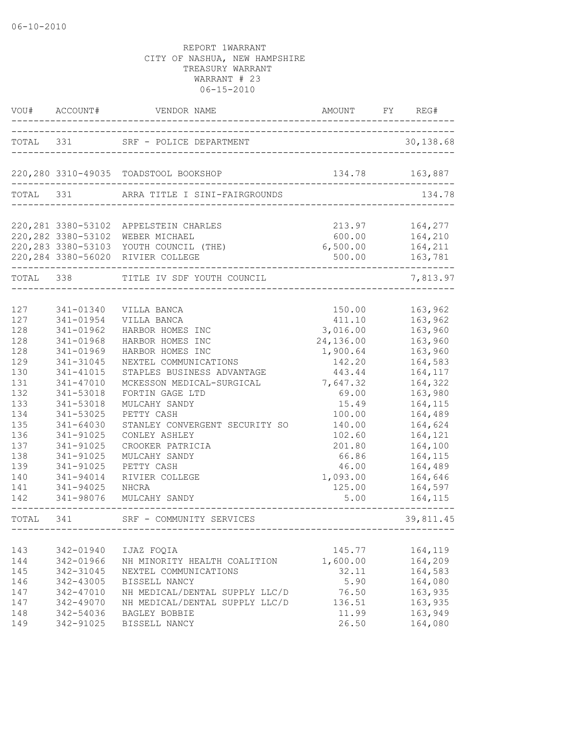| VOU#                                                                                                                              | ACCOUNT#                                                                                                                                                                                                                                            | VENDOR NAME<br>_________________                                                                                                                                                                                                                                                                                                                                               | AMOUNT                                                                                                                                                                                          | FY | REG#                                                                                                                                                                                                          |
|-----------------------------------------------------------------------------------------------------------------------------------|-----------------------------------------------------------------------------------------------------------------------------------------------------------------------------------------------------------------------------------------------------|--------------------------------------------------------------------------------------------------------------------------------------------------------------------------------------------------------------------------------------------------------------------------------------------------------------------------------------------------------------------------------|-------------------------------------------------------------------------------------------------------------------------------------------------------------------------------------------------|----|---------------------------------------------------------------------------------------------------------------------------------------------------------------------------------------------------------------|
|                                                                                                                                   |                                                                                                                                                                                                                                                     |                                                                                                                                                                                                                                                                                                                                                                                |                                                                                                                                                                                                 |    | 30,138.68                                                                                                                                                                                                     |
|                                                                                                                                   |                                                                                                                                                                                                                                                     | 220,280 3310-49035 TOADSTOOL BOOKSHOP                                                                                                                                                                                                                                                                                                                                          | 134.78                                                                                                                                                                                          |    | 163,887                                                                                                                                                                                                       |
| TOTAL 331                                                                                                                         |                                                                                                                                                                                                                                                     | ARRA TITLE I SINI-FAIRGROUNDS                                                                                                                                                                                                                                                                                                                                                  |                                                                                                                                                                                                 |    | 134.78                                                                                                                                                                                                        |
|                                                                                                                                   |                                                                                                                                                                                                                                                     | 220, 281 3380-53102 APPELSTEIN CHARLES<br>220,282 3380-53102 WEBER MICHAEL<br>220, 283 3380-53103 YOUTH COUNCIL (THE)<br>220, 284 3380-56020 RIVIER COLLEGE                                                                                                                                                                                                                    | 213.97<br>600.00<br>6,500.00<br>500.00                                                                                                                                                          |    | 164,277<br>164,210<br>164,211<br>163,781                                                                                                                                                                      |
| TOTAL 338                                                                                                                         |                                                                                                                                                                                                                                                     | TITLE IV SDF YOUTH COUNCIL                                                                                                                                                                                                                                                                                                                                                     |                                                                                                                                                                                                 |    | 7,813.97                                                                                                                                                                                                      |
| 127<br>127<br>128<br>128<br>128<br>129<br>130<br>131<br>132<br>133<br>134<br>135<br>136<br>137<br>138<br>139<br>140<br>141<br>142 | 341-01340<br>341-01954<br>341-01962<br>341-01968<br>341-01969<br>341-31045<br>341-41015<br>341-47010<br>341-53018<br>341-53018<br>341-53025<br>341-64030<br>341-91025<br>341-91025<br>341-91025<br>341-91025<br>341-94014<br>341-94025<br>341-98076 | VILLA BANCA<br>VILLA BANCA<br>HARBOR HOMES INC<br>HARBOR HOMES INC<br>HARBOR HOMES INC<br>NEXTEL COMMUNICATIONS<br>STAPLES BUSINESS ADVANTAGE<br>MCKESSON MEDICAL-SURGICAL<br>FORTIN GAGE LTD<br>MULCAHY SANDY<br>PETTY CASH<br>STANLEY CONVERGENT SECURITY SO<br>CONLEY ASHLEY<br>CROOKER PATRICIA<br>MULCAHY SANDY<br>PETTY CASH<br>RIVIER COLLEGE<br>NHCRA<br>MULCAHY SANDY | 150.00<br>411.10<br>3,016.00<br>24,136.00<br>1,900.64<br>142.20<br>443.44<br>7,647.32<br>69.00<br>15.49<br>100.00<br>140.00<br>102.60<br>201.80<br>66.86<br>46.00<br>1,093.00<br>125.00<br>5.00 |    | 163,962<br>163,962<br>163,960<br>163,960<br>163,960<br>164,583<br>164,117<br>164,322<br>163,980<br>164,115<br>164,489<br>164,624<br>164,121<br>164,100<br>164,115<br>164,489<br>164,646<br>164,597<br>164,115 |
| TOTAL                                                                                                                             | 341                                                                                                                                                                                                                                                 | SRF - COMMUNITY SERVICES                                                                                                                                                                                                                                                                                                                                                       |                                                                                                                                                                                                 |    | 39,811.45                                                                                                                                                                                                     |
| 143<br>144<br>145<br>146<br>147<br>147<br>148<br>149                                                                              | 342-01940<br>342-01966<br>342-31045<br>342-43005<br>342-47010<br>342-49070<br>342-54036<br>342-91025                                                                                                                                                | IJAZ FOQIA<br>NH MINORITY HEALTH COALITION<br>NEXTEL COMMUNICATIONS<br>BISSELL NANCY<br>NH MEDICAL/DENTAL SUPPLY LLC/D<br>NH MEDICAL/DENTAL SUPPLY LLC/D<br>BAGLEY BOBBIE<br>BISSELL NANCY                                                                                                                                                                                     | 145.77<br>1,600.00<br>32.11<br>5.90<br>76.50<br>136.51<br>11.99<br>26.50                                                                                                                        |    | 164,119<br>164,209<br>164,583<br>164,080<br>163,935<br>163,935<br>163,949<br>164,080                                                                                                                          |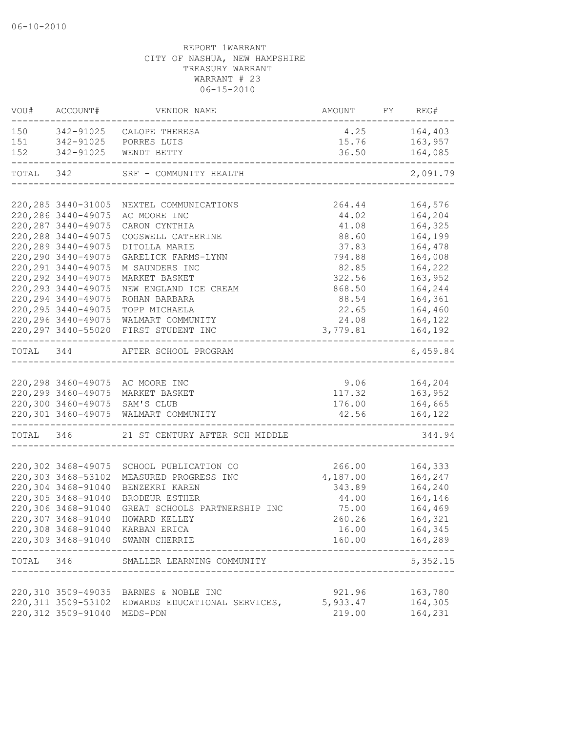| VOU#      | ACCOUNT#                    | VENDOR NAME                                                                    | AMOUNT FY REG# |                            |
|-----------|-----------------------------|--------------------------------------------------------------------------------|----------------|----------------------------|
|           |                             | 150 342-91025 CALOPE THERESA                                                   |                | 4.25 164,403               |
| 151       |                             | 342-91025 PORRES LUIS                                                          | 15.76          | 163,957                    |
| 152       |                             | 342-91025 WENDT BETTY                                                          | 36.50          | 164,085<br>--------------- |
|           |                             | TOTAL 342 SRF - COMMUNITY HEALTH<br>----------------------------------         |                | 2,091.79                   |
|           |                             | 220, 285 3440-31005 NEXTEL COMMUNICATIONS                                      | 264.44         | 164,576                    |
|           | 220, 286 3440-49075         | AC MOORE INC                                                                   | 44.02          | 164,204                    |
|           | 220, 287 3440-49075         | CARON CYNTHIA                                                                  | 41.08          | 164,325                    |
|           | 220, 288 3440-49075         | COGSWELL CATHERINE                                                             | 88.60          | 164,199                    |
|           | 220, 289 3440-49075         | DITOLLA MARIE                                                                  | 37.83          | 164,478                    |
|           | 220, 290 3440-49075         | GARELICK FARMS-LYNN                                                            | 794.88         | 164,008                    |
|           | 220, 291 3440-49075         | M SAUNDERS INC                                                                 | 82.85          | 164,222                    |
|           | 220, 292 3440-49075         | MARKET BASKET                                                                  | 322.56         | 163,952                    |
|           | 220, 293 3440-49075         | NEW ENGLAND ICE CREAM                                                          | 868.50         | 164,244                    |
|           | 220, 294 3440-49075         | ROHAN BARBARA                                                                  | 88.54          | 164,361                    |
|           | 220, 295 3440-49075         | TOPP MICHAELA                                                                  | 22.65          | 164,460                    |
|           |                             | 220, 296 3440-49075 WALMART COMMUNITY                                          | 24.08          | 164,122                    |
|           |                             | 220, 297 3440-55020 FIRST STUDENT INC<br>------------------------------------- | 3,779.81       | 164,192<br>-------         |
|           |                             | TOTAL 344 AFTER SCHOOL PROGRAM<br>____________________                         |                | 6,459.84                   |
|           |                             |                                                                                |                |                            |
|           |                             | 220,298 3460-49075 AC MOORE INC                                                | 9.06           | 164,204                    |
|           |                             | 220,299 3460-49075 MARKET BASKET                                               | 117.32         | 163,952                    |
|           |                             | 220,300 3460-49075 SAM'S CLUB                                                  | 176.00         | 164,665                    |
|           |                             | 220,301 3460-49075 WALMART COMMUNITY                                           | 42.56          | 164, 122                   |
| TOTAL 346 |                             | 21 ST CENTURY AFTER SCH MIDDLE                                                 |                | 344.94                     |
|           | 220,302 3468-49075          |                                                                                | 266.00         |                            |
|           | 220,303 3468-53102          | SCHOOL PUBLICATION CO<br>MEASURED PROGRESS INC                                 | 4,187.00       | 164,333<br>164,247         |
|           | 220,304 3468-91040          | BENZEKRI KAREN                                                                 | 343.89         | 164,240                    |
|           | 220,305 3468-91040          | BRODEUR ESTHER                                                                 | 44.00          | 164,146                    |
|           | 220,306 3468-91040          | GREAT SCHOOLS PARTNERSHIP INC                                                  | 75.00          | 164,469                    |
|           | 220,307 3468-91040          | HOWARD KELLEY                                                                  | 260.26         | 164,321                    |
|           |                             | 220,308 3468-91040 KARBAN ERICA                                                | 16.00          | 164,345                    |
|           |                             | 220,309 3468-91040 SWANN CHERRIE                                               |                | 160.00    164,289          |
|           |                             | TOTAL 346 SMALLER LEARNING COMMUNITY                                           |                | 5,352.15                   |
|           |                             |                                                                                |                |                            |
|           |                             | 220,310 3509-49035 BARNES & NOBLE INC                                          | 921.96         | 163,780                    |
|           |                             | 220,311 3509-53102 EDWARDS EDUCATIONAL SERVICES,                               | 5,933.47       | 164,305                    |
|           | 220,312 3509-91040 MEDS-PDN |                                                                                | 219.00         | 164,231                    |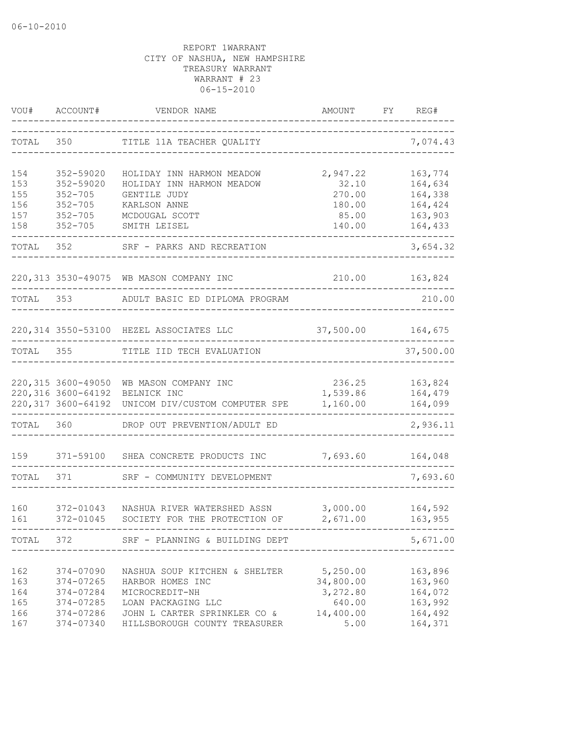| VOU#       | ACCOUNT#               | VENDOR NAME                                                               | AMOUNT                | FY | REG#               |
|------------|------------------------|---------------------------------------------------------------------------|-----------------------|----|--------------------|
| TOTAL      | 350                    | TITLE 11A TEACHER QUALITY                                                 |                       |    | 7,074.43           |
| 154<br>153 | 352-59020<br>352-59020 | HOLIDAY INN HARMON MEADOW<br>HOLIDAY INN HARMON MEADOW                    | 2,947.22<br>32.10     |    | 163,774<br>164,634 |
| 155        | $352 - 705$            | GENTILE JUDY                                                              | 270.00                |    | 164,338            |
| 156        | $352 - 705$            | KARLSON ANNE                                                              | 180.00                |    | 164,424            |
| 157        | $352 - 705$            | MCDOUGAL SCOTT                                                            | 85.00                 |    | 163,903            |
| 158        | $352 - 705$            | SMITH LEISEL                                                              | 140.00                |    | 164,433            |
| TOTAL      | 352 357                | SRF - PARKS AND RECREATION                                                |                       |    | 3,654.32           |
|            |                        | 220,313 3530-49075 WB MASON COMPANY INC                                   | 210.00                |    | 163,824            |
| TOTAL 353  |                        | ADULT BASIC ED DIPLOMA PROGRAM                                            |                       |    | 210.00             |
|            |                        | 220,314 3550-53100 HEZEL ASSOCIATES LLC                                   | 37,500.00             |    | 164,675            |
| TOTAL      | 355                    | TITLE IID TECH EVALUATION                                                 |                       |    | 37,500.00          |
|            |                        |                                                                           |                       |    |                    |
|            |                        | 220,315 3600-49050 WB MASON COMPANY INC<br>220,316 3600-64192 BELNICK INC | 236.25<br>1,539.86    |    | 163,824<br>164,479 |
|            |                        | 220,317 3600-64192 UNICOM DIV/CUSTOM COMPUTER SPE                         | 1,160.00              |    | 164,099            |
| TOTAL      | 360                    | DROP OUT PREVENTION/ADULT ED                                              |                       |    | 2,936.11           |
| 159        |                        | 371-59100 SHEA CONCRETE PRODUCTS INC                                      | 7,693.60              |    | 164,048            |
| TOTAL      | 371                    | SRF - COMMUNITY DEVELOPMENT                                               |                       |    | 7,693.60           |
|            |                        |                                                                           |                       |    |                    |
| 160<br>161 | 372-01043<br>372-01045 | NASHUA RIVER WATERSHED ASSN<br>SOCIETY FOR THE PROTECTION OF              | 3,000.00<br>2,671.00  |    | 164,592<br>163,955 |
|            |                        | TOTAL 372 SRF - PLANNING & BUILDING DEPT                                  |                       |    | 5,671.00           |
|            |                        |                                                                           |                       |    |                    |
| 162<br>163 | 374-07090<br>374-07265 | NASHUA SOUP KITCHEN & SHELTER<br>HARBOR HOMES INC                         | 5,250.00<br>34,800.00 |    | 163,896<br>163,960 |
| 164        | 374-07284              | MICROCREDIT-NH                                                            | 3,272.80              |    | 164,072            |
| 165        | 374-07285              | LOAN PACKAGING LLC                                                        | 640.00                |    | 163,992            |
| 166        | 374-07286              | JOHN L CARTER SPRINKLER CO &                                              | 14,400.00             |    | 164,492            |
| 167        | 374-07340              | HILLSBOROUGH COUNTY TREASURER                                             | 5.00                  |    | 164,371            |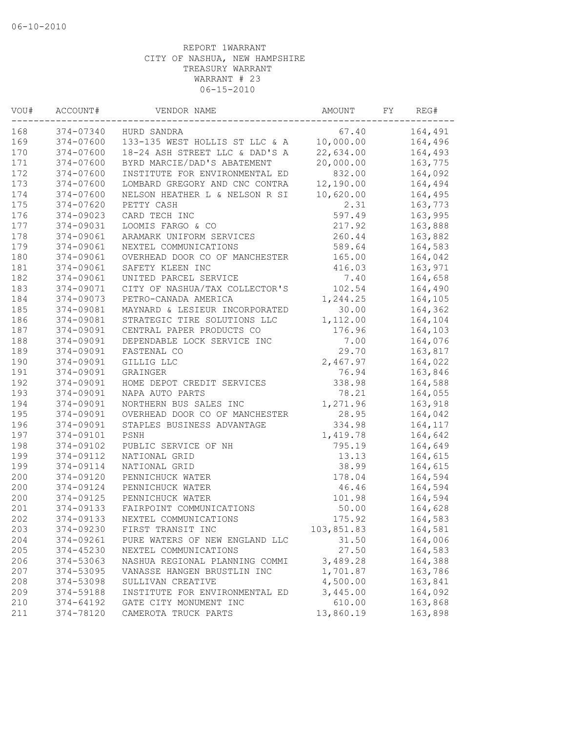| VOU# | ACCOUNT#      | VENDOR NAME                    | AMOUNT     | FY. | REG#     |
|------|---------------|--------------------------------|------------|-----|----------|
| 168  | 374-07340     | HURD SANDRA                    | 67.40      |     | 164,491  |
| 169  | 374-07600     | 133-135 WEST HOLLIS ST LLC & A | 10,000.00  |     | 164,496  |
| 170  | $374 - 07600$ | 18-24 ASH STREET LLC & DAD'S A | 22,634.00  |     | 164,493  |
| 171  | 374-07600     | BYRD MARCIE/DAD'S ABATEMENT    | 20,000.00  |     | 163,775  |
| 172  | $374 - 07600$ | INSTITUTE FOR ENVIRONMENTAL ED | 832.00     |     | 164,092  |
| 173  | 374-07600     | LOMBARD GREGORY AND CNC CONTRA | 12,190.00  |     | 164,494  |
| 174  | 374-07600     | NELSON HEATHER L & NELSON R SI | 10,620.00  |     | 164,495  |
| 175  | 374-07620     | PETTY CASH                     | 2.31       |     | 163,773  |
| 176  | 374-09023     | CARD TECH INC                  | 597.49     |     | 163,995  |
| 177  | 374-09031     | LOOMIS FARGO & CO              | 217.92     |     | 163,888  |
| 178  | 374-09061     | ARAMARK UNIFORM SERVICES       | 260.44     |     | 163,882  |
| 179  | 374-09061     | NEXTEL COMMUNICATIONS          | 589.64     |     | 164,583  |
| 180  | 374-09061     | OVERHEAD DOOR CO OF MANCHESTER | 165.00     |     | 164,042  |
| 181  | 374-09061     | SAFETY KLEEN INC               | 416.03     |     | 163,971  |
| 182  | 374-09061     | UNITED PARCEL SERVICE          | 7.40       |     | 164,658  |
| 183  | 374-09071     | CITY OF NASHUA/TAX COLLECTOR'S | 102.54     |     | 164,490  |
| 184  | 374-09073     | PETRO-CANADA AMERICA           | 1,244.25   |     | 164,105  |
| 185  | 374-09081     | MAYNARD & LESIEUR INCORPORATED | 30.00      |     | 164,362  |
| 186  | 374-09081     | STRATEGIC TIRE SOLUTIONS LLC   | 1,112.00   |     | 164,104  |
| 187  | 374-09091     | CENTRAL PAPER PRODUCTS CO      | 176.96     |     | 164,103  |
| 188  | 374-09091     | DEPENDABLE LOCK SERVICE INC    | 7.00       |     | 164,076  |
| 189  | 374-09091     | FASTENAL CO                    | 29.70      |     | 163,817  |
| 190  | 374-09091     | GILLIG LLC                     | 2,467.97   |     | 164,022  |
| 191  | 374-09091     | GRAINGER                       | 76.94      |     | 163,846  |
| 192  | 374-09091     | HOME DEPOT CREDIT SERVICES     | 338.98     |     | 164,588  |
| 193  | 374-09091     | NAPA AUTO PARTS                | 78.21      |     | 164,055  |
| 194  | 374-09091     | NORTHERN BUS SALES INC         | 1,271.96   |     | 163,918  |
| 195  | 374-09091     | OVERHEAD DOOR CO OF MANCHESTER | 28.95      |     | 164,042  |
| 196  | 374-09091     | STAPLES BUSINESS ADVANTAGE     | 334.98     |     | 164, 117 |
| 197  | 374-09101     | PSNH                           | 1,419.78   |     | 164,642  |
| 198  | 374-09102     | PUBLIC SERVICE OF NH           | 795.19     |     | 164,649  |
| 199  | 374-09112     | NATIONAL GRID                  | 13.13      |     | 164,615  |
| 199  | 374-09114     | NATIONAL GRID                  | 38.99      |     | 164,615  |
| 200  | 374-09120     | PENNICHUCK WATER               | 178.04     |     | 164,594  |
| 200  | 374-09124     | PENNICHUCK WATER               | 46.46      |     | 164,594  |
| 200  | 374-09125     | PENNICHUCK WATER               | 101.98     |     | 164,594  |
| 201  | 374-09133     | FAIRPOINT COMMUNICATIONS       | 50.00      |     | 164,628  |
| 202  | 374-09133     | NEXTEL COMMUNICATIONS          | 175.92     |     | 164,583  |
| 203  | 374-09230     | FIRST TRANSIT INC              | 103,851.83 |     | 164,581  |
| 204  | 374-09261     | PURE WATERS OF NEW ENGLAND LLC | 31.50      |     | 164,006  |
| 205  | 374-45230     | NEXTEL COMMUNICATIONS          | 27.50      |     | 164,583  |
| 206  | 374-53063     | NASHUA REGIONAL PLANNING COMMI | 3,489.28   |     | 164,388  |
| 207  | 374-53095     | VANASSE HANGEN BRUSTLIN INC    | 1,701.87   |     | 163,786  |
| 208  | 374-53098     | SULLIVAN CREATIVE              | 4,500.00   |     | 163,841  |
| 209  | 374-59188     | INSTITUTE FOR ENVIRONMENTAL ED | 3,445.00   |     | 164,092  |
| 210  | 374-64192     | GATE CITY MONUMENT INC         | 610.00     |     | 163,868  |
| 211  | 374-78120     | CAMEROTA TRUCK PARTS           | 13,860.19  |     | 163,898  |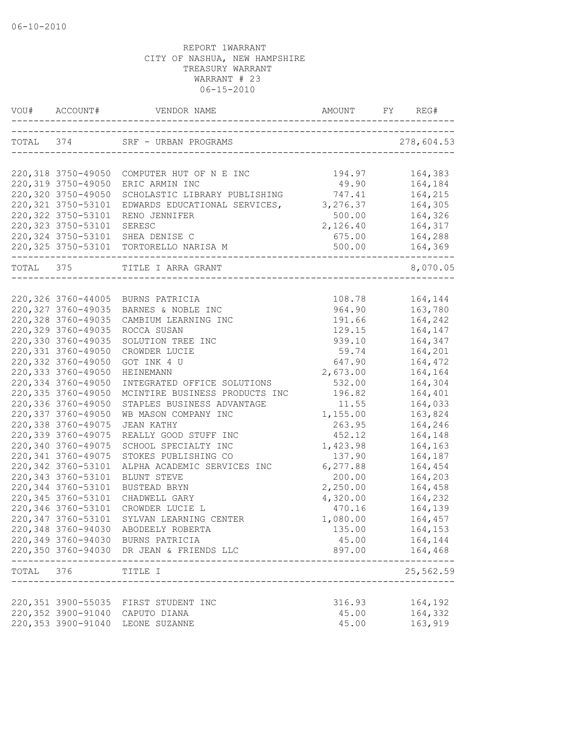|           | VOU# ACCOUNT#                                            |                                                   |           |                     |
|-----------|----------------------------------------------------------|---------------------------------------------------|-----------|---------------------|
|           |                                                          |                                                   |           | 278,604.53          |
|           |                                                          | 220,318 3750-49050 COMPUTER HUT OF N E INC        | 194.97    | 164,383             |
|           | 220,319 3750-49050                                       | ERIC ARMIN INC                                    | 49.90     | 164,184             |
|           | 220,320 3750-49050                                       | SCHOLASTIC LIBRARY PUBLISHING                     | 747.41    | 164,215             |
|           | 220, 321 3750-53101                                      | EDWARDS EDUCATIONAL SERVICES,                     | 3,276.37  | 164,305             |
|           | 220, 322 3750-53101                                      | RENO JENNIFER                                     | 500.00    | 164,326             |
|           | 220, 323 3750-53101                                      | SERESC                                            | 2,126.40  | 164,317             |
|           | 220, 324 3750-53101                                      | SHEA DENISE C                                     | 675.00    | 164,288             |
|           | 220,325 3750-53101                                       | TORTORELLO NARISA M                               | 500.00    | 164,369             |
| TOTAL 375 |                                                          | TITLE I ARRA GRANT<br>___________________________ |           | 8,070.05            |
|           |                                                          |                                                   |           |                     |
|           | 220,326 3760-44005                                       | BURNS PATRICIA                                    | 108.78    | 164,144             |
|           | 220, 327 3760-49035                                      | BARNES & NOBLE INC                                | 964.90    | 163,780             |
|           | 220,328 3760-49035                                       | CAMBIUM LEARNING INC                              | 191.66    | 164,242             |
|           | 220,329 3760-49035                                       | ROCCA SUSAN                                       | 129.15    | 164,147             |
|           | 220,330 3760-49035                                       | SOLUTION TREE INC                                 | 939.10    | 164,347             |
|           | 220,331 3760-49050                                       | CROWDER LUCIE                                     | 59.74     | 164,201             |
|           | 220,332 3760-49050                                       | GOT INK 4 U                                       | 647.90    | 164,472             |
|           | 220,333 3760-49050                                       | HEINEMANN                                         | 2,673.00  | 164,164             |
|           | 220,334 3760-49050                                       | INTEGRATED OFFICE SOLUTIONS                       | 532.00    | 164,304             |
|           | 220,335 3760-49050                                       | MCINTIRE BUSINESS PRODUCTS INC                    | 196.82    | 164,401             |
|           | 220,336 3760-49050                                       | STAPLES BUSINESS ADVANTAGE                        | 11.55     | 164,033             |
|           | 220,337 3760-49050                                       | WB MASON COMPANY INC                              | 1,155.00  | 163,824             |
|           | 220,338 3760-49075                                       | JEAN KATHY                                        | 263.95    | 164,246             |
|           | 220,339 3760-49075                                       | REALLY GOOD STUFF INC                             | 452.12    | 164,148             |
|           | 220,340 3760-49075                                       | SCHOOL SPECIALTY INC                              | 1,423.98  | 164,163             |
|           | 220, 341 3760-49075                                      | STOKES PUBLISHING CO                              | 137.90    | 164,187             |
|           | 220,342 3760-53101                                       | ALPHA ACADEMIC SERVICES INC                       | 6, 277.88 | 164,454             |
|           | 220, 343 3760-53101                                      | BLUNT STEVE                                       | 200.00    | 164,203             |
|           | 220,344 3760-53101                                       | BUSTEAD BRYN                                      | 2,250.00  | 164,458             |
|           | 220, 345 3760-53101                                      | CHADWELL GARY                                     | 4,320.00  | 164,232             |
|           | 220,346 3760-53101                                       | CROWDER LUCIE L                                   | 470.16    | 164,139             |
|           | 220,347 3760-53101                                       | SYLVAN LEARNING CENTER                            | 1,080.00  | 164,457             |
|           |                                                          | 220,348 3760-94030 ABODEELY ROBERTA               | 135.00    | 164,153             |
|           |                                                          | 220,349 3760-94030 BURNS PATRICIA                 | 45.00     | 164,144             |
|           |                                                          | 220,350 3760-94030 DR JEAN & FRIENDS LLC          | 897.00    | 164,468<br>-------- |
|           | TOTAL 376 TITLE I<br>. _ _ _ _ _ _ _ _ _ _ _ _ _ _ _ _ _ | _____________________________________             |           | 25,562.59           |
|           |                                                          | 220,351 3900-55035 FIRST STUDENT INC              | 316.93    | 164,192             |
|           |                                                          | 220,352 3900-91040 CAPUTO DIANA                   | 45.00     | 164,332             |
|           |                                                          | 220,353 3900-91040 LEONE SUZANNE                  | 45.00     | 163,919             |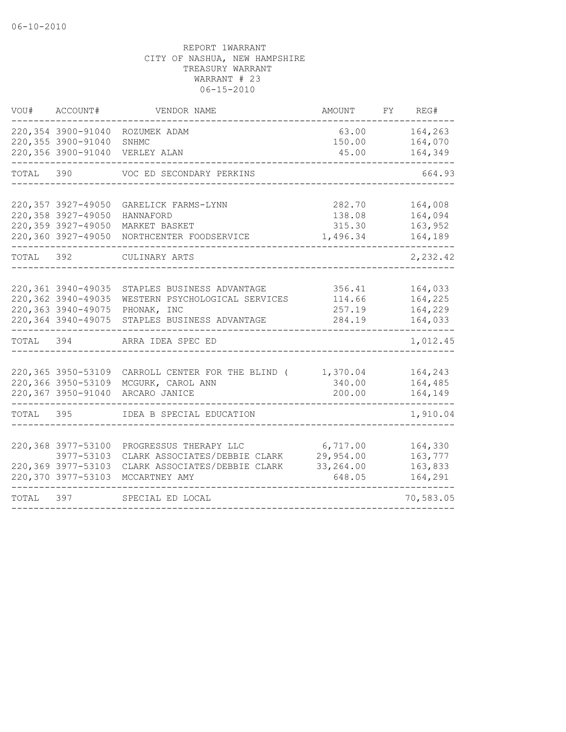| 220,354 3900-91040<br>164,263<br>63.00<br>ROZUMEK ADAM<br>220,355 3900-91040<br>164,070<br>150.00<br>SNHMC<br>220,356 3900-91040<br>45.00<br>164,349<br>VERLEY ALAN<br>TOTAL<br>390<br>664.93<br>VOC ED SECONDARY PERKINS<br>220,357 3927-49050<br>164,008<br>282.70<br>GARELICK FARMS-LYNN<br>164,094<br>220,358 3927-49050<br>138.08<br>HANNAFORD<br>220,359 3927-49050<br>163,952<br>MARKET BASKET<br>315.30<br>220,360 3927-49050<br>164,189<br>1,496.34<br>NORTHCENTER FOODSERVICE<br>2,232.42<br>TOTAL<br>392<br>CULINARY ARTS<br>220,361 3940-49035<br>356.41<br>164,033<br>STAPLES BUSINESS ADVANTAGE<br>220,362 3940-49035<br>164,225<br>WESTERN PSYCHOLOGICAL SERVICES<br>114.66<br>220,363 3940-49075<br>PHONAK, INC<br>164,229<br>257.19<br>220,364 3940-49075<br>STAPLES BUSINESS ADVANTAGE<br>284.19<br>164,033 |  |
|-------------------------------------------------------------------------------------------------------------------------------------------------------------------------------------------------------------------------------------------------------------------------------------------------------------------------------------------------------------------------------------------------------------------------------------------------------------------------------------------------------------------------------------------------------------------------------------------------------------------------------------------------------------------------------------------------------------------------------------------------------------------------------------------------------------------------------|--|
|                                                                                                                                                                                                                                                                                                                                                                                                                                                                                                                                                                                                                                                                                                                                                                                                                               |  |
|                                                                                                                                                                                                                                                                                                                                                                                                                                                                                                                                                                                                                                                                                                                                                                                                                               |  |
|                                                                                                                                                                                                                                                                                                                                                                                                                                                                                                                                                                                                                                                                                                                                                                                                                               |  |
|                                                                                                                                                                                                                                                                                                                                                                                                                                                                                                                                                                                                                                                                                                                                                                                                                               |  |
|                                                                                                                                                                                                                                                                                                                                                                                                                                                                                                                                                                                                                                                                                                                                                                                                                               |  |
| 1,012.45<br>TOTAL<br>394<br>ARRA IDEA SPEC ED                                                                                                                                                                                                                                                                                                                                                                                                                                                                                                                                                                                                                                                                                                                                                                                 |  |
| 220,365 3950-53109<br>164,243<br>CARROLL CENTER FOR THE BLIND (<br>1,370.04<br>220,366 3950-53109<br>MCGURK, CAROL ANN<br>340.00<br>164,485<br>220,367 3950-91040<br>ARCARO JANICE<br>200.00<br>164,149                                                                                                                                                                                                                                                                                                                                                                                                                                                                                                                                                                                                                       |  |
| TOTAL<br>395<br>IDEA B SPECIAL EDUCATION<br>1,910.04                                                                                                                                                                                                                                                                                                                                                                                                                                                                                                                                                                                                                                                                                                                                                                          |  |
| 220,368 3977-53100<br>PROGRESSUS THERAPY LLC<br>6,717.00<br>164,330<br>3977-53103<br>CLARK ASSOCIATES/DEBBIE CLARK<br>29,954.00<br>163,777<br>220,369 3977-53103<br>CLARK ASSOCIATES/DEBBIE CLARK<br>33,264.00<br>163,833<br>220,370 3977-53103<br>164,291<br>MCCARTNEY AMY<br>648.05                                                                                                                                                                                                                                                                                                                                                                                                                                                                                                                                         |  |
| 70,583.05<br>397<br>TOTAL<br>SPECIAL ED LOCAL                                                                                                                                                                                                                                                                                                                                                                                                                                                                                                                                                                                                                                                                                                                                                                                 |  |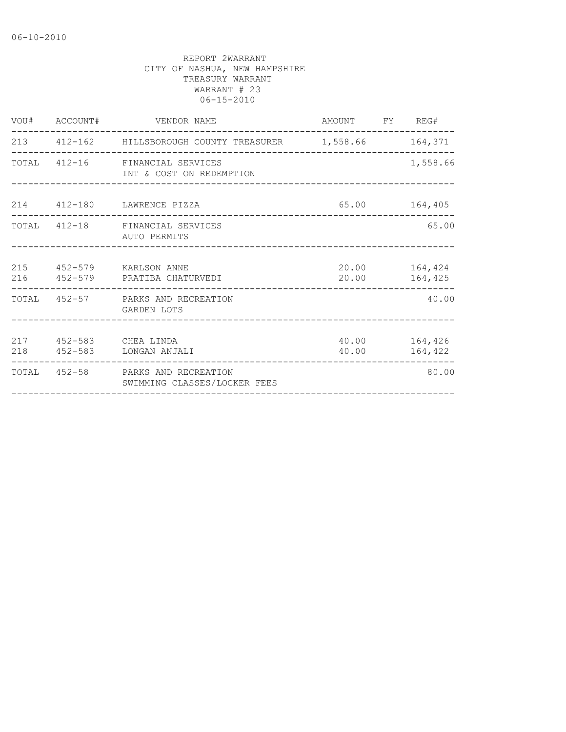| VOU# ACCOUNT# |                              |                                                                                                                                                                                                                                                                                                                                                                                                    |                                                                                                                                                                                  |
|---------------|------------------------------|----------------------------------------------------------------------------------------------------------------------------------------------------------------------------------------------------------------------------------------------------------------------------------------------------------------------------------------------------------------------------------------------------|----------------------------------------------------------------------------------------------------------------------------------------------------------------------------------|
|               |                              |                                                                                                                                                                                                                                                                                                                                                                                                    |                                                                                                                                                                                  |
|               |                              |                                                                                                                                                                                                                                                                                                                                                                                                    | 1,558.66                                                                                                                                                                         |
|               |                              |                                                                                                                                                                                                                                                                                                                                                                                                    |                                                                                                                                                                                  |
|               |                              |                                                                                                                                                                                                                                                                                                                                                                                                    | 65.00                                                                                                                                                                            |
|               |                              |                                                                                                                                                                                                                                                                                                                                                                                                    | 164,425                                                                                                                                                                          |
|               |                              |                                                                                                                                                                                                                                                                                                                                                                                                    | 40.00                                                                                                                                                                            |
|               |                              |                                                                                                                                                                                                                                                                                                                                                                                                    | 164,422                                                                                                                                                                          |
|               | SWIMMING CLASSES/LOCKER FEES |                                                                                                                                                                                                                                                                                                                                                                                                    | 80.00                                                                                                                                                                            |
|               |                              | VENDOR NAME<br>TOTAL 412-16 FINANCIAL SERVICES<br>INT & COST ON REDEMPTION<br>214 412-180 LAWRENCE PIZZA<br>TOTAL 412-18 FINANCIAL SERVICES<br>AUTO PERMITS<br>215  452-579  KARLSON ANNE<br>216  452-579  PRATIBA CHATURVEDI<br>---------------<br>TOTAL 452-57 PARKS AND RECREATION<br>GARDEN LOTS<br>217 452-583 CHEA LINDA<br>218  452-583  LONGAN ANJALI<br>TOTAL 452-58 PARKS AND RECREATION | AMOUNT FY REG#<br>--------------------<br>213  412-162  HILLSBOROUGH COUNTY TREASURER  1,558.66  164,371<br>65.00 164,405<br>20.00    164,424<br>20.00<br>40.00 164,426<br>40.00 |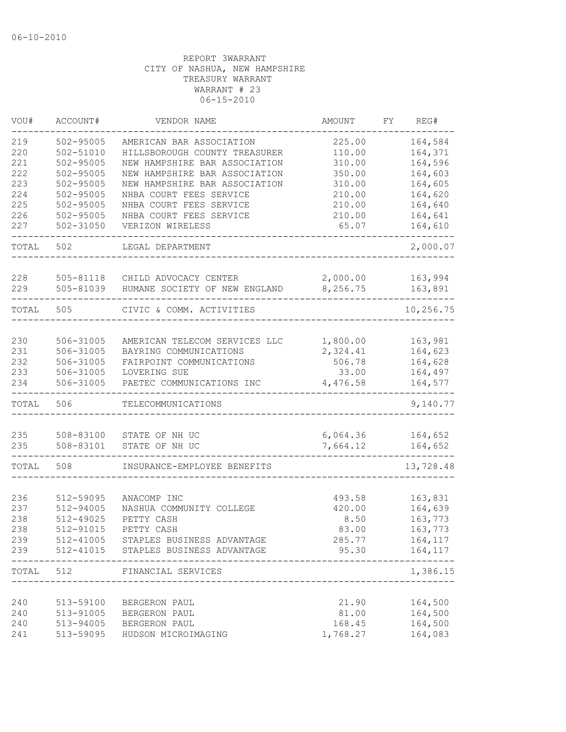| VOU#  | ACCOUNT#      | VENDOR NAME                                        | AMOUNT   | FΥ | REG#                         |
|-------|---------------|----------------------------------------------------|----------|----|------------------------------|
| 219   | $502 - 95005$ | AMERICAN BAR ASSOCIATION                           | 225.00   |    | 164,584                      |
| 220   | $502 - 51010$ | HILLSBOROUGH COUNTY TREASURER                      | 110.00   |    | 164,371                      |
| 221   | 502-95005     | NEW HAMPSHIRE BAR ASSOCIATION                      | 310.00   |    | 164,596                      |
| 222   | 502-95005     | NEW HAMPSHIRE BAR ASSOCIATION                      | 350.00   |    | 164,603                      |
| 223   | $502 - 95005$ | NEW HAMPSHIRE BAR ASSOCIATION                      | 310.00   |    | 164,605                      |
| 224   | $502 - 95005$ | NHBA COURT FEES SERVICE                            | 210.00   |    | 164,620                      |
| 225   | $502 - 95005$ | NHBA COURT FEES SERVICE                            | 210.00   |    | 164,640                      |
| 226   | $502 - 95005$ | NHBA COURT FEES SERVICE                            | 210.00   |    | 164,641                      |
| 227   | $502 - 31050$ | VERIZON WIRELESS                                   | 65.07    |    | 164,610                      |
| TOTAL | 502           | LEGAL DEPARTMENT                                   |          |    | 2,000.07                     |
|       |               |                                                    |          |    |                              |
| 228   | 505-81118     | CHILD ADVOCACY CENTER                              | 2,000.00 |    | 163,994                      |
| 229   | 505-81039     | HUMANE SOCIETY OF NEW ENGLAND                      | 8,256.75 |    | 163,891                      |
| TOTAL | 505           | CIVIC & COMM. ACTIVITIES                           |          |    | 10,256.75                    |
|       |               |                                                    |          |    |                              |
| 230   | 506-31005     | AMERICAN TELECOM SERVICES LLC                      | 1,800.00 |    | 163,981                      |
| 231   | 506-31005     | BAYRING COMMUNICATIONS                             | 2,324.41 |    | 164,623                      |
| 232   | 506-31005     | FAIRPOINT COMMUNICATIONS                           | 506.78   |    | 164,628                      |
| 233   | 506-31005     | LOVERING SUE                                       | 33.00    |    | 164,497                      |
| 234   | 506-31005     | PAETEC COMMUNICATIONS INC                          | 4,476.58 |    | 164,577                      |
| TOTAL | 506           | TELECOMMUNICATIONS                                 |          |    | 9,140.77                     |
|       |               |                                                    |          |    |                              |
| 235   | 508-83100     | STATE OF NH UC                                     | 6,064.36 |    | 164,652                      |
| 235   | 508-83101     | STATE OF NH UC                                     | 7,664.12 |    | 164,652                      |
| TOTAL | 508           | INSURANCE-EMPLOYEE BENEFITS                        |          |    | 13,728.48                    |
|       |               |                                                    |          |    |                              |
| 236   | 512-59095     | ANACOMP INC                                        | 493.58   |    | 163,831                      |
| 237   | 512-94005     | NASHUA COMMUNITY COLLEGE                           | 420.00   |    | 164,639                      |
| 238   | 512-49025     | PETTY CASH                                         | 8.50     |    | 163,773                      |
| 238   | 512-91015     | PETTY CASH                                         | 83.00    |    | 163,773                      |
| 239   |               | 512-41005 STAPLES BUSINESS ADVANTAGE               | 285.77   |    | 164,117                      |
| 239   |               | 512-41015 STAPLES BUSINESS ADVANTAGE               |          |    | 95.30 164,117<br>$- - - - -$ |
| TOTAL | 512           | FINANCIAL SERVICES<br>____________________________ |          |    | 1,386.15                     |
|       |               |                                                    |          |    |                              |
| 240   |               | 513-59100 BERGERON PAUL                            | 21.90    |    | 164,500                      |
| 240   | 513-91005     | BERGERON PAUL                                      | 81.00    |    | 164,500                      |
| 240   |               | 513-94005 BERGERON PAUL                            | 168.45   |    | 164,500                      |
| 241   |               | 513-59095 HUDSON MICROIMAGING                      | 1,768.27 |    | 164,083                      |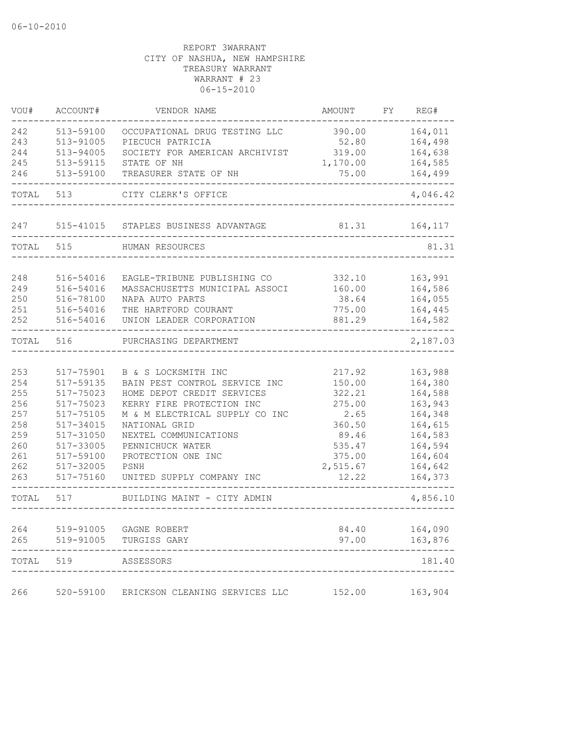| VOU#       | ACCOUNT#               | VENDOR NAME                                          | AMOUNT           | FY | REG#               |
|------------|------------------------|------------------------------------------------------|------------------|----|--------------------|
| 242        | 513-59100              | OCCUPATIONAL DRUG TESTING LLC                        | 390.00           |    | 164,011            |
| 243        | 513-91005              | PIECUCH PATRICIA                                     | 52.80            |    | 164,498            |
| 244        | 513-94005              | SOCIETY FOR AMERICAN ARCHIVIST                       | 319.00           |    | 164,638            |
| 245        | 513-59115              | STATE OF NH                                          | 1,170.00         |    | 164,585            |
| 246        | 513-59100              | TREASURER STATE OF NH                                | 75.00            |    | 164,499            |
| TOTAL      | 513                    | CITY CLERK'S OFFICE                                  |                  |    | 4,046.42           |
| 247        | 515-41015              | STAPLES BUSINESS ADVANTAGE                           | 81.31            |    | 164,117            |
| TOTAL      | 515                    | HUMAN RESOURCES                                      |                  |    | 81.31              |
| 248        | 516-54016              | EAGLE-TRIBUNE PUBLISHING CO                          | 332.10           |    | 163,991            |
| 249        | 516-54016              | MASSACHUSETTS MUNICIPAL ASSOCI                       | 160.00           |    | 164,586            |
| 250        | 516-78100              | NAPA AUTO PARTS                                      | 38.64            |    | 164,055            |
| 251        | 516-54016              | THE HARTFORD COURANT                                 | 775.00           |    | 164,445            |
| 252        | 516-54016              | UNION LEADER CORPORATION                             | 881.29           |    | 164,582            |
| TOTAL      | 516                    | PURCHASING DEPARTMENT                                |                  |    | 2,187.03           |
|            |                        |                                                      |                  |    |                    |
| 253<br>254 | 517-75901<br>517-59135 | B & S LOCKSMITH INC<br>BAIN PEST CONTROL SERVICE INC | 217.92<br>150.00 |    | 163,988<br>164,380 |
| 255        | 517-75023              | HOME DEPOT CREDIT SERVICES                           | 322.21           |    | 164,588            |
| 256        | 517-75023              | KERRY FIRE PROTECTION INC                            | 275.00           |    | 163,943            |
| 257        | 517-75105              | M & M ELECTRICAL SUPPLY CO INC                       | 2.65             |    | 164,348            |
| 258        | 517-34015              | NATIONAL GRID                                        | 360.50           |    | 164,615            |
| 259        | 517-31050              | NEXTEL COMMUNICATIONS                                | 89.46            |    | 164,583            |
| 260        | 517-33005              | PENNICHUCK WATER                                     | 535.47           |    | 164,594            |
| 261        | 517-59100              | PROTECTION ONE INC                                   | 375.00           |    | 164,604            |
| 262        | $517 - 32005$          | PSNH                                                 | 2,515.67         |    | 164,642            |
| 263        | 517-75160              | UNITED SUPPLY COMPANY INC                            | 12.22            |    | 164,373            |
| TOTAL      | 517                    | BUILDING MAINT - CITY ADMIN                          |                  |    | 4,856.10           |
| 264        | 519-91005              | GAGNE ROBERT                                         | 84.40            |    | 164,090            |
| 265        | 519-91005              | TURGISS GARY                                         | 97.00            |    | 163,876            |
| TOTAL      | 519                    | ASSESSORS                                            |                  |    | 181.40             |
| 266        | 520-59100              | ERICKSON CLEANING SERVICES LLC                       | 152.00           |    | 163,904            |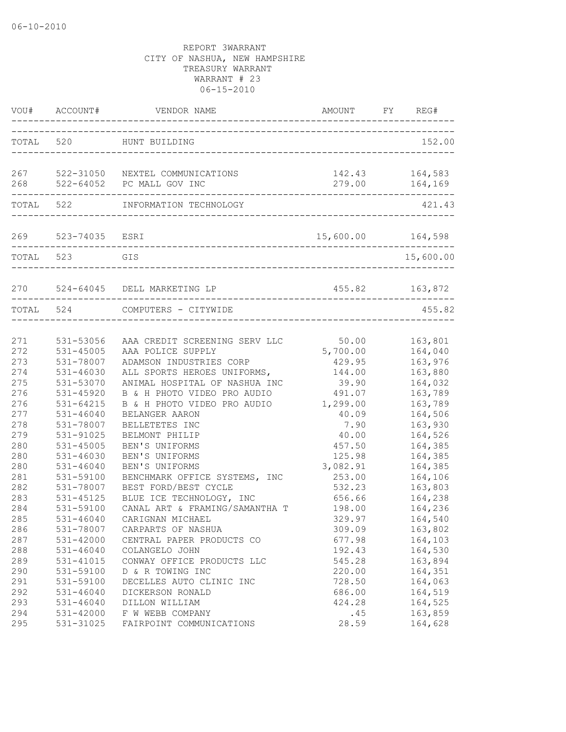|                                                                           | VOU# ACCOUNT#                                                                                                                                   | VENDOR NAME                                                                                                                                                                                                                                                                         | AMOUNT<br>---------------------------------                                                              | FY | REG#                                                                                                                  |
|---------------------------------------------------------------------------|-------------------------------------------------------------------------------------------------------------------------------------------------|-------------------------------------------------------------------------------------------------------------------------------------------------------------------------------------------------------------------------------------------------------------------------------------|----------------------------------------------------------------------------------------------------------|----|-----------------------------------------------------------------------------------------------------------------------|
|                                                                           |                                                                                                                                                 | TOTAL 520 HUNT BUILDING                                                                                                                                                                                                                                                             |                                                                                                          |    | 152.00                                                                                                                |
| 268                                                                       |                                                                                                                                                 | 267 522-31050 NEXTEL COMMUNICATIONS<br>522-64052 PC MALL GOV INC                                                                                                                                                                                                                    | 142.43<br>279.00                                                                                         |    | 164,583<br>164,169                                                                                                    |
|                                                                           | TOTAL 522                                                                                                                                       | INFORMATION TECHNOLOGY                                                                                                                                                                                                                                                              |                                                                                                          |    | 421.43                                                                                                                |
|                                                                           | 269 523-74035 ESRI                                                                                                                              | -------------------------------------                                                                                                                                                                                                                                               | 15,600.00 164,598                                                                                        |    |                                                                                                                       |
| TOTAL 523                                                                 |                                                                                                                                                 | GIS<br>--------------------------------                                                                                                                                                                                                                                             |                                                                                                          |    | 15,600.00                                                                                                             |
|                                                                           |                                                                                                                                                 | 270 524-64045 DELL MARKETING LP                                                                                                                                                                                                                                                     |                                                                                                          |    | 455.82 163,872                                                                                                        |
| TOTAL 524                                                                 |                                                                                                                                                 | COMPUTERS - CITYWIDE                                                                                                                                                                                                                                                                |                                                                                                          |    | 455.82                                                                                                                |
| 271<br>272<br>273<br>274<br>275<br>276<br>276<br>277<br>278<br>279<br>280 | 531-53056<br>531-45005<br>531-78007<br>531-46030<br>531-53070<br>531-45920<br>531-64215<br>$531 - 46040$<br>531-78007<br>531-91025<br>531-45005 | AAA CREDIT SCREENING SERV LLC<br>AAA POLICE SUPPLY<br>ADAMSON INDUSTRIES CORP<br>ALL SPORTS HEROES UNIFORMS,<br>ANIMAL HOSPITAL OF NASHUA INC<br>B & H PHOTO VIDEO PRO AUDIO<br>B & H PHOTO VIDEO PRO AUDIO<br>BELANGER AARON<br>BELLETETES INC<br>BELMONT PHILIP<br>BEN'S UNIFORMS | 50.00<br>5,700.00<br>429.95<br>144.00<br>39.90<br>491.07<br>1,299.00<br>40.09<br>7.90<br>40.00<br>457.50 |    | 163,801<br>164,040<br>163,976<br>163,880<br>164,032<br>163,789<br>163,789<br>164,506<br>163,930<br>164,526<br>164,385 |
| 280<br>280<br>281<br>282<br>283<br>284<br>285<br>286                      | 531-46030<br>$531 - 46040$<br>531-59100<br>531-78007<br>531-45125<br>531-59100<br>531-46040<br>531-78007                                        | BEN'S UNIFORMS<br>BEN'S UNIFORMS<br>BENCHMARK OFFICE SYSTEMS, INC<br>BEST FORD/BEST CYCLE<br>BLUE ICE TECHNOLOGY, INC<br>CANAL ART & FRAMING/SAMANTHA T<br>CARIGNAN MICHAEL<br>CARPARTS OF NASHUA                                                                                   | 125.98<br>3,082.91<br>253.00<br>532.23<br>656.66<br>198.00<br>329.97<br>309.09                           |    | 164,385<br>164,385<br>164,106<br>163,803<br>164,238<br>164,236<br>164,540<br>163,802                                  |
| 287<br>288<br>289<br>290<br>291<br>292<br>293<br>294<br>295               | 531-42000<br>531-46040<br>531-41015<br>531-59100<br>531-59100<br>$531 - 46040$<br>$531 - 46040$<br>531-42000<br>531-31025                       | CENTRAL PAPER PRODUCTS CO<br>COLANGELO JOHN<br>CONWAY OFFICE PRODUCTS LLC<br>D & R TOWING INC<br>DECELLES AUTO CLINIC INC<br>DICKERSON RONALD<br>DILLON WILLIAM<br>F W WEBB COMPANY<br>FAIRPOINT COMMUNICATIONS                                                                     | 677.98<br>192.43<br>545.28<br>220.00<br>728.50<br>686.00<br>424.28<br>.45<br>28.59                       |    | 164,103<br>164,530<br>163,894<br>164,351<br>164,063<br>164,519<br>164,525<br>163,859<br>164,628                       |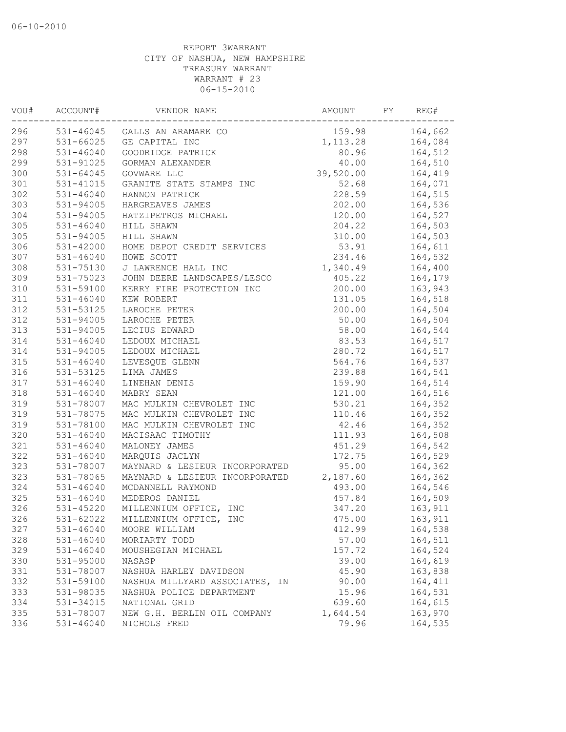| VOU# | ACCOUNT#      | VENDOR NAME                    | AMOUNT    | FY | REG#    |
|------|---------------|--------------------------------|-----------|----|---------|
| 296  |               | 531-46045 GALLS AN ARAMARK CO  | 159.98    |    | 164,662 |
| 297  | 531-66025     | GE CAPITAL INC                 | 1, 113.28 |    | 164,084 |
| 298  | 531-46040     | GOODRIDGE PATRICK              | 80.96     |    | 164,512 |
| 299  | 531-91025     | GORMAN ALEXANDER               | 40.00     |    | 164,510 |
| 300  | 531-64045     | GOVWARE LLC                    | 39,520.00 |    | 164,419 |
| 301  | 531-41015     | GRANITE STATE STAMPS INC       | 52.68     |    | 164,071 |
| 302  | $531 - 46040$ | HANNON PATRICK                 | 228.59    |    | 164,515 |
| 303  | 531-94005     | HARGREAVES JAMES               | 202.00    |    | 164,536 |
| 304  | $531 - 94005$ | HATZIPETROS MICHAEL            | 120.00    |    | 164,527 |
| 305  | 531-46040     | HILL SHAWN                     | 204.22    |    | 164,503 |
| 305  | 531-94005     | HILL SHAWN                     | 310.00    |    | 164,503 |
| 306  | $531 - 42000$ | HOME DEPOT CREDIT SERVICES     | 53.91     |    | 164,611 |
| 307  | $531 - 46040$ | HOWE SCOTT                     | 234.46    |    | 164,532 |
| 308  | 531-75130     | J LAWRENCE HALL INC            | 1,340.49  |    | 164,400 |
| 309  | 531-75023     | JOHN DEERE LANDSCAPES/LESCO    | 405.22    |    | 164,179 |
| 310  | 531-59100     | KERRY FIRE PROTECTION INC      | 200.00    |    | 163,943 |
| 311  | $531 - 46040$ | KEW ROBERT                     | 131.05    |    | 164,518 |
| 312  | 531-53125     | LAROCHE PETER                  | 200.00    |    | 164,504 |
| 312  | 531-94005     | LAROCHE PETER                  | 50.00     |    | 164,504 |
| 313  | 531-94005     | LECIUS EDWARD                  | 58.00     |    | 164,544 |
| 314  | 531-46040     | LEDOUX MICHAEL                 | 83.53     |    | 164,517 |
| 314  | 531-94005     | LEDOUX MICHAEL                 | 280.72    |    | 164,517 |
| 315  | $531 - 46040$ | LEVESQUE GLENN                 | 564.76    |    | 164,537 |
| 316  | 531-53125     | LIMA JAMES                     | 239.88    |    | 164,541 |
| 317  | $531 - 46040$ | LINEHAN DENIS                  | 159.90    |    | 164,514 |
| 318  | $531 - 46040$ | MABRY SEAN                     | 121.00    |    | 164,516 |
| 319  | 531-78007     | MAC MULKIN CHEVROLET INC       | 530.21    |    | 164,352 |
| 319  | 531-78075     | MAC MULKIN CHEVROLET INC       | 110.46    |    | 164,352 |
| 319  | 531-78100     | MAC MULKIN CHEVROLET INC       | 42.46     |    | 164,352 |
| 320  | $531 - 46040$ | MACISAAC TIMOTHY               | 111.93    |    | 164,508 |
| 321  | $531 - 46040$ | MALONEY JAMES                  | 451.29    |    | 164,542 |
| 322  | $531 - 46040$ | MARQUIS JACLYN                 | 172.75    |    | 164,529 |
| 323  | 531-78007     | MAYNARD & LESIEUR INCORPORATED | 95.00     |    | 164,362 |
| 323  | 531-78065     | MAYNARD & LESIEUR INCORPORATED | 2,187.60  |    | 164,362 |
| 324  | $531 - 46040$ | MCDANNELL RAYMOND              | 493.00    |    | 164,546 |
| 325  | 531-46040     | MEDEROS DANIEL                 | 457.84    |    | 164,509 |
| 326  | 531-45220     | MILLENNIUM OFFICE, INC         | 347.20    |    | 163,911 |
| 326  | 531-62022     | MILLENNIUM OFFICE, INC         | 475.00    |    | 163,911 |
| 327  | $531 - 46040$ | MOORE WILLIAM                  | 412.99    |    | 164,538 |
| 328  | $531 - 46040$ | MORIARTY TODD                  | 57.00     |    | 164,511 |
| 329  | $531 - 46040$ | MOUSHEGIAN MICHAEL             | 157.72    |    | 164,524 |
| 330  | 531-95000     | NASASP                         | 39.00     |    | 164,619 |
| 331  | 531-78007     | NASHUA HARLEY DAVIDSON         | 45.90     |    | 163,838 |
| 332  | 531-59100     | NASHUA MILLYARD ASSOCIATES, IN | 90.00     |    | 164,411 |
| 333  | 531-98035     | NASHUA POLICE DEPARTMENT       | 15.96     |    | 164,531 |
| 334  | 531-34015     | NATIONAL GRID                  | 639.60    |    | 164,615 |
| 335  | 531-78007     | NEW G.H. BERLIN OIL COMPANY    | 1,644.54  |    | 163,970 |
| 336  | $531 - 46040$ | NICHOLS FRED                   | 79.96     |    | 164,535 |
|      |               |                                |           |    |         |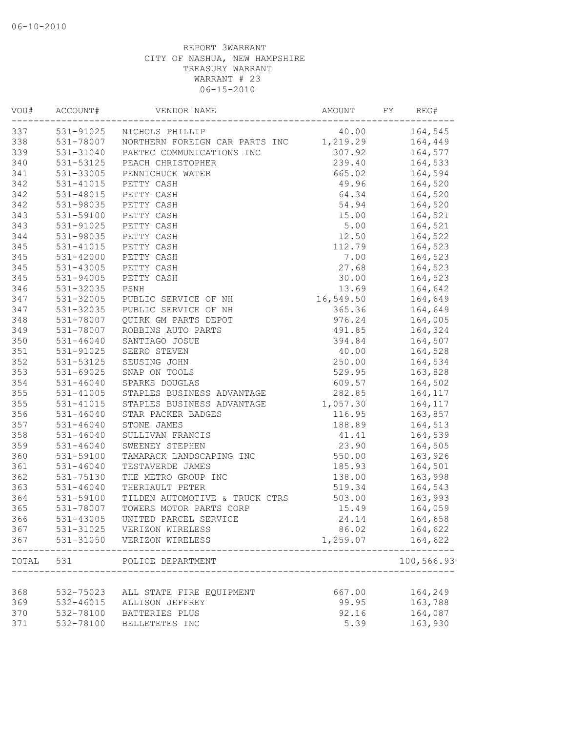| VOU#       | ACCOUNT#               | VENDOR NAME                                 | AMOUNT            | FY | REG#               |
|------------|------------------------|---------------------------------------------|-------------------|----|--------------------|
| 337        |                        | 531-91025 NICHOLS PHILLIP                   | 40.00             |    | 164,545            |
| 338        |                        | 531-78007 NORTHERN FOREIGN CAR PARTS INC    | 1,219.29          |    | 164,449            |
| 339        | 531-31040              | PAETEC COMMUNICATIONS INC                   | 307.92            |    | 164,577            |
| 340        | 531-53125              | PEACH CHRISTOPHER                           | 239.40            |    | 164,533            |
| 341        | 531-33005              | PENNICHUCK WATER                            | 665.02            |    | 164,594            |
| 342        | 531-41015              | PETTY CASH                                  | 49.96             |    | 164,520            |
| 342        | 531-48015              | PETTY CASH                                  | 64.34             |    | 164,520            |
| 342        | 531-98035              | PETTY CASH                                  | 54.94             |    | 164,520            |
| 343        | 531-59100              | PETTY CASH                                  | 15.00             |    | 164,521            |
| 343        | 531-91025              | PETTY CASH                                  | 5.00              |    | 164,521            |
| 344        |                        | 531-98035 PETTY CASH                        | 12.50             |    | 164,522            |
| 345        | $531 - 41015$          | PETTY CASH                                  | 112.79            |    | 164,523            |
| 345        | 531-42000              | PETTY CASH                                  | 7.00              |    | 164,523            |
| 345        | 531-43005              | PETTY CASH                                  | 27.68             |    | 164,523            |
| 345        | 531-94005              | PETTY CASH                                  | 30.00             |    | 164,523            |
| 346        | 531-32035              | PSNH                                        | 13.69             |    | 164,642            |
| 347        | 531-32005              | PUBLIC SERVICE OF NH                        | 16,549.50         |    | 164,649            |
| 347        |                        | 531-32035 PUBLIC SERVICE OF NH              | 365.36            |    | 164,649            |
| 348        | 531-78007              | QUIRK GM PARTS DEPOT                        | 976.24            |    | 164,005            |
| 349        | 531-78007              | ROBBINS AUTO PARTS                          | 491.85            |    | 164,324            |
| 350        | 531-46040              | SANTIAGO JOSUE                              | 394.84            |    | 164,507            |
| 351        | 531-91025              | SEERO STEVEN                                | 40.00             |    | 164,528            |
| 352        | 531-53125              | SEUSING JOHN                                | 250.00            |    | 164,534            |
| 353        | 531-69025              | SNAP ON TOOLS                               | 529.95            |    | 163,828            |
| 354        | $531 - 46040$          | SPARKS DOUGLAS                              | 609.57            |    | 164,502            |
| 355        | 531-41005              | STAPLES BUSINESS ADVANTAGE                  | 282.85            |    | 164,117            |
| 355        | $531 - 41015$          | STAPLES BUSINESS ADVANTAGE                  | 1,057.30          |    | 164,117            |
| 356        | $531 - 46040$          | STAR PACKER BADGES                          | 116.95            |    | 163,857            |
| 357        | 531-46040              | STONE JAMES                                 | 188.89            |    |                    |
| 358        | 531-46040              | SULLIVAN FRANCIS                            |                   |    | 164,513<br>164,539 |
| 359        | $531 - 46040$          |                                             | 41.41<br>23.90    |    |                    |
| 360        |                        | SWEENEY STEPHEN<br>TAMARACK LANDSCAPING INC | 550.00            |    | 164,505            |
|            | 531-59100              |                                             |                   |    | 163,926            |
| 361        | $531 - 46040$          | TESTAVERDE JAMES                            | 185.93            |    | 164,501            |
| 362        | 531-75130              | THE METRO GROUP INC                         | 138.00            |    | 163,998            |
| 363        | 531-46040              | THERIAULT PETER                             | 519.34            |    | 164,543            |
| 364        | 531-59100              | TILDEN AUTOMOTIVE & TRUCK CTRS              | 503.00            |    | 163,993            |
| 365        | 531-78007              | TOWERS MOTOR PARTS CORP                     | 15.49             |    | 164,059            |
| 366        | 531-43005              | UNITED PARCEL SERVICE                       | 24.14             |    | 164,658            |
| 367<br>367 | 531-31025<br>531-31050 | VERIZON WIRELESS<br>VERIZON WIRELESS        | 86.02<br>1,259.07 |    | 164,622<br>164,622 |
|            |                        |                                             |                   |    | -----              |
| TOTAL      | 531                    | POLICE DEPARTMENT                           |                   |    | 100,566.93         |
| 368        | 532-75023              | ALL STATE FIRE EQUIPMENT                    | 667.00            |    | 164,249            |
| 369        | 532-46015              | ALLISON JEFFREY                             | 99.95             |    | 163,788            |
| 370        | 532-78100              | BATTERIES PLUS                              | 92.16             |    | 164,087            |
| 371        | 532-78100              | BELLETETES INC                              | 5.39              |    | 163,930            |
|            |                        |                                             |                   |    |                    |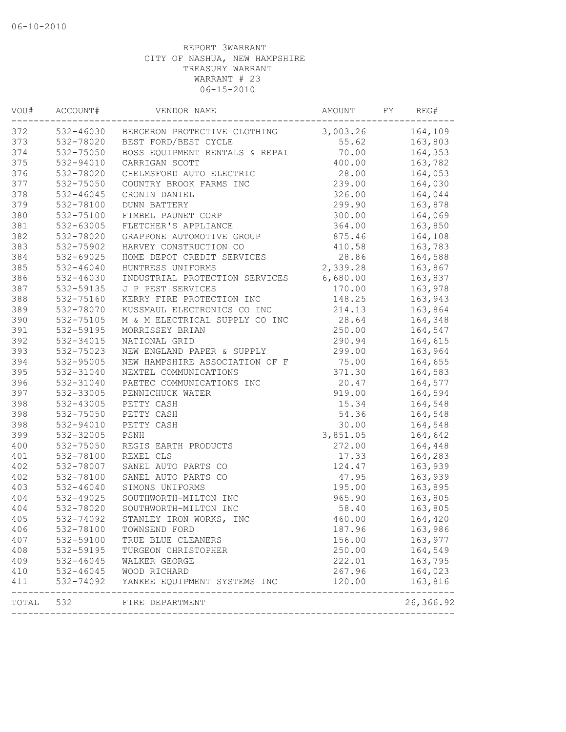| VOU#  | ACCOUNT#      | VENDOR NAME                            | AMOUNT   | FY | REG#               |
|-------|---------------|----------------------------------------|----------|----|--------------------|
| 372   |               | 532-46030 BERGERON PROTECTIVE CLOTHING | 3,003.26 |    | 164,109            |
| 373   | 532-78020     | BEST FORD/BEST CYCLE                   | 55.62    |    | 163,803            |
| 374   | 532-75050     | BOSS EQUIPMENT RENTALS & REPAI         | 70.00    |    | 164,353            |
| 375   | 532-94010     | CARRIGAN SCOTT                         | 400.00   |    | 163,782            |
| 376   | 532-78020     | CHELMSFORD AUTO ELECTRIC               | 28.00    |    | 164,053            |
| 377   | 532-75050     | COUNTRY BROOK FARMS INC                | 239.00   |    | 164,030            |
| 378   | 532-46045     | CRONIN DANIEL                          | 326.00   |    | 164,044            |
| 379   | 532-78100     | DUNN BATTERY                           | 299.90   |    | 163,878            |
| 380   | 532-75100     | FIMBEL PAUNET CORP                     | 300.00   |    | 164,069            |
| 381   | 532-63005     | FLETCHER'S APPLIANCE                   | 364.00   |    | 163,850            |
| 382   | 532-78020     | GRAPPONE AUTOMOTIVE GROUP              | 875.46   |    | 164,108            |
| 383   | 532-75902     | HARVEY CONSTRUCTION CO                 | 410.58   |    | 163,783            |
| 384   | 532-69025     | HOME DEPOT CREDIT SERVICES             | 28.86    |    | 164,588            |
| 385   | $532 - 46040$ | HUNTRESS UNIFORMS                      | 2,339.28 |    | 163,867            |
| 386   | 532-46030     | INDUSTRIAL PROTECTION SERVICES         | 6,680.00 |    | 163,837            |
| 387   | 532-59135     | J P PEST SERVICES                      | 170.00   |    | 163,978            |
| 388   | 532-75160     | KERRY FIRE PROTECTION INC              | 148.25   |    | 163,943            |
| 389   | 532-78070     | KUSSMAUL ELECTRONICS CO INC            | 214.13   |    | 163,864            |
| 390   | 532-75105     | M & M ELECTRICAL SUPPLY CO INC         | 28.64    |    | 164,348            |
| 391   | 532-59195     | MORRISSEY BRIAN                        | 250.00   |    | 164,547            |
| 392   | 532-34015     | NATIONAL GRID                          | 290.94   |    | 164,615            |
| 393   | 532-75023     | NEW ENGLAND PAPER & SUPPLY             | 299.00   |    | 163,964            |
| 394   | 532-95005     | NEW HAMPSHIRE ASSOCIATION OF F         | 75.00    |    | 164,655            |
| 395   | 532-31040     | NEXTEL COMMUNICATIONS                  | 371.30   |    | 164,583            |
| 396   | 532-31040     | PAETEC COMMUNICATIONS INC              | 20.47    |    | 164,577            |
| 397   | 532-33005     | PENNICHUCK WATER                       | 919.00   |    | 164,594            |
| 398   | 532-43005     | PETTY CASH                             | 15.34    |    | 164,548            |
| 398   | 532-75050     | PETTY CASH                             | 54.36    |    | 164,548            |
| 398   | 532-94010     | PETTY CASH                             | 30.00    |    | 164,548            |
| 399   | 532-32005     | PSNH                                   | 3,851.05 |    | 164,642            |
| 400   | 532-75050     | REGIS EARTH PRODUCTS                   | 272.00   |    | 164,448            |
| 401   | 532-78100     | REXEL CLS                              | 17.33    |    | 164,283            |
| 402   | 532-78007     | SANEL AUTO PARTS CO                    | 124.47   |    | 163,939            |
| 402   | 532-78100     | SANEL AUTO PARTS CO                    | 47.95    |    | 163,939            |
| 403   | 532-46040     | SIMONS UNIFORMS                        | 195.00   |    | 163,895            |
| 404   | 532-49025     | SOUTHWORTH-MILTON INC                  | 965.90   |    | 163,805            |
| 404   | 532-78020     | SOUTHWORTH-MILTON INC                  | 58.40    |    | 163,805            |
| 405   | 532-74092     | STANLEY IRON WORKS, INC                | 460.00   |    | 164,420            |
| 406   | 532-78100     | TOWNSEND FORD                          | 187.96   |    | 163,986            |
| 407   | 532-59100     | TRUE BLUE CLEANERS                     | 156.00   |    | 163,977            |
| 408   | 532-59195     | TURGEON CHRISTOPHER                    | 250.00   |    | 164,549            |
| 409   | 532-46045     | WALKER GEORGE                          | 222.01   |    | 163,795            |
| 410   | 532-46045     | WOOD RICHARD                           | 267.96   |    | 164,023            |
| 411   | 532-74092     | YANKEE EQUIPMENT SYSTEMS INC           | 120.00   |    | 163,816<br>------- |
| TOTAL | 532           | FIRE DEPARTMENT                        |          |    | 26,366.92          |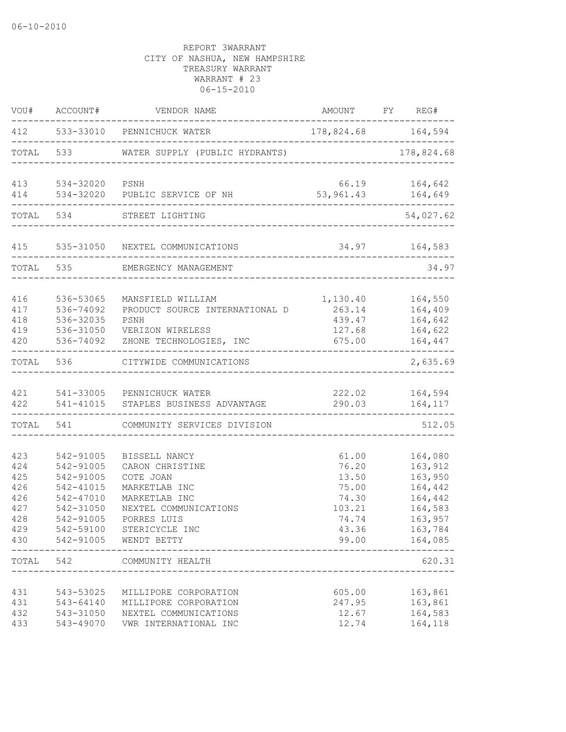| VOU#                                                        | ACCOUNT#                                                                                | VENDOR NAME                                                                                                                                                                  | AMOUNT                                                                | FY REG#                                                                                               |       |
|-------------------------------------------------------------|-----------------------------------------------------------------------------------------|------------------------------------------------------------------------------------------------------------------------------------------------------------------------------|-----------------------------------------------------------------------|-------------------------------------------------------------------------------------------------------|-------|
| 412                                                         |                                                                                         | 533-33010 PENNICHUCK WATER                                                                                                                                                   |                                                                       | 178,824.68 164,594                                                                                    |       |
| TOTAL                                                       | 533                                                                                     | WATER SUPPLY (PUBLIC HYDRANTS)                                                                                                                                               |                                                                       | 178,824.68                                                                                            |       |
| 413<br>414                                                  | 534-32020<br>534-32020                                                                  | PSNH<br>PUBLIC SERVICE OF NH                                                                                                                                                 | 66.19<br>53,961.43                                                    | 164,642<br>164,649                                                                                    |       |
|                                                             |                                                                                         |                                                                                                                                                                              |                                                                       |                                                                                                       |       |
| TOTAL                                                       | 534                                                                                     | STREET LIGHTING                                                                                                                                                              |                                                                       | 54,027.62                                                                                             |       |
| 415                                                         | 535-31050                                                                               | NEXTEL COMMUNICATIONS                                                                                                                                                        | 34.97                                                                 | 164,583                                                                                               |       |
| TOTAL                                                       | 535                                                                                     | EMERGENCY MANAGEMENT                                                                                                                                                         |                                                                       |                                                                                                       | 34.97 |
| 416<br>417<br>418<br>419<br>420                             | 536-53065<br>536-74092<br>536-32035<br>536-31050<br>536-74092                           | MANSFIELD WILLIAM<br>PRODUCT SOURCE INTERNATIONAL D<br>PSNH<br>VERIZON WIRELESS<br>ZHONE TECHNOLOGIES, INC                                                                   | 1,130.40<br>263.14<br>439.47<br>127.68<br>675.00                      | 164,550<br>164,409<br>164,642<br>164,622<br>164,447                                                   |       |
| TOTAL                                                       | 536                                                                                     | CITYWIDE COMMUNICATIONS                                                                                                                                                      |                                                                       | 2,635.69                                                                                              |       |
| 421<br>422                                                  | 541-41015                                                                               | 541-33005 PENNICHUCK WATER<br>STAPLES BUSINESS ADVANTAGE                                                                                                                     | 222.02<br>290.03                                                      | 164,594<br>164,117                                                                                    |       |
| TOTAL                                                       | 541                                                                                     | COMMUNITY SERVICES DIVISION                                                                                                                                                  |                                                                       | 512.05                                                                                                |       |
| 423<br>424<br>425<br>426<br>426<br>427<br>428<br>429<br>430 | 542-91005<br>542-91005<br>542-91005<br>542-41015<br>542-47010<br>542-31050<br>542-91005 | BISSELL NANCY<br>CARON CHRISTINE<br>COTE JOAN<br>MARKETLAB INC<br>MARKETLAB INC<br>NEXTEL COMMUNICATIONS<br>PORRES LUIS<br>542-59100 STERICYCLE INC<br>542-91005 WENDT BETTY | 61.00<br>76.20<br>13.50<br>75.00<br>74.30<br>103.21<br>74.74<br>43.36 | 164,080<br>163,912<br>163,950<br>164,442<br>164,442<br>164,583<br>163,957<br>163,784<br>99.00 164,085 |       |
| TOTAL                                                       | 542                                                                                     | COMMUNITY HEALTH                                                                                                                                                             |                                                                       | 620.31                                                                                                |       |
| 431<br>431<br>432<br>433                                    | 543-53025<br>543-64140<br>543-31050<br>543-49070                                        | MILLIPORE CORPORATION<br>MILLIPORE CORPORATION<br>NEXTEL COMMUNICATIONS<br>VWR INTERNATIONAL INC                                                                             | 605.00<br>247.95<br>12.67<br>12.74                                    | 163,861<br>163,861<br>164,583<br>164,118                                                              |       |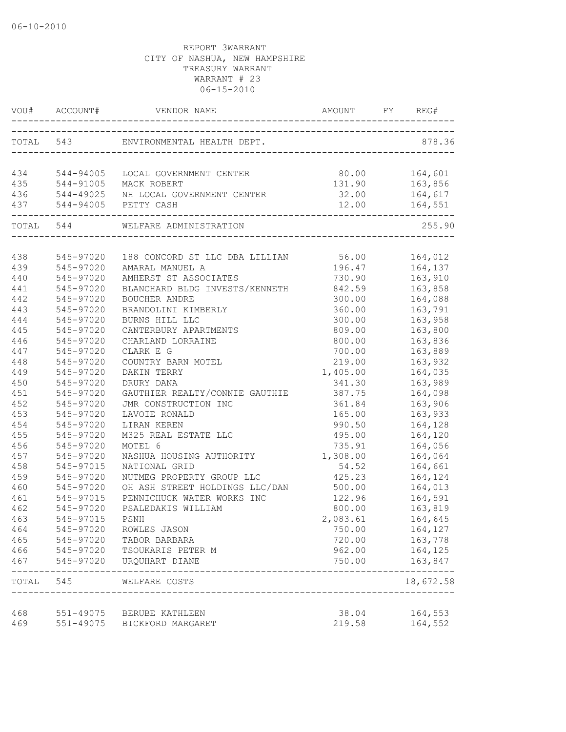|     | VOU# ACCOUNT# | VENDOR NAME                                             |          | REG#                     |
|-----|---------------|---------------------------------------------------------|----------|--------------------------|
|     |               | TOTAL 543 ENVIRONMENTAL HEALTH DEPT.                    |          | 878.36                   |
|     |               | 434 544-94005 LOCAL GOVERNMENT CENTER                   | 80.00    | 164,601                  |
|     |               |                                                         | 131.90   | 163,856                  |
|     |               |                                                         |          |                          |
|     |               |                                                         |          | $164, 617$<br>$164, 551$ |
|     |               | TOTAL 544 WELFARE ADMINISTRATION                        |          | 255.90                   |
|     |               |                                                         |          |                          |
| 438 | 545-97020     | 188 CONCORD ST LLC DBA LILLIAN 56.00 164,012            |          |                          |
| 439 | 545-97020     | AMARAL MANUEL A                                         |          |                          |
| 440 | 545-97020     | AMHERST ST ASSOCIATES                                   | 730.90   | 163,910                  |
| 441 | 545-97020     | BLANCHARD BLDG INVESTS/KENNETH                          | 842.59   | 163,858                  |
| 442 | 545-97020     | BOUCHER ANDRE                                           | 300.00   | 164,088                  |
| 443 | 545-97020     | BRANDOLINI KIMBERLY                                     | 360.00   | 163,791                  |
| 444 | 545-97020     | BURNS HILL LLC                                          | 300.00   | 163,958                  |
| 445 | 545-97020     | CANTERBURY APARTMENTS                                   | 809.00   | 163,800                  |
| 446 | 545-97020     | CHARLAND LORRAINE                                       | 800.00   | 163,836                  |
| 447 | 545-97020     | CLARK E G                                               | 700.00   | 163,889                  |
| 448 | 545-97020     | COUNTRY BARN MOTEL                                      | 219.00   | 163,932                  |
| 449 | 545-97020     | DAKIN TERRY                                             | 1,405.00 | 164,035                  |
| 450 | 545-97020     | DRURY DANA                                              | 341.30   | 163,989                  |
| 451 | 545-97020     | GAUTHIER REALTY/CONNIE GAUTHIE                          | 387.75   | 164,098                  |
| 452 | 545-97020     | JMR CONSTRUCTION INC                                    | 361.84   | 163,906                  |
| 453 | 545-97020     | LAVOIE RONALD                                           | 165.00   | 163,933                  |
| 454 | 545-97020     | LIRAN KEREN                                             | 990.50   | 164,128                  |
| 455 | 545-97020     | M325 REAL ESTATE LLC                                    | 495.00   | 164,120                  |
| 456 | 545-97020     | MOTEL 6                                                 | 735.91   | 164,056                  |
| 457 | 545-97020     | NASHUA HOUSING AUTHORITY                                | 1,308.00 | 164,064                  |
| 458 | 545-97015     | NATIONAL GRID                                           | 54.52    | 164,661                  |
| 459 | 545-97020     | NUTMEG PROPERTY GROUP LLC                               | 425.23   | 164,124                  |
| 460 | 545-97020     | OH ASH STREET HOLDINGS LLC/DAN                          | 500.00   | 164,013                  |
| 461 | 545-97015     | PENNICHUCK WATER WORKS INC                              | 122.96   | 164,591                  |
| 462 | 545-97020     | PSALEDAKIS WILLIAM                                      | 800.00   | 163,819                  |
| 463 | 545-97015     | PSNH                                                    | 2,083.61 | 164,645                  |
| 464 | 545-97020     | ROWLES JASON                                            | 750.00   | 164,127                  |
| 465 | 545-97020     | TABOR BARBARA                                           | 720.00   | 163,778                  |
| 466 | 545-97020     | TSOUKARIS PETER M                                       | 962.00   | 164,125                  |
| 467 | 545-97020     | URQUHART DIANE                                          | 750.00   | 163,847<br>--------      |
|     |               | TOTAL 545 WELFARE COSTS<br>---------------------------- |          | 18,672.58                |
| 468 |               | 551-49075 BERUBE KATHLEEN                               | 38.04    | 164,553                  |
| 469 |               | 551-49075 BICKFORD MARGARET                             | 219.58   | 164,552                  |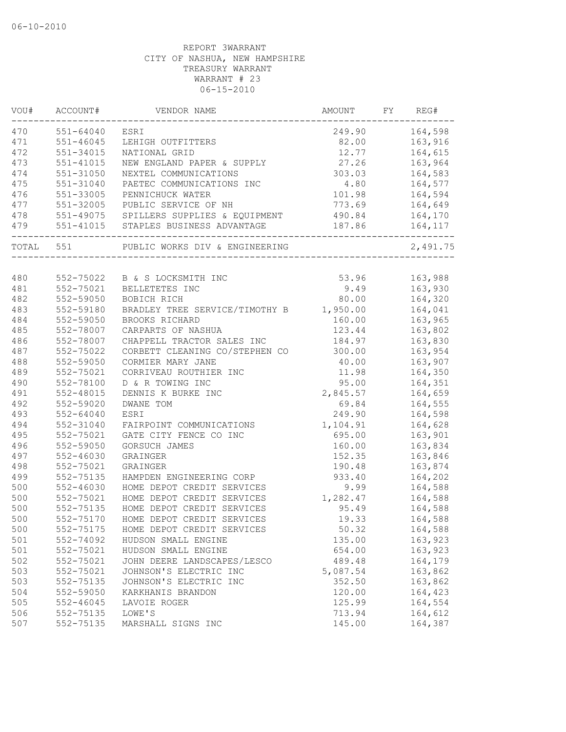| VOU#  | ACCOUNT#      | VENDOR NAME                             | AMOUNT   | FY | REG#     |
|-------|---------------|-----------------------------------------|----------|----|----------|
| 470   | 551-64040     | ESRI                                    | 249.90   |    | 164,598  |
| 471   | $551 - 46045$ | LEHIGH OUTFITTERS                       | 82.00    |    | 163,916  |
| 472   | 551-34015     | NATIONAL GRID                           | 12.77    |    | 164,615  |
| 473   | 551-41015     | NEW ENGLAND PAPER & SUPPLY              | 27.26    |    | 163,964  |
| 474   | 551-31050     | NEXTEL COMMUNICATIONS                   | 303.03   |    | 164,583  |
| 475   | 551-31040     | PAETEC COMMUNICATIONS INC               | 4.80     |    | 164,577  |
| 476   | 551-33005     | PENNICHUCK WATER                        | 101.98   |    | 164,594  |
| 477   | 551-32005     | PUBLIC SERVICE OF NH                    | 773.69   |    | 164,649  |
| 478   |               | 551-49075 SPILLERS SUPPLIES & EQUIPMENT | 490.84   |    | 164,170  |
| 479   |               | 551-41015 STAPLES BUSINESS ADVANTAGE    | 187.86   |    | 164,117  |
| TOTAL | 551           | PUBLIC WORKS DIV & ENGINEERING          |          |    | 2,491.75 |
| 480   |               | 552-75022 B & S LOCKSMITH INC           | 53.96    |    | 163,988  |
| 481   | 552-75021     | BELLETETES INC                          | 9.49     |    | 163,930  |
| 482   | 552-59050     | BOBICH RICH                             | 80.00    |    | 164,320  |
| 483   | 552-59180     | BRADLEY TREE SERVICE/TIMOTHY B          | 1,950.00 |    | 164,041  |
| 484   | 552-59050     | BROOKS RICHARD                          | 160.00   |    | 163,965  |
| 485   | 552-78007     | CARPARTS OF NASHUA                      | 123.44   |    | 163,802  |
| 486   | 552-78007     | CHAPPELL TRACTOR SALES INC              | 184.97   |    | 163,830  |
| 487   | 552-75022     | CORBETT CLEANING CO/STEPHEN CO          | 300.00   |    | 163,954  |
| 488   | 552-59050     | CORMIER MARY JANE                       | 40.00    |    | 163,907  |
| 489   | 552-75021     | CORRIVEAU ROUTHIER INC                  | 11.98    |    | 164,350  |
| 490   | 552-78100     | D & R TOWING INC                        | 95.00    |    | 164,351  |
| 491   | 552-48015     | DENNIS K BURKE INC                      | 2,845.57 |    | 164,659  |
| 492   | 552-59020     | DWANE TOM                               | 69.84    |    | 164,555  |
| 493   | $552 - 64040$ | ESRI                                    | 249.90   |    | 164,598  |
| 494   | 552-31040     | FAIRPOINT COMMUNICATIONS                | 1,104.91 |    | 164,628  |
| 495   | 552-75021     | GATE CITY FENCE CO INC                  | 695.00   |    | 163,901  |
| 496   | 552-59050     | GORSUCH JAMES                           | 160.00   |    | 163,834  |
| 497   | 552-46030     | GRAINGER                                | 152.35   |    | 163,846  |
| 498   | 552-75021     | GRAINGER                                | 190.48   |    | 163,874  |
| 499   | 552-75135     | HAMPDEN ENGINEERING CORP                | 933.40   |    | 164,202  |
| 500   | $552 - 46030$ | HOME DEPOT CREDIT SERVICES              | 9.99     |    | 164,588  |
| 500   | 552-75021     | HOME DEPOT CREDIT SERVICES              | 1,282.47 |    | 164,588  |
| 500   | 552-75135     | HOME DEPOT CREDIT SERVICES              | 95.49    |    | 164,588  |
| 500   | 552-75170     | HOME DEPOT CREDIT SERVICES              | 19.33    |    | 164,588  |
| 500   | 552-75175     | HOME DEPOT CREDIT SERVICES              | 50.32    |    | 164,588  |
| 501   | 552-74092     | HUDSON SMALL ENGINE                     | 135.00   |    | 163,923  |
| 501   | 552-75021     | HUDSON SMALL ENGINE                     | 654.00   |    | 163,923  |
| 502   | 552-75021     | JOHN DEERE LANDSCAPES/LESCO             | 489.48   |    | 164,179  |
| 503   | 552-75021     | JOHNSON'S ELECTRIC INC                  | 5,087.54 |    | 163,862  |
| 503   | 552-75135     | JOHNSON'S ELECTRIC INC                  | 352.50   |    | 163,862  |
| 504   | 552-59050     | KARKHANIS BRANDON                       | 120.00   |    | 164,423  |
| 505   | $552 - 46045$ | LAVOIE ROGER                            | 125.99   |    | 164,554  |
| 506   | 552-75135     | LOWE'S                                  | 713.94   |    | 164,612  |
| 507   | 552-75135     | MARSHALL SIGNS INC                      | 145.00   |    | 164,387  |
|       |               |                                         |          |    |          |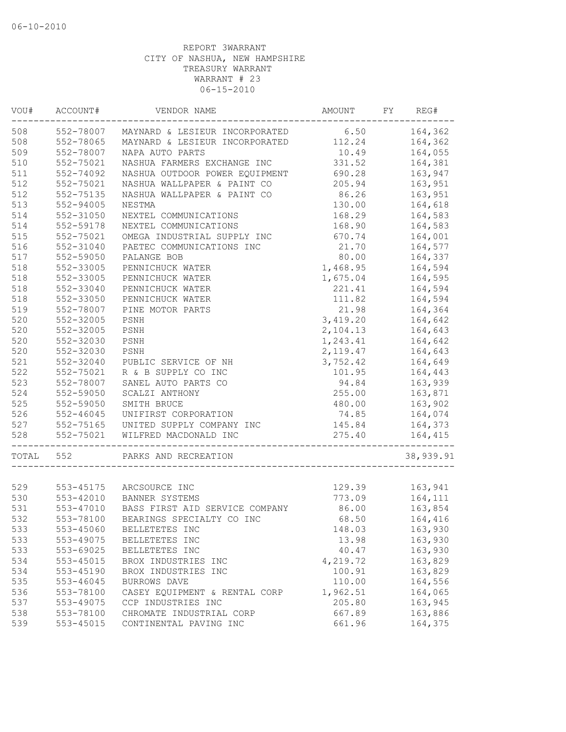| 508<br>552-78007<br>MAYNARD & LESIEUR INCORPORATED 6.50<br>164,362<br>508<br>552-78065<br>MAYNARD & LESIEUR INCORPORATED<br>112.24<br>164,362<br>509<br>552-78007<br>10.49<br>164,055<br>NAPA AUTO PARTS<br>510<br>331.52<br>552-75021<br>NASHUA FARMERS EXCHANGE INC<br>164,381<br>511<br>552-74092<br>NASHUA OUTDOOR POWER EQUIPMENT<br>690.28<br>163,947<br>512<br>552-75021<br>NASHUA WALLPAPER & PAINT CO<br>205.94<br>163,951<br>512<br>86.26<br>552-75135<br>NASHUA WALLPAPER & PAINT CO<br>163,951<br>513<br>130.00<br>164,618<br>$552 - 94005$<br>NESTMA<br>514<br>552-31050<br>NEXTEL COMMUNICATIONS<br>168.29<br>164,583<br>514<br>552-59178<br>164,583<br>NEXTEL COMMUNICATIONS<br>168.90<br>515<br>552-75021<br>OMEGA INDUSTRIAL SUPPLY INC<br>164,001<br>670.74<br>516<br>552-31040<br>PAETEC COMMUNICATIONS INC<br>21.70<br>164,577<br>517<br>80.00<br>552-59050<br>PALANGE BOB<br>164,337<br>552-33005<br>1,468.95<br>164,594<br>PENNICHUCK WATER<br>518<br>552-33005<br>1,675.04<br>164,595<br>PENNICHUCK WATER<br>518<br>552-33040<br>221.41<br>164,594<br>PENNICHUCK WATER<br>518<br>111.82<br>164,594<br>552-33050<br>PENNICHUCK WATER<br>519<br>21.98<br>164,364<br>552-78007<br>PINE MOTOR PARTS<br>520<br>552-32005<br>3,419.20<br>164,642<br>PSNH<br>520<br>552-32005<br>PSNH<br>2,104.13<br>164,643<br>520<br>552-32030<br>1,243.41<br>PSNH<br>164,642<br>520<br>552-32030<br>PSNH<br>2,119.47<br>164,643<br>521<br>552-32040<br>PUBLIC SERVICE OF NH<br>3,752.42<br>164,649<br>522<br>552-75021<br>R & B SUPPLY CO INC<br>101.95<br>164,443<br>523<br>552-78007<br>SANEL AUTO PARTS CO<br>94.84<br>163,939<br>524<br>255.00<br>163,871<br>552-59050<br>SCALZI ANTHONY<br>525<br>163,902<br>552-59050<br>SMITH BRUCE<br>480.00<br>526<br>$552 - 46045$<br>UNIFIRST CORPORATION<br>164,074<br>74.85<br>527<br>552-75165<br>UNITED SUPPLY COMPANY INC<br>145.84<br>164,373<br>528<br>552-75021<br>WILFRED MACDONALD INC<br>275.40<br>164,415<br>552<br>TOTAL<br>PARKS AND RECREATION<br>163,941<br>529<br>129.39<br>553-45175 ARCSOURCE INC<br>530<br>164,111<br>773.09<br>553-42010<br>BANNER SYSTEMS<br>531<br>553-47010<br>BASS FIRST AID SERVICE COMPANY<br>86.00<br>163,854<br>532<br>553-78100<br>BEARINGS SPECIALTY CO INC<br>68.50<br>164,416<br>533<br>553-45060<br>BELLETETES INC<br>148.03<br>163,930<br>533<br>553-49075<br>13.98<br>163,930<br>BELLETETES INC<br>533<br>553-69025<br>40.47<br>163,930<br>BELLETETES INC<br>534<br>$553 - 45015$<br>4,219.72<br>163,829<br>BROX INDUSTRIES INC<br>534<br>100.91<br>163,829<br>553-45190<br>BROX INDUSTRIES INC<br>535<br>110.00<br>164,556<br>553-46045<br>BURROWS DAVE<br>536<br>164,065<br>553-78100<br>CASEY EQUIPMENT & RENTAL CORP<br>1,962.51<br>537<br>553-49075<br>205.80<br>163,945<br>CCP INDUSTRIES INC<br>538<br>553-78100<br>CHROMATE INDUSTRIAL CORP<br>667.89<br>163,886<br>539<br>553-45015<br>CONTINENTAL PAVING INC<br>661.96<br>164,375 | VOU# | ACCOUNT# | VENDOR NAME | AMOUNT | FY | REG#      |
|-----------------------------------------------------------------------------------------------------------------------------------------------------------------------------------------------------------------------------------------------------------------------------------------------------------------------------------------------------------------------------------------------------------------------------------------------------------------------------------------------------------------------------------------------------------------------------------------------------------------------------------------------------------------------------------------------------------------------------------------------------------------------------------------------------------------------------------------------------------------------------------------------------------------------------------------------------------------------------------------------------------------------------------------------------------------------------------------------------------------------------------------------------------------------------------------------------------------------------------------------------------------------------------------------------------------------------------------------------------------------------------------------------------------------------------------------------------------------------------------------------------------------------------------------------------------------------------------------------------------------------------------------------------------------------------------------------------------------------------------------------------------------------------------------------------------------------------------------------------------------------------------------------------------------------------------------------------------------------------------------------------------------------------------------------------------------------------------------------------------------------------------------------------------------------------------------------------------------------------------------------------------------------------------------------------------------------------------------------------------------------------------------------------------------------------------------------------------------------------------------------------------------------------------------------------------------------------------------------------------------------------------------------------------------------------------------------------------------------------------------------------------------------------------------------------------------------------------------------------------------------------------------------------------------------------------------|------|----------|-------------|--------|----|-----------|
|                                                                                                                                                                                                                                                                                                                                                                                                                                                                                                                                                                                                                                                                                                                                                                                                                                                                                                                                                                                                                                                                                                                                                                                                                                                                                                                                                                                                                                                                                                                                                                                                                                                                                                                                                                                                                                                                                                                                                                                                                                                                                                                                                                                                                                                                                                                                                                                                                                                                                                                                                                                                                                                                                                                                                                                                                                                                                                                                               |      |          |             |        |    |           |
|                                                                                                                                                                                                                                                                                                                                                                                                                                                                                                                                                                                                                                                                                                                                                                                                                                                                                                                                                                                                                                                                                                                                                                                                                                                                                                                                                                                                                                                                                                                                                                                                                                                                                                                                                                                                                                                                                                                                                                                                                                                                                                                                                                                                                                                                                                                                                                                                                                                                                                                                                                                                                                                                                                                                                                                                                                                                                                                                               |      |          |             |        |    |           |
|                                                                                                                                                                                                                                                                                                                                                                                                                                                                                                                                                                                                                                                                                                                                                                                                                                                                                                                                                                                                                                                                                                                                                                                                                                                                                                                                                                                                                                                                                                                                                                                                                                                                                                                                                                                                                                                                                                                                                                                                                                                                                                                                                                                                                                                                                                                                                                                                                                                                                                                                                                                                                                                                                                                                                                                                                                                                                                                                               |      |          |             |        |    |           |
|                                                                                                                                                                                                                                                                                                                                                                                                                                                                                                                                                                                                                                                                                                                                                                                                                                                                                                                                                                                                                                                                                                                                                                                                                                                                                                                                                                                                                                                                                                                                                                                                                                                                                                                                                                                                                                                                                                                                                                                                                                                                                                                                                                                                                                                                                                                                                                                                                                                                                                                                                                                                                                                                                                                                                                                                                                                                                                                                               |      |          |             |        |    |           |
|                                                                                                                                                                                                                                                                                                                                                                                                                                                                                                                                                                                                                                                                                                                                                                                                                                                                                                                                                                                                                                                                                                                                                                                                                                                                                                                                                                                                                                                                                                                                                                                                                                                                                                                                                                                                                                                                                                                                                                                                                                                                                                                                                                                                                                                                                                                                                                                                                                                                                                                                                                                                                                                                                                                                                                                                                                                                                                                                               |      |          |             |        |    |           |
|                                                                                                                                                                                                                                                                                                                                                                                                                                                                                                                                                                                                                                                                                                                                                                                                                                                                                                                                                                                                                                                                                                                                                                                                                                                                                                                                                                                                                                                                                                                                                                                                                                                                                                                                                                                                                                                                                                                                                                                                                                                                                                                                                                                                                                                                                                                                                                                                                                                                                                                                                                                                                                                                                                                                                                                                                                                                                                                                               |      |          |             |        |    |           |
|                                                                                                                                                                                                                                                                                                                                                                                                                                                                                                                                                                                                                                                                                                                                                                                                                                                                                                                                                                                                                                                                                                                                                                                                                                                                                                                                                                                                                                                                                                                                                                                                                                                                                                                                                                                                                                                                                                                                                                                                                                                                                                                                                                                                                                                                                                                                                                                                                                                                                                                                                                                                                                                                                                                                                                                                                                                                                                                                               |      |          |             |        |    |           |
|                                                                                                                                                                                                                                                                                                                                                                                                                                                                                                                                                                                                                                                                                                                                                                                                                                                                                                                                                                                                                                                                                                                                                                                                                                                                                                                                                                                                                                                                                                                                                                                                                                                                                                                                                                                                                                                                                                                                                                                                                                                                                                                                                                                                                                                                                                                                                                                                                                                                                                                                                                                                                                                                                                                                                                                                                                                                                                                                               |      |          |             |        |    |           |
|                                                                                                                                                                                                                                                                                                                                                                                                                                                                                                                                                                                                                                                                                                                                                                                                                                                                                                                                                                                                                                                                                                                                                                                                                                                                                                                                                                                                                                                                                                                                                                                                                                                                                                                                                                                                                                                                                                                                                                                                                                                                                                                                                                                                                                                                                                                                                                                                                                                                                                                                                                                                                                                                                                                                                                                                                                                                                                                                               |      |          |             |        |    |           |
|                                                                                                                                                                                                                                                                                                                                                                                                                                                                                                                                                                                                                                                                                                                                                                                                                                                                                                                                                                                                                                                                                                                                                                                                                                                                                                                                                                                                                                                                                                                                                                                                                                                                                                                                                                                                                                                                                                                                                                                                                                                                                                                                                                                                                                                                                                                                                                                                                                                                                                                                                                                                                                                                                                                                                                                                                                                                                                                                               |      |          |             |        |    |           |
|                                                                                                                                                                                                                                                                                                                                                                                                                                                                                                                                                                                                                                                                                                                                                                                                                                                                                                                                                                                                                                                                                                                                                                                                                                                                                                                                                                                                                                                                                                                                                                                                                                                                                                                                                                                                                                                                                                                                                                                                                                                                                                                                                                                                                                                                                                                                                                                                                                                                                                                                                                                                                                                                                                                                                                                                                                                                                                                                               |      |          |             |        |    |           |
|                                                                                                                                                                                                                                                                                                                                                                                                                                                                                                                                                                                                                                                                                                                                                                                                                                                                                                                                                                                                                                                                                                                                                                                                                                                                                                                                                                                                                                                                                                                                                                                                                                                                                                                                                                                                                                                                                                                                                                                                                                                                                                                                                                                                                                                                                                                                                                                                                                                                                                                                                                                                                                                                                                                                                                                                                                                                                                                                               |      |          |             |        |    |           |
|                                                                                                                                                                                                                                                                                                                                                                                                                                                                                                                                                                                                                                                                                                                                                                                                                                                                                                                                                                                                                                                                                                                                                                                                                                                                                                                                                                                                                                                                                                                                                                                                                                                                                                                                                                                                                                                                                                                                                                                                                                                                                                                                                                                                                                                                                                                                                                                                                                                                                                                                                                                                                                                                                                                                                                                                                                                                                                                                               |      |          |             |        |    |           |
|                                                                                                                                                                                                                                                                                                                                                                                                                                                                                                                                                                                                                                                                                                                                                                                                                                                                                                                                                                                                                                                                                                                                                                                                                                                                                                                                                                                                                                                                                                                                                                                                                                                                                                                                                                                                                                                                                                                                                                                                                                                                                                                                                                                                                                                                                                                                                                                                                                                                                                                                                                                                                                                                                                                                                                                                                                                                                                                                               | 518  |          |             |        |    |           |
|                                                                                                                                                                                                                                                                                                                                                                                                                                                                                                                                                                                                                                                                                                                                                                                                                                                                                                                                                                                                                                                                                                                                                                                                                                                                                                                                                                                                                                                                                                                                                                                                                                                                                                                                                                                                                                                                                                                                                                                                                                                                                                                                                                                                                                                                                                                                                                                                                                                                                                                                                                                                                                                                                                                                                                                                                                                                                                                                               |      |          |             |        |    |           |
|                                                                                                                                                                                                                                                                                                                                                                                                                                                                                                                                                                                                                                                                                                                                                                                                                                                                                                                                                                                                                                                                                                                                                                                                                                                                                                                                                                                                                                                                                                                                                                                                                                                                                                                                                                                                                                                                                                                                                                                                                                                                                                                                                                                                                                                                                                                                                                                                                                                                                                                                                                                                                                                                                                                                                                                                                                                                                                                                               |      |          |             |        |    |           |
|                                                                                                                                                                                                                                                                                                                                                                                                                                                                                                                                                                                                                                                                                                                                                                                                                                                                                                                                                                                                                                                                                                                                                                                                                                                                                                                                                                                                                                                                                                                                                                                                                                                                                                                                                                                                                                                                                                                                                                                                                                                                                                                                                                                                                                                                                                                                                                                                                                                                                                                                                                                                                                                                                                                                                                                                                                                                                                                                               |      |          |             |        |    |           |
|                                                                                                                                                                                                                                                                                                                                                                                                                                                                                                                                                                                                                                                                                                                                                                                                                                                                                                                                                                                                                                                                                                                                                                                                                                                                                                                                                                                                                                                                                                                                                                                                                                                                                                                                                                                                                                                                                                                                                                                                                                                                                                                                                                                                                                                                                                                                                                                                                                                                                                                                                                                                                                                                                                                                                                                                                                                                                                                                               |      |          |             |        |    |           |
|                                                                                                                                                                                                                                                                                                                                                                                                                                                                                                                                                                                                                                                                                                                                                                                                                                                                                                                                                                                                                                                                                                                                                                                                                                                                                                                                                                                                                                                                                                                                                                                                                                                                                                                                                                                                                                                                                                                                                                                                                                                                                                                                                                                                                                                                                                                                                                                                                                                                                                                                                                                                                                                                                                                                                                                                                                                                                                                                               |      |          |             |        |    |           |
|                                                                                                                                                                                                                                                                                                                                                                                                                                                                                                                                                                                                                                                                                                                                                                                                                                                                                                                                                                                                                                                                                                                                                                                                                                                                                                                                                                                                                                                                                                                                                                                                                                                                                                                                                                                                                                                                                                                                                                                                                                                                                                                                                                                                                                                                                                                                                                                                                                                                                                                                                                                                                                                                                                                                                                                                                                                                                                                                               |      |          |             |        |    |           |
|                                                                                                                                                                                                                                                                                                                                                                                                                                                                                                                                                                                                                                                                                                                                                                                                                                                                                                                                                                                                                                                                                                                                                                                                                                                                                                                                                                                                                                                                                                                                                                                                                                                                                                                                                                                                                                                                                                                                                                                                                                                                                                                                                                                                                                                                                                                                                                                                                                                                                                                                                                                                                                                                                                                                                                                                                                                                                                                                               |      |          |             |        |    |           |
|                                                                                                                                                                                                                                                                                                                                                                                                                                                                                                                                                                                                                                                                                                                                                                                                                                                                                                                                                                                                                                                                                                                                                                                                                                                                                                                                                                                                                                                                                                                                                                                                                                                                                                                                                                                                                                                                                                                                                                                                                                                                                                                                                                                                                                                                                                                                                                                                                                                                                                                                                                                                                                                                                                                                                                                                                                                                                                                                               |      |          |             |        |    |           |
|                                                                                                                                                                                                                                                                                                                                                                                                                                                                                                                                                                                                                                                                                                                                                                                                                                                                                                                                                                                                                                                                                                                                                                                                                                                                                                                                                                                                                                                                                                                                                                                                                                                                                                                                                                                                                                                                                                                                                                                                                                                                                                                                                                                                                                                                                                                                                                                                                                                                                                                                                                                                                                                                                                                                                                                                                                                                                                                                               |      |          |             |        |    |           |
|                                                                                                                                                                                                                                                                                                                                                                                                                                                                                                                                                                                                                                                                                                                                                                                                                                                                                                                                                                                                                                                                                                                                                                                                                                                                                                                                                                                                                                                                                                                                                                                                                                                                                                                                                                                                                                                                                                                                                                                                                                                                                                                                                                                                                                                                                                                                                                                                                                                                                                                                                                                                                                                                                                                                                                                                                                                                                                                                               |      |          |             |        |    |           |
|                                                                                                                                                                                                                                                                                                                                                                                                                                                                                                                                                                                                                                                                                                                                                                                                                                                                                                                                                                                                                                                                                                                                                                                                                                                                                                                                                                                                                                                                                                                                                                                                                                                                                                                                                                                                                                                                                                                                                                                                                                                                                                                                                                                                                                                                                                                                                                                                                                                                                                                                                                                                                                                                                                                                                                                                                                                                                                                                               |      |          |             |        |    |           |
|                                                                                                                                                                                                                                                                                                                                                                                                                                                                                                                                                                                                                                                                                                                                                                                                                                                                                                                                                                                                                                                                                                                                                                                                                                                                                                                                                                                                                                                                                                                                                                                                                                                                                                                                                                                                                                                                                                                                                                                                                                                                                                                                                                                                                                                                                                                                                                                                                                                                                                                                                                                                                                                                                                                                                                                                                                                                                                                                               |      |          |             |        |    |           |
|                                                                                                                                                                                                                                                                                                                                                                                                                                                                                                                                                                                                                                                                                                                                                                                                                                                                                                                                                                                                                                                                                                                                                                                                                                                                                                                                                                                                                                                                                                                                                                                                                                                                                                                                                                                                                                                                                                                                                                                                                                                                                                                                                                                                                                                                                                                                                                                                                                                                                                                                                                                                                                                                                                                                                                                                                                                                                                                                               |      |          |             |        |    |           |
|                                                                                                                                                                                                                                                                                                                                                                                                                                                                                                                                                                                                                                                                                                                                                                                                                                                                                                                                                                                                                                                                                                                                                                                                                                                                                                                                                                                                                                                                                                                                                                                                                                                                                                                                                                                                                                                                                                                                                                                                                                                                                                                                                                                                                                                                                                                                                                                                                                                                                                                                                                                                                                                                                                                                                                                                                                                                                                                                               |      |          |             |        |    |           |
|                                                                                                                                                                                                                                                                                                                                                                                                                                                                                                                                                                                                                                                                                                                                                                                                                                                                                                                                                                                                                                                                                                                                                                                                                                                                                                                                                                                                                                                                                                                                                                                                                                                                                                                                                                                                                                                                                                                                                                                                                                                                                                                                                                                                                                                                                                                                                                                                                                                                                                                                                                                                                                                                                                                                                                                                                                                                                                                                               |      |          |             |        |    |           |
|                                                                                                                                                                                                                                                                                                                                                                                                                                                                                                                                                                                                                                                                                                                                                                                                                                                                                                                                                                                                                                                                                                                                                                                                                                                                                                                                                                                                                                                                                                                                                                                                                                                                                                                                                                                                                                                                                                                                                                                                                                                                                                                                                                                                                                                                                                                                                                                                                                                                                                                                                                                                                                                                                                                                                                                                                                                                                                                                               |      |          |             |        |    |           |
|                                                                                                                                                                                                                                                                                                                                                                                                                                                                                                                                                                                                                                                                                                                                                                                                                                                                                                                                                                                                                                                                                                                                                                                                                                                                                                                                                                                                                                                                                                                                                                                                                                                                                                                                                                                                                                                                                                                                                                                                                                                                                                                                                                                                                                                                                                                                                                                                                                                                                                                                                                                                                                                                                                                                                                                                                                                                                                                                               |      |          |             |        |    | 38,939.91 |
|                                                                                                                                                                                                                                                                                                                                                                                                                                                                                                                                                                                                                                                                                                                                                                                                                                                                                                                                                                                                                                                                                                                                                                                                                                                                                                                                                                                                                                                                                                                                                                                                                                                                                                                                                                                                                                                                                                                                                                                                                                                                                                                                                                                                                                                                                                                                                                                                                                                                                                                                                                                                                                                                                                                                                                                                                                                                                                                                               |      |          |             |        |    |           |
|                                                                                                                                                                                                                                                                                                                                                                                                                                                                                                                                                                                                                                                                                                                                                                                                                                                                                                                                                                                                                                                                                                                                                                                                                                                                                                                                                                                                                                                                                                                                                                                                                                                                                                                                                                                                                                                                                                                                                                                                                                                                                                                                                                                                                                                                                                                                                                                                                                                                                                                                                                                                                                                                                                                                                                                                                                                                                                                                               |      |          |             |        |    |           |
|                                                                                                                                                                                                                                                                                                                                                                                                                                                                                                                                                                                                                                                                                                                                                                                                                                                                                                                                                                                                                                                                                                                                                                                                                                                                                                                                                                                                                                                                                                                                                                                                                                                                                                                                                                                                                                                                                                                                                                                                                                                                                                                                                                                                                                                                                                                                                                                                                                                                                                                                                                                                                                                                                                                                                                                                                                                                                                                                               |      |          |             |        |    |           |
|                                                                                                                                                                                                                                                                                                                                                                                                                                                                                                                                                                                                                                                                                                                                                                                                                                                                                                                                                                                                                                                                                                                                                                                                                                                                                                                                                                                                                                                                                                                                                                                                                                                                                                                                                                                                                                                                                                                                                                                                                                                                                                                                                                                                                                                                                                                                                                                                                                                                                                                                                                                                                                                                                                                                                                                                                                                                                                                                               |      |          |             |        |    |           |
|                                                                                                                                                                                                                                                                                                                                                                                                                                                                                                                                                                                                                                                                                                                                                                                                                                                                                                                                                                                                                                                                                                                                                                                                                                                                                                                                                                                                                                                                                                                                                                                                                                                                                                                                                                                                                                                                                                                                                                                                                                                                                                                                                                                                                                                                                                                                                                                                                                                                                                                                                                                                                                                                                                                                                                                                                                                                                                                                               |      |          |             |        |    |           |
|                                                                                                                                                                                                                                                                                                                                                                                                                                                                                                                                                                                                                                                                                                                                                                                                                                                                                                                                                                                                                                                                                                                                                                                                                                                                                                                                                                                                                                                                                                                                                                                                                                                                                                                                                                                                                                                                                                                                                                                                                                                                                                                                                                                                                                                                                                                                                                                                                                                                                                                                                                                                                                                                                                                                                                                                                                                                                                                                               |      |          |             |        |    |           |
|                                                                                                                                                                                                                                                                                                                                                                                                                                                                                                                                                                                                                                                                                                                                                                                                                                                                                                                                                                                                                                                                                                                                                                                                                                                                                                                                                                                                                                                                                                                                                                                                                                                                                                                                                                                                                                                                                                                                                                                                                                                                                                                                                                                                                                                                                                                                                                                                                                                                                                                                                                                                                                                                                                                                                                                                                                                                                                                                               |      |          |             |        |    |           |
|                                                                                                                                                                                                                                                                                                                                                                                                                                                                                                                                                                                                                                                                                                                                                                                                                                                                                                                                                                                                                                                                                                                                                                                                                                                                                                                                                                                                                                                                                                                                                                                                                                                                                                                                                                                                                                                                                                                                                                                                                                                                                                                                                                                                                                                                                                                                                                                                                                                                                                                                                                                                                                                                                                                                                                                                                                                                                                                                               |      |          |             |        |    |           |
|                                                                                                                                                                                                                                                                                                                                                                                                                                                                                                                                                                                                                                                                                                                                                                                                                                                                                                                                                                                                                                                                                                                                                                                                                                                                                                                                                                                                                                                                                                                                                                                                                                                                                                                                                                                                                                                                                                                                                                                                                                                                                                                                                                                                                                                                                                                                                                                                                                                                                                                                                                                                                                                                                                                                                                                                                                                                                                                                               |      |          |             |        |    |           |
|                                                                                                                                                                                                                                                                                                                                                                                                                                                                                                                                                                                                                                                                                                                                                                                                                                                                                                                                                                                                                                                                                                                                                                                                                                                                                                                                                                                                                                                                                                                                                                                                                                                                                                                                                                                                                                                                                                                                                                                                                                                                                                                                                                                                                                                                                                                                                                                                                                                                                                                                                                                                                                                                                                                                                                                                                                                                                                                                               |      |          |             |        |    |           |
|                                                                                                                                                                                                                                                                                                                                                                                                                                                                                                                                                                                                                                                                                                                                                                                                                                                                                                                                                                                                                                                                                                                                                                                                                                                                                                                                                                                                                                                                                                                                                                                                                                                                                                                                                                                                                                                                                                                                                                                                                                                                                                                                                                                                                                                                                                                                                                                                                                                                                                                                                                                                                                                                                                                                                                                                                                                                                                                                               |      |          |             |        |    |           |
|                                                                                                                                                                                                                                                                                                                                                                                                                                                                                                                                                                                                                                                                                                                                                                                                                                                                                                                                                                                                                                                                                                                                                                                                                                                                                                                                                                                                                                                                                                                                                                                                                                                                                                                                                                                                                                                                                                                                                                                                                                                                                                                                                                                                                                                                                                                                                                                                                                                                                                                                                                                                                                                                                                                                                                                                                                                                                                                                               |      |          |             |        |    |           |
|                                                                                                                                                                                                                                                                                                                                                                                                                                                                                                                                                                                                                                                                                                                                                                                                                                                                                                                                                                                                                                                                                                                                                                                                                                                                                                                                                                                                                                                                                                                                                                                                                                                                                                                                                                                                                                                                                                                                                                                                                                                                                                                                                                                                                                                                                                                                                                                                                                                                                                                                                                                                                                                                                                                                                                                                                                                                                                                                               |      |          |             |        |    |           |
|                                                                                                                                                                                                                                                                                                                                                                                                                                                                                                                                                                                                                                                                                                                                                                                                                                                                                                                                                                                                                                                                                                                                                                                                                                                                                                                                                                                                                                                                                                                                                                                                                                                                                                                                                                                                                                                                                                                                                                                                                                                                                                                                                                                                                                                                                                                                                                                                                                                                                                                                                                                                                                                                                                                                                                                                                                                                                                                                               |      |          |             |        |    |           |
|                                                                                                                                                                                                                                                                                                                                                                                                                                                                                                                                                                                                                                                                                                                                                                                                                                                                                                                                                                                                                                                                                                                                                                                                                                                                                                                                                                                                                                                                                                                                                                                                                                                                                                                                                                                                                                                                                                                                                                                                                                                                                                                                                                                                                                                                                                                                                                                                                                                                                                                                                                                                                                                                                                                                                                                                                                                                                                                                               |      |          |             |        |    |           |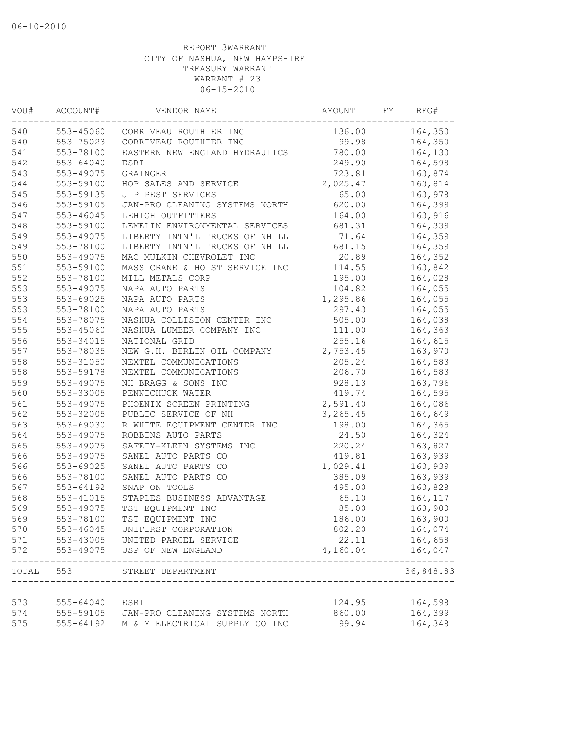| VOU#  | ACCOUNT#      | VENDOR NAME                              | AMOUNT    | FY | REG#                     |
|-------|---------------|------------------------------------------|-----------|----|--------------------------|
| 540   | 553-45060     | CORRIVEAU ROUTHIER INC                   | 136.00    |    | 164,350                  |
| 540   | 553-75023     | CORRIVEAU ROUTHIER INC                   | 99.98     |    | 164,350                  |
| 541   | 553-78100     | EASTERN NEW ENGLAND HYDRAULICS           | 780.00    |    | 164,130                  |
| 542   | 553-64040     | ESRI                                     | 249.90    |    | 164,598                  |
| 543   | 553-49075     | GRAINGER                                 | 723.81    |    | 163,874                  |
| 544   | 553-59100     | HOP SALES AND SERVICE                    | 2,025.47  |    | 163,814                  |
| 545   | 553-59135     | J P PEST SERVICES                        | 65.00     |    | 163,978                  |
| 546   | 553-59105     | JAN-PRO CLEANING SYSTEMS NORTH           | 620.00    |    | 164,399                  |
| 547   | $553 - 46045$ | LEHIGH OUTFITTERS                        | 164.00    |    | 163,916                  |
| 548   | 553-59100     | LEMELIN ENVIRONMENTAL SERVICES           | 681.31    |    | 164,339                  |
| 549   | 553-49075     | LIBERTY INTN'L TRUCKS OF NH LL           | 71.64     |    | 164,359                  |
| 549   | 553-78100     | LIBERTY INTN'L TRUCKS OF NH LL           | 681.15    |    | 164,359                  |
| 550   | 553-49075     | MAC MULKIN CHEVROLET INC                 | 20.89     |    | 164,352                  |
| 551   | 553-59100     | MASS CRANE & HOIST SERVICE INC           | 114.55    |    | 163,842                  |
| 552   | 553-78100     | MILL METALS CORP                         | 195.00    |    | 164,028                  |
| 553   | 553-49075     | NAPA AUTO PARTS                          | 104.82    |    | 164,055                  |
| 553   | 553-69025     | NAPA AUTO PARTS                          | 1,295.86  |    | 164,055                  |
| 553   | 553-78100     | NAPA AUTO PARTS                          | 297.43    |    | 164,055                  |
| 554   | 553-78075     | NASHUA COLLISION CENTER INC              | 505.00    |    | 164,038                  |
| 555   | 553-45060     | NASHUA LUMBER COMPANY INC                | 111.00    |    | 164,363                  |
| 556   | 553-34015     | NATIONAL GRID                            | 255.16    |    | 164,615                  |
| 557   | 553-78035     | NEW G.H. BERLIN OIL COMPANY              | 2,753.45  |    | 163,970                  |
| 558   | 553-31050     | NEXTEL COMMUNICATIONS                    | 205.24    |    | 164,583                  |
| 558   | 553-59178     | NEXTEL COMMUNICATIONS                    | 206.70    |    | 164,583                  |
| 559   | 553-49075     | NH BRAGG & SONS INC                      | 928.13    |    | 163,796                  |
| 560   | 553-33005     | PENNICHUCK WATER                         | 419.74    |    | 164,595                  |
| 561   | 553-49075     | PHOENIX SCREEN PRINTING                  | 2,591.40  |    | 164,086                  |
| 562   | 553-32005     | PUBLIC SERVICE OF NH                     | 3, 265.45 |    | 164,649                  |
| 563   | 553-69030     | R WHITE EQUIPMENT CENTER INC             | 198.00    |    | 164,365                  |
| 564   | 553-49075     | ROBBINS AUTO PARTS                       | 24.50     |    | 164,324                  |
| 565   | 553-49075     | SAFETY-KLEEN SYSTEMS INC                 | 220.24    |    | 163,827                  |
| 566   | 553-49075     | SANEL AUTO PARTS CO                      | 419.81    |    | 163,939                  |
| 566   | 553-69025     | SANEL AUTO PARTS CO                      | 1,029.41  |    | 163,939                  |
| 566   | 553-78100     | SANEL AUTO PARTS CO                      | 385.09    |    | 163,939                  |
| 567   | 553-64192     | SNAP ON TOOLS                            | 495.00    |    | 163,828                  |
| 568   | 553-41015     | STAPLES BUSINESS ADVANTAGE               | 65.10     |    | 164,117                  |
| 569   | 553-49075     | TST EQUIPMENT INC                        | 85.00     |    | 163,900                  |
| 569   | 553-78100     | TST EQUIPMENT INC                        | 186.00    |    | 163,900                  |
| 570   | 553-46045     | UNIFIRST CORPORATION                     | 802.20    |    | 164,074                  |
| 571   |               | 553-43005 UNITED PARCEL SERVICE          | 22.11     |    | 164,658                  |
| 572   |               | 553-49075 USP OF NEW ENGLAND             | 4,160.04  |    | 164,047                  |
| TOTAL | 553           | STREET DEPARTMENT                        | .         |    | $- - - - -$<br>36,848.83 |
|       |               |                                          |           |    |                          |
| 573   | 555-64040     | ESRI                                     | 124.95    |    | 164,598                  |
| 574   |               | 555-59105 JAN-PRO CLEANING SYSTEMS NORTH | 860.00    |    | 164,399                  |
| 575   | 555-64192     | M & M ELECTRICAL SUPPLY CO INC           | 99.94     |    | 164,348                  |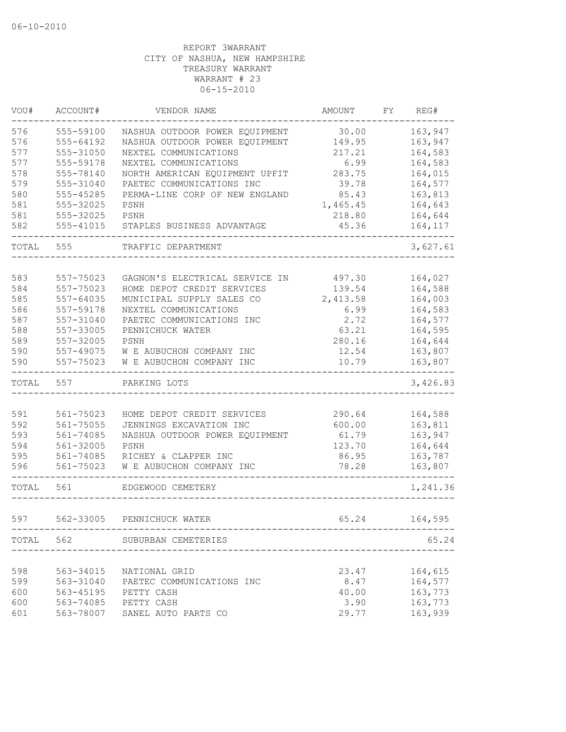| VOU#  | ACCOUNT#      | VENDOR NAME                                                            | AMOUNT                 | FY | REG#     |
|-------|---------------|------------------------------------------------------------------------|------------------------|----|----------|
| 576   | 555-59100     | NASHUA OUTDOOR POWER EQUIPMENT                                         | 30.00                  |    | 163,947  |
| 576   | 555-64192     | NASHUA OUTDOOR POWER EQUIPMENT                                         | 149.95                 |    | 163,947  |
| 577   | 555-31050     | NEXTEL COMMUNICATIONS                                                  | 217.21                 |    | 164,583  |
| 577   | 555-59178     | NEXTEL COMMUNICATIONS                                                  | 6.99                   |    | 164,583  |
| 578   | 555-78140     | NORTH AMERICAN EQUIPMENT UPFIT                                         | 283.75                 |    | 164,015  |
| 579   | 555-31040     | PAETEC COMMUNICATIONS INC                                              | 39.78                  |    | 164,577  |
| 580   | 555-45285     | PERMA-LINE CORP OF NEW ENGLAND                                         | 85.43                  |    | 163,813  |
| 581   | 555-32025     | PSNH                                                                   | 1,465.45               |    | 164,643  |
| 581   | 555-32025     | PSNH                                                                   | 218.80                 |    | 164,644  |
| 582   | $555 - 41015$ | STAPLES BUSINESS ADVANTAGE                                             | 45.36                  |    | 164,117  |
| TOTAL | 555           | TRAFFIC DEPARTMENT                                                     |                        |    | 3,627.61 |
| 583   | 557-75023     | GAGNON'S ELECTRICAL SERVICE IN                                         | 497.30                 |    | 164,027  |
| 584   | 557-75023     | HOME DEPOT CREDIT SERVICES                                             | 139.54                 |    | 164,588  |
| 585   | 557-64035     | MUNICIPAL SUPPLY SALES CO                                              | 2,413.58               |    | 164,003  |
| 586   | 557-59178     | NEXTEL COMMUNICATIONS                                                  | 6.99                   |    | 164,583  |
| 587   | 557-31040     | PAETEC COMMUNICATIONS INC                                              | 2.72                   |    | 164,577  |
| 588   | 557-33005     | PENNICHUCK WATER                                                       | 63.21                  |    | 164,595  |
| 589   | 557-32005     | PSNH                                                                   | 280.16                 |    | 164,644  |
| 590   | 557-49075     | W E AUBUCHON COMPANY INC                                               | 12.54                  |    | 163,807  |
| 590   | 557-75023     | W E AUBUCHON COMPANY INC                                               | 10.79                  |    | 163,807  |
| TOTAL | 557           | PARKING LOTS                                                           |                        |    | 3,426.83 |
|       |               |                                                                        |                        |    |          |
| 591   | 561-75023     | HOME DEPOT CREDIT SERVICES                                             | 290.64                 |    | 164,588  |
| 592   | 561-75055     | JENNINGS EXCAVATION INC                                                | 600.00                 |    | 163,811  |
| 593   | $561 - 74085$ | NASHUA OUTDOOR POWER EQUIPMENT                                         | 61.79                  |    | 163,947  |
| 594   | 561-32005     | PSNH                                                                   | 123.70                 |    | 164,644  |
| 595   | 561-74085     | RICHEY & CLAPPER INC                                                   | 86.95                  |    | 163,787  |
| 596   | 561-75023     | W E AUBUCHON COMPANY INC                                               | 78.28                  |    | 163,807  |
| TOTAL | 561           | EDGEWOOD CEMETERY                                                      |                        |    | 1,241.36 |
| 597   | 562-33005     | PENNICHUCK WATER                                                       | 65.24                  |    | 164,595  |
|       |               | -------------------------------------<br>TOTAL 562 SUBURBAN CEMETERIES |                        |    | 65.24    |
|       |               |                                                                        | ______________________ |    |          |
| 598   |               | 563-34015 NATIONAL GRID                                                | 23.47                  |    | 164,615  |
| 599   |               | 563-31040 PAETEC COMMUNICATIONS INC                                    | 8.47                   |    | 164,577  |
| 600   | 563-45195     | PETTY CASH                                                             | 40.00                  |    | 163,773  |
| 600   |               | 563-74085 PETTY CASH                                                   | 3.90                   |    | 163,773  |
| 601   | 563-78007     | SANEL AUTO PARTS CO                                                    | 29.77                  |    | 163,939  |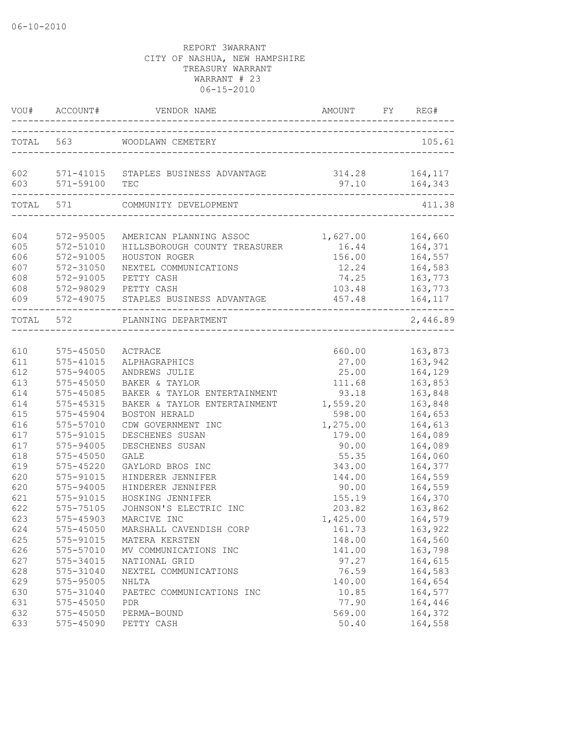|                   | VOU# ACCOUNT#                       |                                                              |                  | FY REG#                             |
|-------------------|-------------------------------------|--------------------------------------------------------------|------------------|-------------------------------------|
|                   |                                     | TOTAL 563 WOODLAWN CEMETERY                                  |                  | 105.61                              |
| 602               | 603 571-59100                       | 571-41015 STAPLES BUSINESS ADVANTAGE<br>TEC                  | 314.28<br>97.10  | 164,117<br>164,343                  |
|                   | TOTAL 571                           | COMMUNITY DEVELOPMENT                                        |                  | 411.38                              |
| 604<br>605        | 572-95005<br>572-51010              | AMERICAN PLANNING ASSOC<br>HILLSBOROUGH COUNTY TREASURER     | 1,627.00         | 164,660<br>16.44 164,371            |
| 606<br>607<br>608 | 572-91005<br>572-31050<br>572-91005 | HOUSTON ROGER<br>NEXTEL COMMUNICATIONS<br>PETTY CASH         | 156.00<br>74.25  | 164,557<br>12.24 164,583<br>163,773 |
| 608<br>609        |                                     | 572-98029 PETTY CASH<br>572-49075 STAPLES BUSINESS ADVANTAGE | 103.48<br>457.48 | 163,773<br>164,117                  |
|                   | TOTAL 572                           | PLANNING DEPARTMENT                                          |                  | 2,446.89                            |
| 610               | 575-45050                           | ACTRACE                                                      | 660.00           | 163,873                             |
| 611               | 575-41015                           | ALPHAGRAPHICS                                                | 27.00            | 163,942                             |
| 612               | 575-94005                           | ANDREWS JULIE                                                | 25.00            | 164,129                             |
| 613               | $575 - 45050$                       | BAKER & TAYLOR                                               | 111.68           | 163,853                             |
| 614               | 575-45085                           | BAKER & TAYLOR ENTERTAINMENT                                 | 93.18            | 163,848                             |
| 614               | 575-45315                           | BAKER & TAYLOR ENTERTAINMENT                                 | 1,559.20         | 163,848                             |
| 615               | 575-45904                           | BOSTON HERALD                                                | 598.00           | 164,653                             |
| 616               | 575-57010                           | CDW GOVERNMENT INC                                           | 1,275.00         | 164,613                             |
| 617               | 575-91015                           | DESCHENES SUSAN                                              | 179.00           | 164,089                             |
| 617               | 575-94005                           | DESCHENES SUSAN                                              | 90.00            | 164,089                             |
| 618               | 575-45050                           | <b>GALE</b>                                                  | 55.35            | 164,060                             |
| 619               | 575-45220                           | GAYLORD BROS INC                                             | 343.00           | 164,377                             |
| 620               | 575-91015                           | HINDERER JENNIFER                                            | 144.00           | 164,559                             |
| 620               | 575-94005                           | HINDERER JENNIFER                                            | 90.00            | 164,559                             |
| 621               | 575-91015                           | HOSKING JENNIFER                                             | 155.19           | 164,370                             |
| 622               | 575-75105                           | JOHNSON'S ELECTRIC INC                                       | 203.82           | 163,862                             |
| 623               | 575-45903                           | MARCIVE INC                                                  | 1,425.00         | 164,579                             |
| 624               | 575-45050                           | MARSHALL CAVENDISH CORP                                      | 161.73           | 163,922                             |
| 625               | 575-91015                           | MATERA KERSTEN                                               | 148.00           | 164,560                             |
| 626               | 575-57010                           | MV COMMUNICATIONS INC                                        | 141.00           | 163,798                             |
| 627               | 575-34015                           | NATIONAL GRID                                                | 97.27            | 164,615                             |
| 628               | 575-31040                           | NEXTEL COMMUNICATIONS                                        | 76.59            | 164,583                             |
| 629               | 575-95005                           | NHLTA                                                        | 140.00           | 164,654                             |
| 630               | 575-31040                           | PAETEC COMMUNICATIONS INC                                    | 10.85            | 164,577                             |
| 631               | 575-45050                           | <b>PDR</b>                                                   | 77.90            | 164,446                             |
| 632               | 575-45050                           | PERMA-BOUND                                                  | 569.00           | 164,372                             |
| 633               | 575-45090                           | PETTY CASH                                                   | 50.40            | 164,558                             |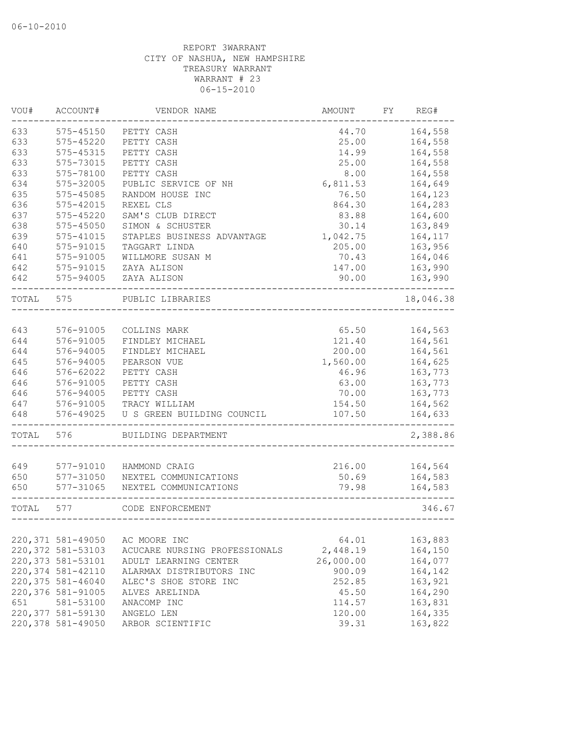| VOU#  | ACCOUNT#           | VENDOR NAME                            | AMOUNT          | FΥ | REG#               |
|-------|--------------------|----------------------------------------|-----------------|----|--------------------|
| 633   | 575-45150          | PETTY CASH                             | 44.70           |    | 164,558            |
| 633   | 575-45220          | PETTY CASH                             | 25.00           |    | 164,558            |
| 633   | 575-45315          | PETTY CASH                             | 14.99           |    | 164,558            |
| 633   | 575-73015          | PETTY CASH                             | 25.00           |    | 164,558            |
| 633   | 575-78100          | PETTY CASH                             | 8.00            |    | 164,558            |
| 634   | 575-32005          | PUBLIC SERVICE OF NH                   | 6,811.53        |    | 164,649            |
| 635   | 575-45085          | RANDOM HOUSE INC                       | 76.50           |    | 164,123            |
| 636   | 575-42015          | REXEL CLS                              | 864.30          |    | 164,283            |
| 637   | 575-45220          | SAM'S CLUB DIRECT                      | 83.88           |    | 164,600            |
| 638   | $575 - 45050$      | SIMON & SCHUSTER                       | 30.14           |    | 163,849            |
| 639   | $575 - 41015$      | STAPLES BUSINESS ADVANTAGE             | 1,042.75        |    | 164,117            |
| 640   | 575-91015          | TAGGART LINDA                          | 205.00          |    | 163,956            |
| 641   | 575-91005          | WILLMORE SUSAN M                       | 70.43           |    | 164,046            |
| 642   | 575-91015          | ZAYA ALISON                            | 147.00          |    | 163,990            |
| 642   | 575-94005          | ZAYA ALISON                            | 90.00           |    | 163,990            |
| TOTAL | 575                | PUBLIC LIBRARIES                       |                 |    | 18,046.38          |
|       |                    |                                        |                 |    |                    |
| 643   | 576-91005          | COLLINS MARK                           | 65.50           |    | 164,563            |
| 644   | 576-91005          | FINDLEY MICHAEL                        | 121.40          |    | 164,561            |
| 644   | 576-94005          | FINDLEY MICHAEL                        | 200.00          |    | 164,561            |
| 645   | 576-94005          | PEARSON VUE                            | 1,560.00        |    | 164,625            |
| 646   | 576-62022          | PETTY CASH                             | 46.96           |    | 163,773            |
| 646   | 576-91005          | PETTY CASH                             | 63.00           |    | 163,773            |
| 646   | 576-94005          | PETTY CASH                             | 70.00           |    | 163,773            |
| 647   | 576-91005          | TRACY WILLIAM                          | 154.50          |    | 164,562            |
| 648   | 576-49025          | U S GREEN BUILDING COUNCIL             | 107.50          |    | 164,633            |
| TOTAL | 576                | BUILDING DEPARTMENT                    |                 |    | 2,388.86           |
| 649   | 577-91010          |                                        |                 |    |                    |
| 650   | 577-31050          | HAMMOND CRAIG<br>NEXTEL COMMUNICATIONS | 216.00<br>50.69 |    | 164,564<br>164,583 |
| 650   | 577-31065          | NEXTEL COMMUNICATIONS                  | 79.98           |    | 164,583            |
|       |                    |                                        |                 |    |                    |
| TOTAL | 577                | CODE ENFORCEMENT                       |                 |    | 346.67             |
|       |                    |                                        |                 |    |                    |
|       | 220, 371 581-49050 | AC MOORE INC                           | 64.01           |    | 163,883            |
|       | 220,372 581-53103  | ACUCARE NURSING PROFESSIONALS          | 2,448.19        |    | 164,150            |
|       | 220, 373 581-53101 | ADULT LEARNING CENTER                  | 26,000.00       |    | 164,077            |
|       | 220,374 581-42110  | ALARMAX DISTRIBUTORS INC               | 900.09          |    | 164,142            |
|       | 220, 375 581-46040 | ALEC'S SHOE STORE INC                  | 252.85          |    | 163,921            |
|       | 220,376 581-91005  | ALVES ARELINDA                         | 45.50           |    | 164,290            |
| 651   | 581-53100          | ANACOMP INC                            | 114.57          |    | 163,831            |
|       | 220,377 581-59130  | ANGELO LEN                             | 120.00          |    | 164,335            |
|       | 220,378 581-49050  | ARBOR SCIENTIFIC                       | 39.31           |    | 163,822            |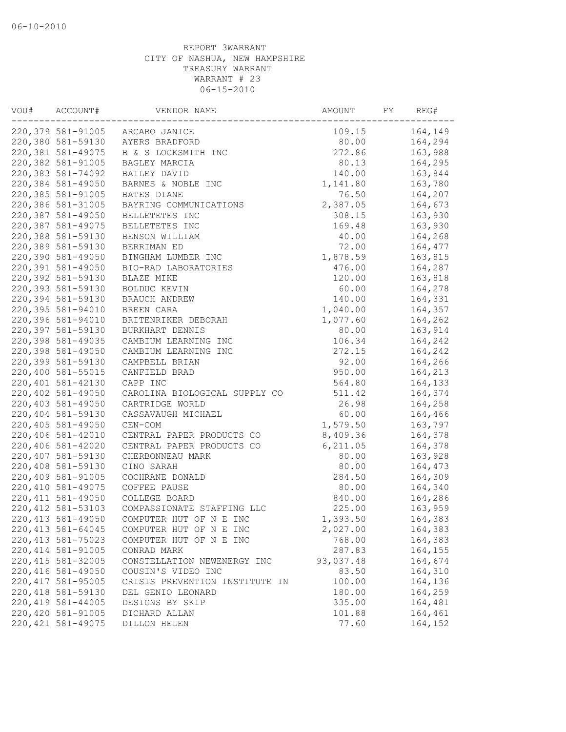| VOU# | ACCOUNT#           | VENDOR NAME                    | AMOUNT    | FY | REG#    |
|------|--------------------|--------------------------------|-----------|----|---------|
|      | 220,379 581-91005  | ARCARO JANICE                  | 109.15    |    | 164,149 |
|      | 220,380 581-59130  | AYERS BRADFORD                 | 80.00     |    | 164,294 |
|      | 220,381 581-49075  | B & S LOCKSMITH INC            | 272.86    |    | 163,988 |
|      | 220,382 581-91005  | BAGLEY MARCIA                  | 80.13     |    | 164,295 |
|      | 220,383 581-74092  | BAILEY DAVID                   | 140.00    |    | 163,844 |
|      | 220,384 581-49050  | BARNES & NOBLE INC             | 1,141.80  |    | 163,780 |
|      | 220,385 581-91005  | BATES DIANE                    | 76.50     |    | 164,207 |
|      | 220,386 581-31005  | BAYRING COMMUNICATIONS         | 2,387.05  |    | 164,673 |
|      | 220,387 581-49050  | BELLETETES INC                 | 308.15    |    | 163,930 |
|      | 220,387 581-49075  | BELLETETES INC                 | 169.48    |    | 163,930 |
|      | 220,388 581-59130  | BENSON WILLIAM                 | 40.00     |    | 164,268 |
|      | 220,389 581-59130  | BERRIMAN ED                    | 72.00     |    | 164,477 |
|      | 220,390 581-49050  | BINGHAM LUMBER INC             | 1,878.59  |    | 163,815 |
|      | 220,391 581-49050  | BIO-RAD LABORATORIES           | 476.00    |    | 164,287 |
|      | 220,392 581-59130  | BLAZE MIKE                     | 120.00    |    | 163,818 |
|      | 220,393 581-59130  | BOLDUC KEVIN                   | 60.00     |    | 164,278 |
|      | 220,394 581-59130  | BRAUCH ANDREW                  | 140.00    |    | 164,331 |
|      | 220,395 581-94010  | BREEN CARA                     | 1,040.00  |    | 164,357 |
|      | 220,396 581-94010  | BRITENRIKER DEBORAH            | 1,077.60  |    | 164,262 |
|      | 220,397 581-59130  | BURKHART DENNIS                | 80.00     |    | 163,914 |
|      | 220,398 581-49035  | CAMBIUM LEARNING INC           | 106.34    |    | 164,242 |
|      | 220,398 581-49050  | CAMBIUM LEARNING INC           | 272.15    |    | 164,242 |
|      | 220,399 581-59130  | CAMPBELL BRIAN                 | 92.00     |    | 164,266 |
|      | 220,400 581-55015  | CANFIELD BRAD                  | 950.00    |    | 164,213 |
|      | 220,401 581-42130  | CAPP INC                       | 564.80    |    | 164,133 |
|      | 220,402 581-49050  | CAROLINA BIOLOGICAL SUPPLY CO  | 511.42    |    | 164,374 |
|      | 220,403 581-49050  | CARTRIDGE WORLD                | 26.98     |    | 164,258 |
|      | 220,404 581-59130  | CASSAVAUGH MICHAEL             | 60.00     |    | 164,466 |
|      | 220,405 581-49050  | $CEN-COM$                      | 1,579.50  |    | 163,797 |
|      | 220,406 581-42010  | CENTRAL PAPER PRODUCTS CO      | 8,409.36  |    | 164,378 |
|      | 220,406 581-42020  | CENTRAL PAPER PRODUCTS CO      | 6, 211.05 |    | 164,378 |
|      | 220,407 581-59130  | CHERBONNEAU MARK               | 80.00     |    | 163,928 |
|      | 220,408 581-59130  | CINO SARAH                     | 80.00     |    | 164,473 |
|      | 220,409 581-91005  | COCHRANE DONALD                | 284.50    |    | 164,309 |
|      | 220, 410 581-49075 | COFFEE PAUSE                   | 80.00     |    | 164,340 |
|      | 220, 411 581-49050 | COLLEGE BOARD                  | 840.00    |    | 164,286 |
|      | 220, 412 581-53103 | COMPASSIONATE STAFFING LLC     | 225.00    |    | 163,959 |
|      | 220, 413 581-49050 | COMPUTER HUT OF N E INC        | 1,393.50  |    | 164,383 |
|      | 220, 413 581-64045 | COMPUTER HUT OF N E INC        | 2,027.00  |    | 164,383 |
|      | 220, 413 581-75023 | COMPUTER HUT OF N E INC        | 768.00    |    | 164,383 |
|      | 220, 414 581-91005 | CONRAD MARK                    | 287.83    |    | 164,155 |
|      | 220, 415 581-32005 | CONSTELLATION NEWENERGY INC    | 93,037.48 |    | 164,674 |
|      | 220, 416 581-49050 | COUSIN'S VIDEO INC             | 83.50     |    | 164,310 |
|      | 220, 417 581-95005 | CRISIS PREVENTION INSTITUTE IN | 100.00    |    | 164,136 |
|      | 220, 418 581-59130 | DEL GENIO LEONARD              | 180.00    |    | 164,259 |
|      | 220, 419 581-44005 | DESIGNS BY SKIP                | 335.00    |    | 164,481 |
|      | 220,420 581-91005  | DICHARD ALLAN                  | 101.88    |    | 164,461 |
|      | 220, 421 581-49075 | DILLON HELEN                   | 77.60     |    | 164,152 |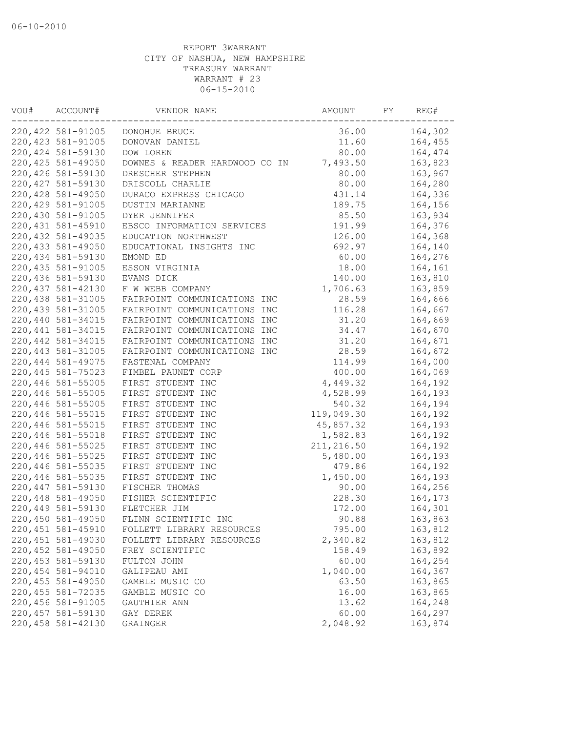| VOU# | ACCOUNT#           | VENDOR NAME                            | AMOUNT             | FY | REG#    |
|------|--------------------|----------------------------------------|--------------------|----|---------|
|      | 220, 422 581-91005 | DONOHUE BRUCE                          | 36.00              |    | 164,302 |
|      | 220, 423 581-91005 | DONOVAN DANIEL                         | 11.60              |    | 164,455 |
|      | 220, 424 581-59130 | DOW LOREN                              | 80.00              |    | 164,474 |
|      | 220, 425 581-49050 | DOWNES & READER HARDWOOD CO IN         | 7,493.50           |    | 163,823 |
|      | 220,426 581-59130  | DRESCHER STEPHEN                       | 80.00              |    | 163,967 |
|      | 220, 427 581-59130 | DRISCOLL CHARLIE                       | 80.00              |    | 164,280 |
|      | 220,428 581-49050  | DURACO EXPRESS CHICAGO                 | 431.14             |    | 164,336 |
|      | 220, 429 581-91005 | DUSTIN MARIANNE                        | 189.75             |    | 164,156 |
|      | 220,430 581-91005  | DYER JENNIFER                          | 85.50              |    | 163,934 |
|      | 220, 431 581-45910 | EBSCO INFORMATION SERVICES             | 191.99             |    | 164,376 |
|      | 220, 432 581-49035 | EDUCATION NORTHWEST                    | 126.00             |    | 164,368 |
|      | 220, 433 581-49050 | EDUCATIONAL INSIGHTS INC               | 692.97             |    | 164,140 |
|      | 220, 434 581-59130 | EMOND ED                               | 60.00              |    | 164,276 |
|      | 220, 435 581-91005 | ESSON VIRGINIA                         | 18.00              |    | 164,161 |
|      | 220,436 581-59130  | EVANS DICK                             | 140.00             |    | 163,810 |
|      | 220, 437 581-42130 | F W WEBB COMPANY                       | 1,706.63           |    | 163,859 |
|      | 220,438 581-31005  | FAIRPOINT COMMUNICATIONS INC           | 28.59              |    | 164,666 |
|      | 220, 439 581-31005 | FAIRPOINT COMMUNICATIONS INC           | 116.28             |    | 164,667 |
|      | 220,440 581-34015  | FAIRPOINT COMMUNICATIONS INC           | 31.20              |    | 164,669 |
|      | 220, 441 581-34015 | FAIRPOINT COMMUNICATIONS INC           | 34.47              |    | 164,670 |
|      | 220, 442 581-34015 | FAIRPOINT COMMUNICATIONS INC           | 31.20              |    | 164,671 |
|      | 220, 443 581-31005 | FAIRPOINT COMMUNICATIONS INC           | 28.59              |    | 164,672 |
|      | 220, 444 581-49075 | FASTENAL COMPANY                       | 114.99             |    | 164,000 |
|      | 220, 445 581-75023 | FIMBEL PAUNET CORP                     | 400.00             |    | 164,069 |
|      | 220,446 581-55005  | FIRST STUDENT INC                      | 4,449.32           |    | 164,192 |
|      | 220,446 581-55005  | FIRST STUDENT INC                      | 4,528.99           |    | 164,193 |
|      | 220,446 581-55005  | FIRST STUDENT INC                      | 540.32             |    | 164,194 |
|      | 220,446 581-55015  | FIRST STUDENT INC                      | 119,049.30         |    | 164,192 |
|      | 220,446 581-55015  | FIRST STUDENT INC                      | 45,857.32          |    | 164,193 |
|      | 220,446 581-55018  | FIRST STUDENT INC                      | 1,582.83           |    | 164,192 |
|      | 220,446 581-55025  | FIRST STUDENT INC                      | 211, 216.50        |    | 164,192 |
|      |                    |                                        |                    |    |         |
|      | 220,446 581-55025  | FIRST STUDENT INC<br>FIRST STUDENT INC | 5,480.00<br>479.86 |    | 164,193 |
|      | 220,446 581-55035  |                                        |                    |    | 164,192 |
|      | 220,446 581-55035  | FIRST STUDENT INC                      | 1,450.00           |    | 164,193 |
|      | 220, 447 581-59130 | FISCHER THOMAS                         | 90.00              |    | 164,256 |
|      | 220,448 581-49050  | FISHER SCIENTIFIC                      | 228.30             |    | 164,173 |
|      | 220,449 581-59130  | FLETCHER JIM                           | 172.00             |    | 164,301 |
|      | 220,450 581-49050  | FLINN SCIENTIFIC INC                   | 90.88              |    | 163,863 |
|      | 220, 451 581-45910 | FOLLETT LIBRARY RESOURCES              | 795.00             |    | 163,812 |
|      | 220,451 581-49030  | FOLLETT LIBRARY RESOURCES              | 2,340.82           |    | 163,812 |
|      | 220,452 581-49050  | FREY SCIENTIFIC                        | 158.49             |    | 163,892 |
|      | 220, 453 581-59130 | FULTON JOHN                            | 60.00              |    | 164,254 |
|      | 220,454 581-94010  | GALIPEAU AMI                           | 1,040.00           |    | 164,367 |
|      | 220, 455 581-49050 | GAMBLE MUSIC CO                        | 63.50              |    | 163,865 |
|      | 220, 455 581-72035 | GAMBLE MUSIC CO                        | 16.00              |    | 163,865 |
|      | 220,456 581-91005  | GAUTHIER ANN                           | 13.62              |    | 164,248 |
|      | 220, 457 581-59130 | GAY DEREK                              | 60.00              |    | 164,297 |
|      | 220,458 581-42130  | GRAINGER                               | 2,048.92           |    | 163,874 |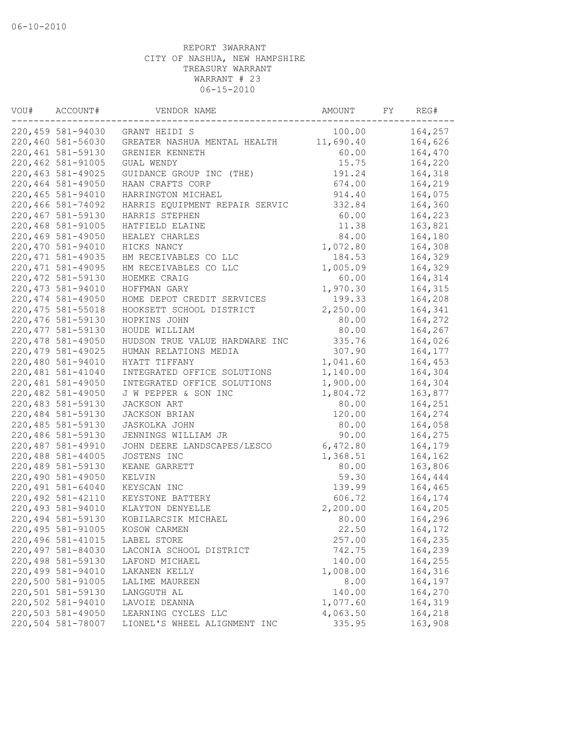| VOU# | ACCOUNT#           | VENDOR NAME                    | AMOUNT    | FY | REG#    |
|------|--------------------|--------------------------------|-----------|----|---------|
|      | 220,459 581-94030  | GRANT HEIDI S                  | 100.00    |    | 164,257 |
|      | 220,460 581-56030  | GREATER NASHUA MENTAL HEALTH   | 11,690.40 |    | 164,626 |
|      | 220,461 581-59130  | GRENIER KENNETH                | 60.00     |    | 164,470 |
|      | 220,462 581-91005  | GUAL WENDY                     | 15.75     |    | 164,220 |
|      | 220, 463 581-49025 | GUIDANCE GROUP INC (THE)       | 191.24    |    | 164,318 |
|      | 220,464 581-49050  | HAAN CRAFTS CORP               | 674.00    |    | 164,219 |
|      | 220,465 581-94010  | HARRINGTON MICHAEL             | 914.40    |    | 164,075 |
|      | 220,466 581-74092  | HARRIS EQUIPMENT REPAIR SERVIC | 332.84    |    | 164,360 |
|      | 220,467 581-59130  | HARRIS STEPHEN                 | 60.00     |    | 164,223 |
|      | 220,468 581-91005  | HATFIELD ELAINE                | 11.38     |    | 163,821 |
|      | 220,469 581-49050  | HEALEY CHARLES                 | 84.00     |    | 164,180 |
|      | 220,470 581-94010  | HICKS NANCY                    | 1,072.80  |    | 164,308 |
|      | 220, 471 581-49035 | HM RECEIVABLES CO LLC          | 184.53    |    | 164,329 |
|      | 220, 471 581-49095 | HM RECEIVABLES CO LLC          | 1,005.09  |    | 164,329 |
|      | 220, 472 581-59130 | HOEMKE CRAIG                   | 60.00     |    | 164,314 |
|      | 220, 473 581-94010 | HOFFMAN GARY                   | 1,970.30  |    | 164,315 |
|      | 220, 474 581-49050 | HOME DEPOT CREDIT SERVICES     | 199.33    |    | 164,208 |
|      | 220, 475 581-55018 | HOOKSETT SCHOOL DISTRICT       | 2,250.00  |    | 164,341 |
|      | 220,476 581-59130  | HOPKINS JOHN                   | 80.00     |    | 164,272 |
|      | 220, 477 581-59130 | HOUDE WILLIAM                  | 80.00     |    | 164,267 |
|      | 220, 478 581-49050 | HUDSON TRUE VALUE HARDWARE INC | 335.76    |    | 164,026 |
|      | 220, 479 581-49025 | HUMAN RELATIONS MEDIA          | 307.90    |    | 164,177 |
|      | 220,480 581-94010  | HYATT TIFFANY                  | 1,041.60  |    | 164,453 |
|      | 220,481 581-41040  | INTEGRATED OFFICE SOLUTIONS    | 1,140.00  |    | 164,304 |
|      | 220,481 581-49050  | INTEGRATED OFFICE SOLUTIONS    | 1,900.00  |    | 164,304 |
|      | 220,482 581-49050  | J W PEPPER & SON INC           | 1,804.72  |    | 163,877 |
|      | 220,483 581-59130  | JACKSON ART                    | 80.00     |    | 164,251 |
|      | 220,484 581-59130  | JACKSON BRIAN                  | 120.00    |    | 164,274 |
|      | 220,485 581-59130  | JASKOLKA JOHN                  | 80.00     |    | 164,058 |
|      | 220,486 581-59130  | JENNINGS WILLIAM JR            | 90.00     |    | 164,275 |
|      | 220,487 581-49910  | JOHN DEERE LANDSCAPES/LESCO    | 6,472.80  |    | 164,179 |
|      | 220,488 581-44005  | JOSTENS INC                    | 1,368.51  |    | 164,162 |
|      | 220,489 581-59130  | KEANE GARRETT                  | 80.00     |    | 163,806 |
|      | 220,490 581-49050  | KELVIN                         | 59.30     |    | 164,444 |
|      | 220,491 581-64040  | KEYSCAN INC                    | 139.99    |    | 164,465 |
|      | 220, 492 581-42110 | KEYSTONE BATTERY               | 606.72    |    | 164,174 |
|      | 220,493 581-94010  | KLAYTON DENYELLE               | 2,200.00  |    | 164,205 |
|      | 220,494 581-59130  | KOBILARCSIK MICHAEL            | 80.00     |    | 164,296 |
|      | 220,495 581-91005  | KOSOW CARMEN                   | 22.50     |    | 164,172 |
|      | 220, 496 581-41015 | LABEL STORE                    | 257.00    |    | 164,235 |
|      | 220,497 581-84030  | LACONIA SCHOOL DISTRICT        | 742.75    |    | 164,239 |
|      | 220,498 581-59130  | LAFOND MICHAEL                 | 140.00    |    | 164,255 |
|      | 220,499 581-94010  | LAKANEN KELLY                  | 1,008.00  |    | 164,316 |
|      | 220,500 581-91005  | LALIME MAUREEN                 | 8.00      |    | 164,197 |
|      | 220,501 581-59130  | LANGGUTH AL                    | 140.00    |    | 164,270 |
|      | 220,502 581-94010  | LAVOIE DEANNA                  | 1,077.60  |    | 164,319 |
|      | 220,503 581-49050  | LEARNING CYCLES LLC            | 4,063.50  |    | 164,218 |
|      | 220,504 581-78007  | LIONEL'S WHEEL ALIGNMENT INC   | 335.95    |    | 163,908 |
|      |                    |                                |           |    |         |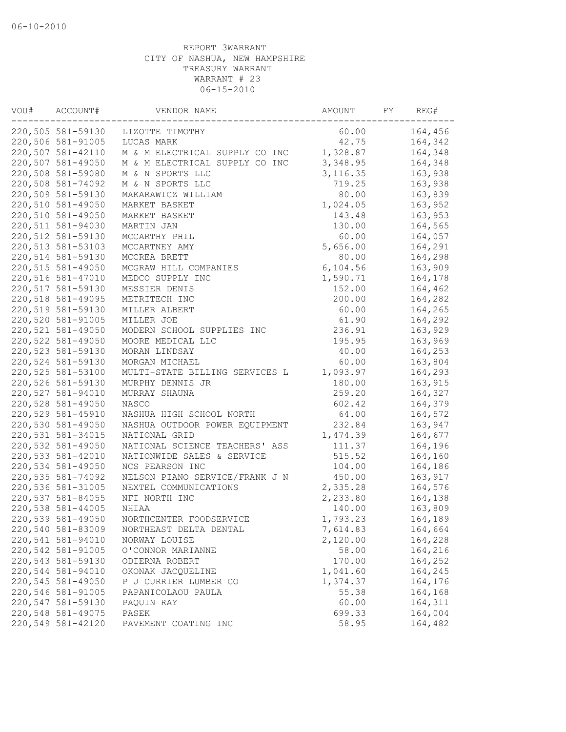| VOU# | ACCOUNT#          | VENDOR NAME                    | AMOUNT    | FY | REG#    |
|------|-------------------|--------------------------------|-----------|----|---------|
|      | 220,505 581-59130 | LIZOTTE TIMOTHY                | 60.00     |    | 164,456 |
|      | 220,506 581-91005 | LUCAS MARK                     | 42.75     |    | 164,342 |
|      | 220,507 581-42110 | M & M ELECTRICAL SUPPLY CO INC | 1,328.87  |    | 164,348 |
|      | 220,507 581-49050 | M & M ELECTRICAL SUPPLY CO INC | 3,348.95  |    | 164,348 |
|      | 220,508 581-59080 | M & N SPORTS LLC               | 3, 116.35 |    | 163,938 |
|      | 220,508 581-74092 | M & N SPORTS LLC               | 719.25    |    | 163,938 |
|      | 220,509 581-59130 | MAKARAWICZ WILLIAM             | 80.00     |    | 163,839 |
|      | 220,510 581-49050 | MARKET BASKET                  | 1,024.05  |    | 163,952 |
|      | 220,510 581-49050 | MARKET BASKET                  | 143.48    |    | 163,953 |
|      | 220,511 581-94030 | MARTIN JAN                     | 130.00    |    | 164,565 |
|      | 220,512 581-59130 | MCCARTHY PHIL                  | 60.00     |    | 164,057 |
|      | 220,513 581-53103 | MCCARTNEY AMY                  | 5,656.00  |    | 164,291 |
|      | 220,514 581-59130 | MCCREA BRETT                   | 80.00     |    | 164,298 |
|      | 220,515 581-49050 | MCGRAW HILL COMPANIES          | 6, 104.56 |    | 163,909 |
|      | 220,516 581-47010 | MEDCO SUPPLY INC               | 1,590.71  |    | 164,178 |
|      | 220,517 581-59130 | MESSIER DENIS                  | 152.00    |    | 164,462 |
|      | 220,518 581-49095 | METRITECH INC                  | 200.00    |    | 164,282 |
|      | 220,519 581-59130 | MILLER ALBERT                  | 60.00     |    | 164,265 |
|      | 220,520 581-91005 | MILLER JOE                     | 61.90     |    | 164,292 |
|      | 220,521 581-49050 | MODERN SCHOOL SUPPLIES INC     | 236.91    |    | 163,929 |
|      | 220,522 581-49050 | MOORE MEDICAL LLC              | 195.95    |    | 163,969 |
|      | 220,523 581-59130 | MORAN LINDSAY                  | 40.00     |    | 164,253 |
|      | 220,524 581-59130 | MORGAN MICHAEL                 | 60.00     |    | 163,804 |
|      | 220,525 581-53100 | MULTI-STATE BILLING SERVICES L | 1,093.97  |    | 164,293 |
|      | 220,526 581-59130 | MURPHY DENNIS JR               | 180.00    |    | 163,915 |
|      | 220,527 581-94010 | MURRAY SHAUNA                  | 259.20    |    | 164,327 |
|      | 220,528 581-49050 | NASCO                          | 602.42    |    | 164,379 |
|      | 220,529 581-45910 | NASHUA HIGH SCHOOL NORTH       | 64.00     |    | 164,572 |
|      | 220,530 581-49050 | NASHUA OUTDOOR POWER EQUIPMENT | 232.84    |    | 163,947 |
|      | 220,531 581-34015 | NATIONAL GRID                  | 1,474.39  |    | 164,677 |
|      | 220,532 581-49050 | NATIONAL SCIENCE TEACHERS' ASS | 111.37    |    | 164,196 |
|      | 220,533 581-42010 | NATIONWIDE SALES & SERVICE     | 515.52    |    | 164,160 |
|      | 220,534 581-49050 | NCS PEARSON INC                | 104.00    |    | 164,186 |
|      | 220,535 581-74092 |                                |           |    |         |
|      |                   | NELSON PIANO SERVICE/FRANK J N | 450.00    |    | 163,917 |
|      | 220,536 581-31005 | NEXTEL COMMUNICATIONS          | 2,335.28  |    | 164,576 |
|      | 220,537 581-84055 | NFI NORTH INC                  | 2,233.80  |    | 164,138 |
|      | 220,538 581-44005 | NHIAA                          | 140.00    |    | 163,809 |
|      | 220,539 581-49050 | NORTHCENTER FOODSERVICE        | 1,793.23  |    | 164,189 |
|      | 220,540 581-83009 | NORTHEAST DELTA DENTAL         | 7,614.83  |    | 164,664 |
|      | 220,541 581-94010 | NORWAY LOUISE                  | 2,120.00  |    | 164,228 |
|      | 220,542 581-91005 | O'CONNOR MARIANNE              | 58.00     |    | 164,216 |
|      | 220,543 581-59130 | ODIERNA ROBERT                 | 170.00    |    | 164,252 |
|      | 220,544 581-94010 | OKONAK JACQUELINE              | 1,041.60  |    | 164,245 |
|      | 220,545 581-49050 | P J CURRIER LUMBER CO          | 1,374.37  |    | 164,176 |
|      | 220,546 581-91005 | PAPANICOLAOU PAULA             | 55.38     |    | 164,168 |
|      | 220,547 581-59130 | PAQUIN RAY                     | 60.00     |    | 164,311 |
|      | 220,548 581-49075 | PASEK                          | 699.33    |    | 164,004 |
|      | 220,549 581-42120 | PAVEMENT COATING INC           | 58.95     |    | 164,482 |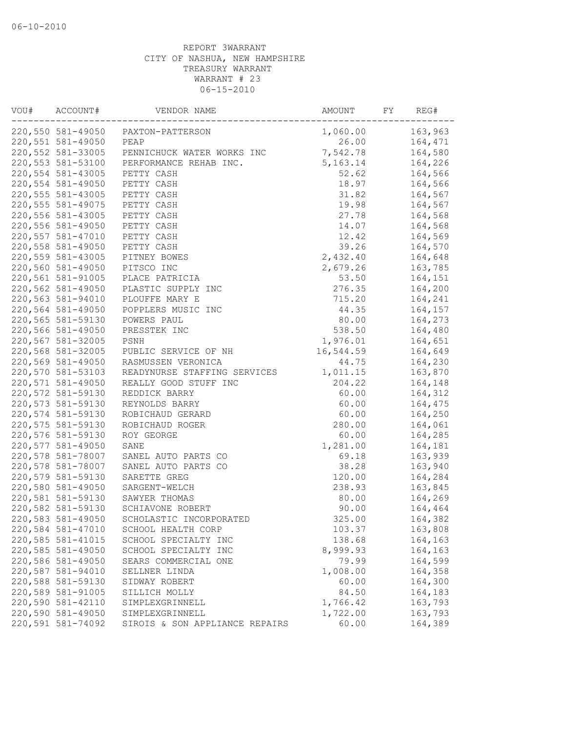| VOU# | ACCOUNT#           | VENDOR NAME                                  | AMOUNT           | FY | REG#    |
|------|--------------------|----------------------------------------------|------------------|----|---------|
|      | 220,550 581-49050  | PAXTON-PATTERSON                             | 1,060.00         |    | 163,963 |
|      | 220,551 581-49050  | PEAP                                         | 26.00            |    | 164,471 |
|      | 220,552 581-33005  | PENNICHUCK WATER WORKS INC                   | 7,542.78         |    | 164,580 |
|      | 220,553 581-53100  | PERFORMANCE REHAB INC.                       | 5,163.14         |    | 164,226 |
|      | 220,554 581-43005  | PETTY CASH                                   | 52.62            |    | 164,566 |
|      | 220,554 581-49050  | PETTY CASH                                   | 18.97            |    | 164,566 |
|      | 220,555 581-43005  | PETTY CASH                                   | 31.82            |    | 164,567 |
|      | 220, 555 581-49075 | PETTY CASH                                   | 19.98            |    | 164,567 |
|      | 220,556 581-43005  | PETTY CASH                                   | 27.78            |    | 164,568 |
|      | 220,556 581-49050  | PETTY CASH                                   | 14.07            |    | 164,568 |
|      | 220,557 581-47010  | PETTY CASH                                   | 12.42            |    | 164,569 |
|      | 220,558 581-49050  | PETTY CASH                                   | 39.26            |    | 164,570 |
|      | 220,559 581-43005  | PITNEY BOWES                                 | 2,432.40         |    | 164,648 |
|      | 220,560 581-49050  | PITSCO INC                                   | 2,679.26         |    | 163,785 |
|      | 220,561 581-91005  | PLACE PATRICIA                               | 53.50            |    | 164,151 |
|      | 220,562 581-49050  | PLASTIC SUPPLY INC                           | 276.35           |    | 164,200 |
|      | 220,563 581-94010  | PLOUFFE MARY E                               | 715.20           |    | 164,241 |
|      | 220,564 581-49050  | POPPLERS MUSIC INC                           | 44.35            |    | 164,157 |
|      | 220,565 581-59130  | POWERS PAUL                                  | 80.00            |    | 164,273 |
|      | 220,566 581-49050  | PRESSTEK INC                                 | 538.50           |    | 164,480 |
|      | 220,567 581-32005  | PSNH                                         | 1,976.01         |    | 164,651 |
|      | 220,568 581-32005  | PUBLIC SERVICE OF NH                         | 16,544.59        |    | 164,649 |
|      | 220,569 581-49050  | RASMUSSEN VERONICA                           | 44.75            |    | 164,230 |
|      | 220,570 581-53103  | READYNURSE STAFFING SERVICES                 | 1,011.15         |    | 163,870 |
|      | 220,571 581-49050  | REALLY GOOD STUFF INC                        | 204.22           |    | 164,148 |
|      | 220,572 581-59130  | REDDICK BARRY                                | 60.00            |    | 164,312 |
|      | 220,573 581-59130  | REYNOLDS BARRY                               | 60.00            |    | 164,475 |
|      | 220,574 581-59130  | ROBICHAUD GERARD                             | 60.00            |    | 164,250 |
|      | 220,575 581-59130  | ROBICHAUD ROGER                              | 280.00           |    | 164,061 |
|      | 220,576 581-59130  | ROY GEORGE                                   | 60.00            |    | 164,285 |
|      | 220,577 581-49050  | SANE                                         | 1,281.00         |    | 164,181 |
|      | 220,578 581-78007  | SANEL AUTO PARTS CO                          | 69.18            |    | 163,939 |
|      | 220,578 581-78007  | SANEL AUTO PARTS CO                          | 38.28            |    | 163,940 |
|      | 220,579 581-59130  | SARETTE GREG                                 | 120.00           |    | 164,284 |
|      | 220,580 581-49050  | SARGENT-WELCH                                | 238.93           |    | 163,845 |
|      | 220,581 581-59130  | SAWYER THOMAS                                | 80.00            |    | 164,269 |
|      | 220,582 581-59130  | SCHIAVONE ROBERT                             | 90.00            |    | 164,464 |
|      | 220,583 581-49050  | SCHOLASTIC INCORPORATED                      | 325.00           |    | 164,382 |
|      | 220,584 581-47010  |                                              |                  |    | 163,808 |
|      | 220,585 581-41015  | SCHOOL HEALTH CORP                           | 103.37<br>138.68 |    | 164,163 |
|      | 220,585 581-49050  | SCHOOL SPECIALTY INC<br>SCHOOL SPECIALTY INC | 8,999.93         |    | 164,163 |
|      | 220,586 581-49050  | SEARS COMMERCIAL ONE                         | 79.99            |    | 164,599 |
|      | 220,587 581-94010  |                                              | 1,008.00         |    | 164,358 |
|      |                    | SELLNER LINDA                                |                  |    |         |
|      | 220,588 581-59130  | SIDWAY ROBERT                                | 60.00            |    | 164,300 |
|      | 220,589 581-91005  | SILLICH MOLLY                                | 84.50            |    | 164,183 |
|      | 220,590 581-42110  | SIMPLEXGRINNELL                              | 1,766.42         |    | 163,793 |
|      | 220,590 581-49050  | SIMPLEXGRINNELL                              | 1,722.00         |    | 163,793 |
|      | 220,591 581-74092  | SIROIS & SON APPLIANCE REPAIRS               | 60.00            |    | 164,389 |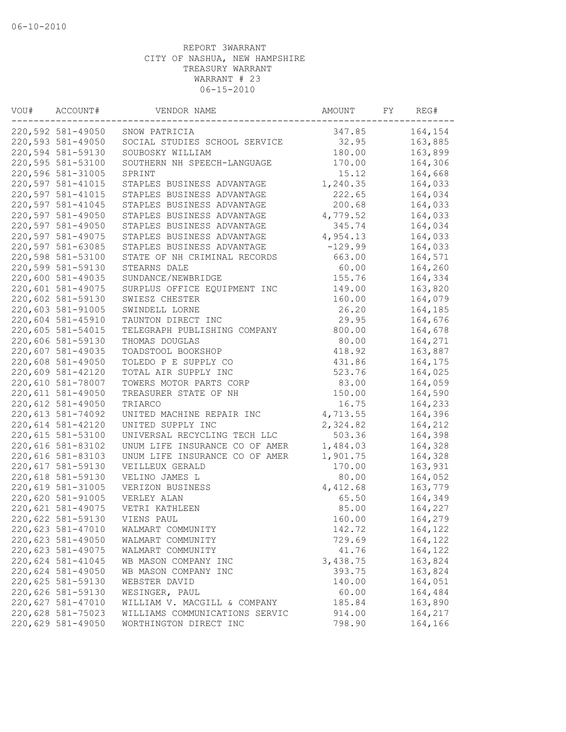| VOU# | ACCOUNT#                               | VENDOR NAME                                       | AMOUNT    | FY | REG#    |
|------|----------------------------------------|---------------------------------------------------|-----------|----|---------|
|      | 220,592 581-49050                      | SNOW PATRICIA                                     | 347.85    |    | 164,154 |
|      | 220,593 581-49050                      | SOCIAL STUDIES SCHOOL SERVICE                     | 32.95     |    | 163,885 |
|      | 220,594 581-59130                      | SOUBOSKY WILLIAM                                  | 180.00    |    | 163,899 |
|      | 220,595 581-53100                      | SOUTHERN NH SPEECH-LANGUAGE                       | 170.00    |    | 164,306 |
|      | 220,596 581-31005                      | SPRINT                                            | 15.12     |    | 164,668 |
|      | 220,597 581-41015                      | STAPLES BUSINESS ADVANTAGE                        | 1,240.35  |    | 164,033 |
|      | 220,597 581-41015                      | STAPLES BUSINESS ADVANTAGE                        | 222.65    |    | 164,034 |
|      | 220,597 581-41045                      | STAPLES BUSINESS ADVANTAGE                        | 200.68    |    | 164,033 |
|      | 220,597 581-49050                      | STAPLES BUSINESS ADVANTAGE                        | 4,779.52  |    | 164,033 |
|      | 220,597 581-49050                      | STAPLES BUSINESS ADVANTAGE                        | 345.74    |    | 164,034 |
|      | 220,597 581-49075                      | STAPLES BUSINESS ADVANTAGE                        | 4,954.13  |    | 164,033 |
|      | 220,597 581-63085                      | STAPLES BUSINESS ADVANTAGE                        | $-129.99$ |    | 164,033 |
|      | 220,598 581-53100                      | STATE OF NH CRIMINAL RECORDS                      | 663.00    |    | 164,571 |
|      | 220,599 581-59130                      | STEARNS DALE                                      | 60.00     |    | 164,260 |
|      | 220,600 581-49035                      | SUNDANCE/NEWBRIDGE                                | 155.76    |    | 164,334 |
|      | 220,601 581-49075                      | SURPLUS OFFICE EQUIPMENT INC                      | 149.00    |    | 163,820 |
|      | 220,602 581-59130                      | SWIESZ CHESTER                                    | 160.00    |    | 164,079 |
|      | 220,603 581-91005                      | SWINDELL LORNE                                    | 26.20     |    | 164,185 |
|      | 220,604 581-45910                      | TAUNTON DIRECT INC                                | 29.95     |    | 164,676 |
|      | 220,605 581-54015                      | TELEGRAPH PUBLISHING COMPANY                      | 800.00    |    | 164,678 |
|      | 220,606 581-59130                      | THOMAS DOUGLAS                                    | 80.00     |    | 164,271 |
|      | 220,607 581-49035                      | TOADSTOOL BOOKSHOP                                | 418.92    |    | 163,887 |
|      | 220,608 581-49050                      | TOLEDO P E SUPPLY CO                              | 431.86    |    | 164,175 |
|      | 220,609 581-42120                      | TOTAL AIR SUPPLY INC                              | 523.76    |    | 164,025 |
|      | 220,610 581-78007                      | TOWERS MOTOR PARTS CORP                           | 83.00     |    | 164,059 |
|      | 220,611 581-49050                      | TREASURER STATE OF NH                             | 150.00    |    | 164,590 |
|      | 220,612 581-49050                      | TRIARCO                                           | 16.75     |    | 164,233 |
|      | 220,613 581-74092                      | UNITED MACHINE REPAIR INC                         | 4,713.55  |    | 164,396 |
|      | 220,614 581-42120                      | UNITED SUPPLY INC                                 | 2,324.82  |    | 164,212 |
|      | 220,615 581-53100                      | UNIVERSAL RECYCLING TECH LLC                      | 503.36    |    | 164,398 |
|      | 220,616 581-83102                      | UNUM LIFE INSURANCE CO OF AMER                    | 1,484.03  |    | 164,328 |
|      |                                        |                                                   | 1,901.75  |    |         |
|      | 220,616 581-83103<br>220,617 581-59130 | UNUM LIFE INSURANCE CO OF AMER<br>VEILLEUX GERALD | 170.00    |    | 164,328 |
|      |                                        |                                                   | 80.00     |    | 163,931 |
|      | 220,618 581-59130                      | VELINO JAMES L                                    |           |    | 164,052 |
|      | 220,619 581-31005                      | VERIZON BUSINESS                                  | 4,412.68  |    | 163,779 |
|      | 220,620 581-91005                      | VERLEY ALAN                                       | 65.50     |    | 164,349 |
|      | 220,621 581-49075                      | VETRI KATHLEEN                                    | 85.00     |    | 164,227 |
|      | 220,622 581-59130                      | VIENS PAUL                                        | 160.00    |    | 164,279 |
|      | 220,623 581-47010                      | WALMART COMMUNITY                                 | 142.72    |    | 164,122 |
|      | 220,623 581-49050                      | WALMART COMMUNITY                                 | 729.69    |    | 164,122 |
|      | 220,623 581-49075                      | WALMART COMMUNITY                                 | 41.76     |    | 164,122 |
|      | 220,624 581-41045                      | WB MASON COMPANY INC                              | 3,438.75  |    | 163,824 |
|      | 220,624 581-49050                      | WB MASON COMPANY INC                              | 393.75    |    | 163,824 |
|      | 220,625 581-59130                      | WEBSTER DAVID                                     | 140.00    |    | 164,051 |
|      | 220,626 581-59130                      | WESINGER, PAUL                                    | 60.00     |    | 164,484 |
|      | 220,627 581-47010                      | WILLIAM V. MACGILL & COMPANY                      | 185.84    |    | 163,890 |
|      | 220,628 581-75023                      | WILLIAMS COMMUNICATIONS SERVIC                    | 914.00    |    | 164,217 |
|      | 220,629 581-49050                      | WORTHINGTON DIRECT INC                            | 798.90    |    | 164,166 |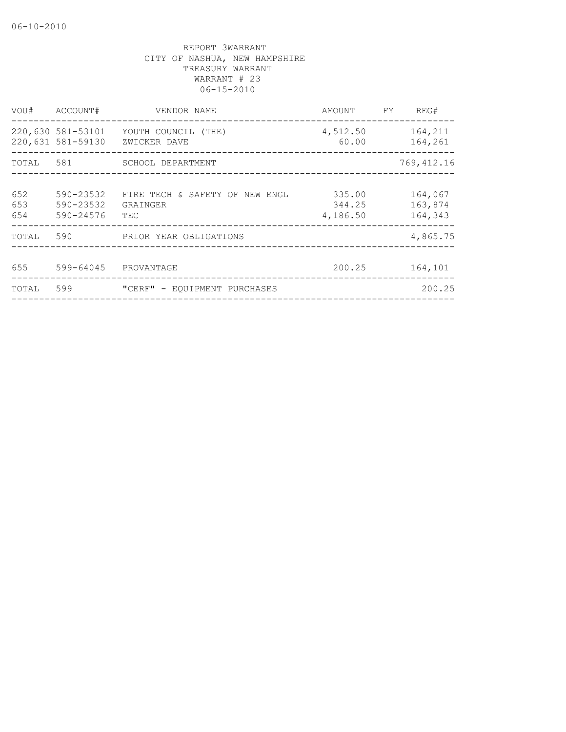| VOU#              | ACCOUNT#                               | VENDOR NAME                                       | AMOUNT                       | FY. | REG#                          |
|-------------------|----------------------------------------|---------------------------------------------------|------------------------------|-----|-------------------------------|
|                   | 220,630 581-53101<br>220,631 581-59130 | YOUTH COUNCIL (THE)<br>ZWICKER DAVE               | 4,512.50<br>60.00            |     | 164,211<br>164,261            |
|                   |                                        | TOTAL 581 SCHOOL DEPARTMENT                       |                              |     | 769, 412.16                   |
| 652<br>653<br>654 | 590-23532<br>590-23532<br>590-24576    | FIRE TECH & SAFETY OF NEW ENGL<br>GRAINGER<br>TEC | 335.00<br>344.25<br>4,186.50 |     | 164,067<br>163,874<br>164,343 |
| TOTAL             | 590                                    | PRIOR YEAR OBLIGATIONS                            |                              |     | 4,865.75                      |
| 655               | 599-64045                              | PROVANTAGE                                        | 200.25                       |     | 164,101                       |
| TOTAL             | 599                                    | "CERF" - EQUIPMENT PURCHASES                      |                              |     | 200.25                        |
|                   |                                        |                                                   |                              |     |                               |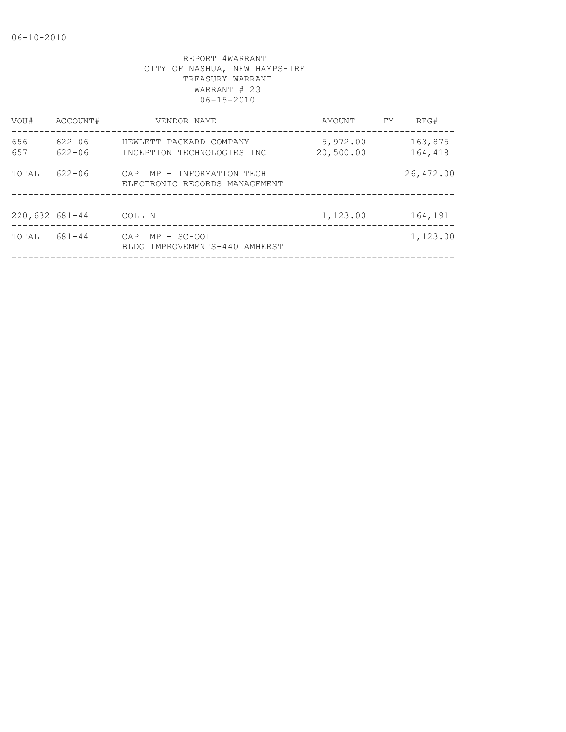| VOU#             | ACCOUNT#                 | VENDOR NAME                                                 | AMOUNT                | FY. | REG#               |
|------------------|--------------------------|-------------------------------------------------------------|-----------------------|-----|--------------------|
| 656<br>657       | $622 - 06$<br>$622 - 06$ | HEWLETT PACKARD COMPANY<br>INCEPTION TECHNOLOGIES INC       | 5,972.00<br>20,500.00 |     | 163,875<br>164,418 |
| TOTAL            | $622 - 06$               | CAP IMP - INFORMATION TECH<br>ELECTRONIC RECORDS MANAGEMENT |                       |     | 26,472.00          |
| $220,632$ 681-44 |                          | COLLIN                                                      | 1,123.00              |     | 164,191            |
| TOTAL            | 681-44                   | CAP IMP - SCHOOL<br>BLDG IMPROVEMENTS-440 AMHERST           |                       |     | 1,123.00           |
|                  |                          |                                                             |                       |     |                    |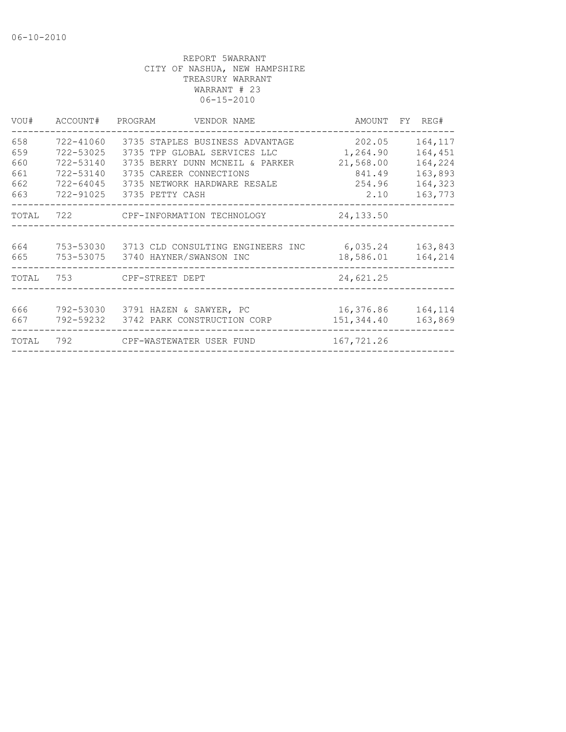| VOU#  | ACCOUNT# PROGRAM | VENDOR NAME                           |            | AMOUNT FY REG# |
|-------|------------------|---------------------------------------|------------|----------------|
| 658   | 722-41060        | 3735 STAPLES BUSINESS ADVANTAGE       | 202.05     | 164,117        |
| 659   | 722-53025        | 3735 TPP GLOBAL SERVICES LLC          | 1,264.90   | 164,451        |
| 660   | 722-53140        | 3735 BERRY DUNN MCNEIL & PARKER       | 21,568.00  | 164,224        |
| 661   | 722-53140        | 3735 CAREER CONNECTIONS               | 841.49     | 163,893        |
| 662   | 722-64045        | 3735 NETWORK HARDWARE RESALE          | 254.96     | 164,323        |
| 663   | 722-91025        | 3735 PETTY CASH                       | 2.10       | 163,773        |
| TOTAL |                  | 722 CPF-INFORMATION TECHNOLOGY        | 24, 133.50 |                |
| 664   | 753-53030        | 3713 CLD CONSULTING ENGINEERS INC     | 6,035.24   | 163,843        |
| 665   | 753-53075        | 3740 HAYNER/SWANSON INC               | 18,586.01  | 164,214        |
| TOTAL | 753              | CPF-STREET DEPT                       | 24,621.25  |                |
|       |                  |                                       |            |                |
| 666   |                  | 792-53030 3791 HAZEN & SAWYER, PC     | 16,376.86  | 164,114        |
| 667   |                  | 792-59232 3742 PARK CONSTRUCTION CORP | 151,344.40 | 163,869        |
| TOTAL |                  | 792 CPF-WASTEWATER USER FUND          | 167,721.26 |                |
|       |                  |                                       |            |                |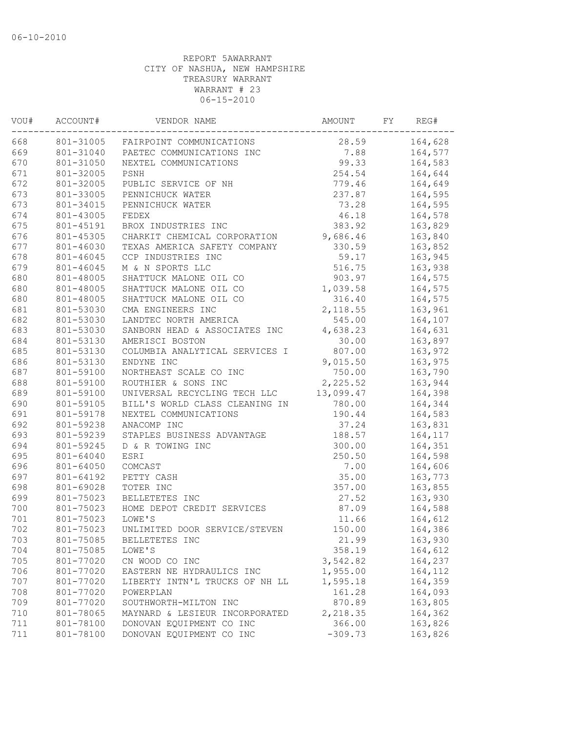| 668<br>164,628<br>801-31005<br>28.59<br>FAIRPOINT COMMUNICATIONS<br>669<br>7.88<br>164,577<br>801-31040<br>PAETEC COMMUNICATIONS INC<br>670<br>801-31050<br>99.33<br>164,583<br>NEXTEL COMMUNICATIONS<br>671<br>801-32005<br>254.54<br>PSNH<br>164,644<br>672<br>801-32005<br>779.46<br>164,649<br>PUBLIC SERVICE OF NH<br>673<br>801-33005<br>237.87<br>164,595<br>PENNICHUCK WATER<br>673<br>73.28<br>801-34015<br>164,595<br>PENNICHUCK WATER<br>674<br>46.18<br>164,578<br>801-43005<br>FEDEX<br>675<br>801-45191<br>BROX INDUSTRIES INC<br>383.92<br>163,829<br>676<br>801-45305<br>9,686.46<br>163,840<br>CHARKIT CHEMICAL CORPORATION<br>677<br>801-46030<br>163,852<br>TEXAS AMERICA SAFETY COMPANY<br>330.59<br>678<br>CCP INDUSTRIES INC<br>801-46045<br>59.17<br>163,945<br>679<br>801-46045<br>516.75<br>M & N SPORTS LLC<br>163,938<br>680<br>801-48005<br>SHATTUCK MALONE OIL CO<br>903.97<br>164,575<br>680<br>801-48005<br>SHATTUCK MALONE OIL CO<br>1,039.58<br>164,575<br>680<br>801-48005<br>SHATTUCK MALONE OIL CO<br>316.40<br>164,575<br>681<br>2,118.55<br>163,961<br>801-53030<br>CMA ENGINEERS INC<br>682<br>801-53030<br>LANDTEC NORTH AMERICA<br>545.00<br>164,107<br>683<br>801-53030<br>SANBORN HEAD & ASSOCIATES INC<br>4,638.23<br>164,631<br>684<br>801-53130<br>AMERISCI BOSTON<br>30.00<br>163,897<br>685<br>801-53130<br>COLUMBIA ANALYTICAL SERVICES I<br>807.00<br>163,972<br>686<br>801-53130<br>9,015.50<br>ENDYNE INC<br>163,975<br>687<br>801-59100<br>NORTHEAST SCALE CO INC<br>750.00<br>163,790<br>688<br>2,225.52<br>801-59100<br>ROUTHIER & SONS INC<br>163,944<br>689<br>801-59100<br>UNIVERSAL RECYCLING TECH LLC<br>13,099.47<br>164,398<br>690<br>BILL'S WORLD CLASS CLEANING IN<br>780.00<br>164,344<br>801-59105 |
|----------------------------------------------------------------------------------------------------------------------------------------------------------------------------------------------------------------------------------------------------------------------------------------------------------------------------------------------------------------------------------------------------------------------------------------------------------------------------------------------------------------------------------------------------------------------------------------------------------------------------------------------------------------------------------------------------------------------------------------------------------------------------------------------------------------------------------------------------------------------------------------------------------------------------------------------------------------------------------------------------------------------------------------------------------------------------------------------------------------------------------------------------------------------------------------------------------------------------------------------------------------------------------------------------------------------------------------------------------------------------------------------------------------------------------------------------------------------------------------------------------------------------------------------------------------------------------------------------------------------------------------------------------------------------------------------------------------------------------------------------------------------|
|                                                                                                                                                                                                                                                                                                                                                                                                                                                                                                                                                                                                                                                                                                                                                                                                                                                                                                                                                                                                                                                                                                                                                                                                                                                                                                                                                                                                                                                                                                                                                                                                                                                                                                                                                                      |
|                                                                                                                                                                                                                                                                                                                                                                                                                                                                                                                                                                                                                                                                                                                                                                                                                                                                                                                                                                                                                                                                                                                                                                                                                                                                                                                                                                                                                                                                                                                                                                                                                                                                                                                                                                      |
|                                                                                                                                                                                                                                                                                                                                                                                                                                                                                                                                                                                                                                                                                                                                                                                                                                                                                                                                                                                                                                                                                                                                                                                                                                                                                                                                                                                                                                                                                                                                                                                                                                                                                                                                                                      |
|                                                                                                                                                                                                                                                                                                                                                                                                                                                                                                                                                                                                                                                                                                                                                                                                                                                                                                                                                                                                                                                                                                                                                                                                                                                                                                                                                                                                                                                                                                                                                                                                                                                                                                                                                                      |
|                                                                                                                                                                                                                                                                                                                                                                                                                                                                                                                                                                                                                                                                                                                                                                                                                                                                                                                                                                                                                                                                                                                                                                                                                                                                                                                                                                                                                                                                                                                                                                                                                                                                                                                                                                      |
|                                                                                                                                                                                                                                                                                                                                                                                                                                                                                                                                                                                                                                                                                                                                                                                                                                                                                                                                                                                                                                                                                                                                                                                                                                                                                                                                                                                                                                                                                                                                                                                                                                                                                                                                                                      |
|                                                                                                                                                                                                                                                                                                                                                                                                                                                                                                                                                                                                                                                                                                                                                                                                                                                                                                                                                                                                                                                                                                                                                                                                                                                                                                                                                                                                                                                                                                                                                                                                                                                                                                                                                                      |
|                                                                                                                                                                                                                                                                                                                                                                                                                                                                                                                                                                                                                                                                                                                                                                                                                                                                                                                                                                                                                                                                                                                                                                                                                                                                                                                                                                                                                                                                                                                                                                                                                                                                                                                                                                      |
|                                                                                                                                                                                                                                                                                                                                                                                                                                                                                                                                                                                                                                                                                                                                                                                                                                                                                                                                                                                                                                                                                                                                                                                                                                                                                                                                                                                                                                                                                                                                                                                                                                                                                                                                                                      |
|                                                                                                                                                                                                                                                                                                                                                                                                                                                                                                                                                                                                                                                                                                                                                                                                                                                                                                                                                                                                                                                                                                                                                                                                                                                                                                                                                                                                                                                                                                                                                                                                                                                                                                                                                                      |
|                                                                                                                                                                                                                                                                                                                                                                                                                                                                                                                                                                                                                                                                                                                                                                                                                                                                                                                                                                                                                                                                                                                                                                                                                                                                                                                                                                                                                                                                                                                                                                                                                                                                                                                                                                      |
|                                                                                                                                                                                                                                                                                                                                                                                                                                                                                                                                                                                                                                                                                                                                                                                                                                                                                                                                                                                                                                                                                                                                                                                                                                                                                                                                                                                                                                                                                                                                                                                                                                                                                                                                                                      |
|                                                                                                                                                                                                                                                                                                                                                                                                                                                                                                                                                                                                                                                                                                                                                                                                                                                                                                                                                                                                                                                                                                                                                                                                                                                                                                                                                                                                                                                                                                                                                                                                                                                                                                                                                                      |
|                                                                                                                                                                                                                                                                                                                                                                                                                                                                                                                                                                                                                                                                                                                                                                                                                                                                                                                                                                                                                                                                                                                                                                                                                                                                                                                                                                                                                                                                                                                                                                                                                                                                                                                                                                      |
|                                                                                                                                                                                                                                                                                                                                                                                                                                                                                                                                                                                                                                                                                                                                                                                                                                                                                                                                                                                                                                                                                                                                                                                                                                                                                                                                                                                                                                                                                                                                                                                                                                                                                                                                                                      |
|                                                                                                                                                                                                                                                                                                                                                                                                                                                                                                                                                                                                                                                                                                                                                                                                                                                                                                                                                                                                                                                                                                                                                                                                                                                                                                                                                                                                                                                                                                                                                                                                                                                                                                                                                                      |
|                                                                                                                                                                                                                                                                                                                                                                                                                                                                                                                                                                                                                                                                                                                                                                                                                                                                                                                                                                                                                                                                                                                                                                                                                                                                                                                                                                                                                                                                                                                                                                                                                                                                                                                                                                      |
|                                                                                                                                                                                                                                                                                                                                                                                                                                                                                                                                                                                                                                                                                                                                                                                                                                                                                                                                                                                                                                                                                                                                                                                                                                                                                                                                                                                                                                                                                                                                                                                                                                                                                                                                                                      |
|                                                                                                                                                                                                                                                                                                                                                                                                                                                                                                                                                                                                                                                                                                                                                                                                                                                                                                                                                                                                                                                                                                                                                                                                                                                                                                                                                                                                                                                                                                                                                                                                                                                                                                                                                                      |
|                                                                                                                                                                                                                                                                                                                                                                                                                                                                                                                                                                                                                                                                                                                                                                                                                                                                                                                                                                                                                                                                                                                                                                                                                                                                                                                                                                                                                                                                                                                                                                                                                                                                                                                                                                      |
|                                                                                                                                                                                                                                                                                                                                                                                                                                                                                                                                                                                                                                                                                                                                                                                                                                                                                                                                                                                                                                                                                                                                                                                                                                                                                                                                                                                                                                                                                                                                                                                                                                                                                                                                                                      |
|                                                                                                                                                                                                                                                                                                                                                                                                                                                                                                                                                                                                                                                                                                                                                                                                                                                                                                                                                                                                                                                                                                                                                                                                                                                                                                                                                                                                                                                                                                                                                                                                                                                                                                                                                                      |
|                                                                                                                                                                                                                                                                                                                                                                                                                                                                                                                                                                                                                                                                                                                                                                                                                                                                                                                                                                                                                                                                                                                                                                                                                                                                                                                                                                                                                                                                                                                                                                                                                                                                                                                                                                      |
|                                                                                                                                                                                                                                                                                                                                                                                                                                                                                                                                                                                                                                                                                                                                                                                                                                                                                                                                                                                                                                                                                                                                                                                                                                                                                                                                                                                                                                                                                                                                                                                                                                                                                                                                                                      |
|                                                                                                                                                                                                                                                                                                                                                                                                                                                                                                                                                                                                                                                                                                                                                                                                                                                                                                                                                                                                                                                                                                                                                                                                                                                                                                                                                                                                                                                                                                                                                                                                                                                                                                                                                                      |
|                                                                                                                                                                                                                                                                                                                                                                                                                                                                                                                                                                                                                                                                                                                                                                                                                                                                                                                                                                                                                                                                                                                                                                                                                                                                                                                                                                                                                                                                                                                                                                                                                                                                                                                                                                      |
| 691<br>190.44<br>164,583<br>801-59178<br>NEXTEL COMMUNICATIONS                                                                                                                                                                                                                                                                                                                                                                                                                                                                                                                                                                                                                                                                                                                                                                                                                                                                                                                                                                                                                                                                                                                                                                                                                                                                                                                                                                                                                                                                                                                                                                                                                                                                                                       |
| 692<br>801-59238<br>37.24<br>163,831<br>ANACOMP INC                                                                                                                                                                                                                                                                                                                                                                                                                                                                                                                                                                                                                                                                                                                                                                                                                                                                                                                                                                                                                                                                                                                                                                                                                                                                                                                                                                                                                                                                                                                                                                                                                                                                                                                  |
| 693<br>801-59239<br>STAPLES BUSINESS ADVANTAGE<br>188.57<br>164,117                                                                                                                                                                                                                                                                                                                                                                                                                                                                                                                                                                                                                                                                                                                                                                                                                                                                                                                                                                                                                                                                                                                                                                                                                                                                                                                                                                                                                                                                                                                                                                                                                                                                                                  |
| 694<br>801-59245<br>D & R TOWING INC<br>300.00<br>164,351                                                                                                                                                                                                                                                                                                                                                                                                                                                                                                                                                                                                                                                                                                                                                                                                                                                                                                                                                                                                                                                                                                                                                                                                                                                                                                                                                                                                                                                                                                                                                                                                                                                                                                            |
| 695<br>801-64040<br>250.50<br>ESRI<br>164,598                                                                                                                                                                                                                                                                                                                                                                                                                                                                                                                                                                                                                                                                                                                                                                                                                                                                                                                                                                                                                                                                                                                                                                                                                                                                                                                                                                                                                                                                                                                                                                                                                                                                                                                        |
| 696<br>7.00<br>801-64050<br>COMCAST<br>164,606                                                                                                                                                                                                                                                                                                                                                                                                                                                                                                                                                                                                                                                                                                                                                                                                                                                                                                                                                                                                                                                                                                                                                                                                                                                                                                                                                                                                                                                                                                                                                                                                                                                                                                                       |
| 697<br>801-64192<br>PETTY CASH<br>35.00<br>163,773                                                                                                                                                                                                                                                                                                                                                                                                                                                                                                                                                                                                                                                                                                                                                                                                                                                                                                                                                                                                                                                                                                                                                                                                                                                                                                                                                                                                                                                                                                                                                                                                                                                                                                                   |
| 698<br>357.00<br>801-69028<br>TOTER INC<br>163,855                                                                                                                                                                                                                                                                                                                                                                                                                                                                                                                                                                                                                                                                                                                                                                                                                                                                                                                                                                                                                                                                                                                                                                                                                                                                                                                                                                                                                                                                                                                                                                                                                                                                                                                   |
| 699<br>801-75023<br>BELLETETES INC<br>27.52<br>163,930                                                                                                                                                                                                                                                                                                                                                                                                                                                                                                                                                                                                                                                                                                                                                                                                                                                                                                                                                                                                                                                                                                                                                                                                                                                                                                                                                                                                                                                                                                                                                                                                                                                                                                               |
| 700<br>87.09<br>801-75023<br>HOME DEPOT CREDIT SERVICES<br>164,588                                                                                                                                                                                                                                                                                                                                                                                                                                                                                                                                                                                                                                                                                                                                                                                                                                                                                                                                                                                                                                                                                                                                                                                                                                                                                                                                                                                                                                                                                                                                                                                                                                                                                                   |
| 701<br>801-75023<br>LOWE'S<br>11.66<br>164,612                                                                                                                                                                                                                                                                                                                                                                                                                                                                                                                                                                                                                                                                                                                                                                                                                                                                                                                                                                                                                                                                                                                                                                                                                                                                                                                                                                                                                                                                                                                                                                                                                                                                                                                       |
| 702<br>801-75023<br>UNLIMITED DOOR SERVICE/STEVEN<br>150.00<br>164,386                                                                                                                                                                                                                                                                                                                                                                                                                                                                                                                                                                                                                                                                                                                                                                                                                                                                                                                                                                                                                                                                                                                                                                                                                                                                                                                                                                                                                                                                                                                                                                                                                                                                                               |
| 21.99<br>163,930<br>703<br>801-75085<br>BELLETETES INC                                                                                                                                                                                                                                                                                                                                                                                                                                                                                                                                                                                                                                                                                                                                                                                                                                                                                                                                                                                                                                                                                                                                                                                                                                                                                                                                                                                                                                                                                                                                                                                                                                                                                                               |
| 704<br>358.19<br>801-75085<br>LOWE'S<br>164,612                                                                                                                                                                                                                                                                                                                                                                                                                                                                                                                                                                                                                                                                                                                                                                                                                                                                                                                                                                                                                                                                                                                                                                                                                                                                                                                                                                                                                                                                                                                                                                                                                                                                                                                      |
| 705<br>801-77020<br>3,542.82<br>164,237<br>CN WOOD CO INC                                                                                                                                                                                                                                                                                                                                                                                                                                                                                                                                                                                                                                                                                                                                                                                                                                                                                                                                                                                                                                                                                                                                                                                                                                                                                                                                                                                                                                                                                                                                                                                                                                                                                                            |
| 1,955.00<br>706<br>801-77020<br>164,112<br>EASTERN NE HYDRAULICS INC                                                                                                                                                                                                                                                                                                                                                                                                                                                                                                                                                                                                                                                                                                                                                                                                                                                                                                                                                                                                                                                                                                                                                                                                                                                                                                                                                                                                                                                                                                                                                                                                                                                                                                 |
| 707<br>1,595.18<br>164,359<br>801-77020<br>LIBERTY INTN'L TRUCKS OF NH LL                                                                                                                                                                                                                                                                                                                                                                                                                                                                                                                                                                                                                                                                                                                                                                                                                                                                                                                                                                                                                                                                                                                                                                                                                                                                                                                                                                                                                                                                                                                                                                                                                                                                                            |
| 708<br>161.28<br>164,093<br>801-77020<br>POWERPLAN                                                                                                                                                                                                                                                                                                                                                                                                                                                                                                                                                                                                                                                                                                                                                                                                                                                                                                                                                                                                                                                                                                                                                                                                                                                                                                                                                                                                                                                                                                                                                                                                                                                                                                                   |
| 709<br>801-77020<br>SOUTHWORTH-MILTON INC<br>870.89<br>163,805                                                                                                                                                                                                                                                                                                                                                                                                                                                                                                                                                                                                                                                                                                                                                                                                                                                                                                                                                                                                                                                                                                                                                                                                                                                                                                                                                                                                                                                                                                                                                                                                                                                                                                       |
| 710<br>801-78065<br>2,218.35<br>164,362<br>MAYNARD & LESIEUR INCORPORATED                                                                                                                                                                                                                                                                                                                                                                                                                                                                                                                                                                                                                                                                                                                                                                                                                                                                                                                                                                                                                                                                                                                                                                                                                                                                                                                                                                                                                                                                                                                                                                                                                                                                                            |
| 711<br>801-78100<br>DONOVAN EQUIPMENT CO INC<br>366.00<br>163,826                                                                                                                                                                                                                                                                                                                                                                                                                                                                                                                                                                                                                                                                                                                                                                                                                                                                                                                                                                                                                                                                                                                                                                                                                                                                                                                                                                                                                                                                                                                                                                                                                                                                                                    |
| 163,826<br>711<br>801-78100<br>DONOVAN EQUIPMENT CO INC<br>$-309.73$                                                                                                                                                                                                                                                                                                                                                                                                                                                                                                                                                                                                                                                                                                                                                                                                                                                                                                                                                                                                                                                                                                                                                                                                                                                                                                                                                                                                                                                                                                                                                                                                                                                                                                 |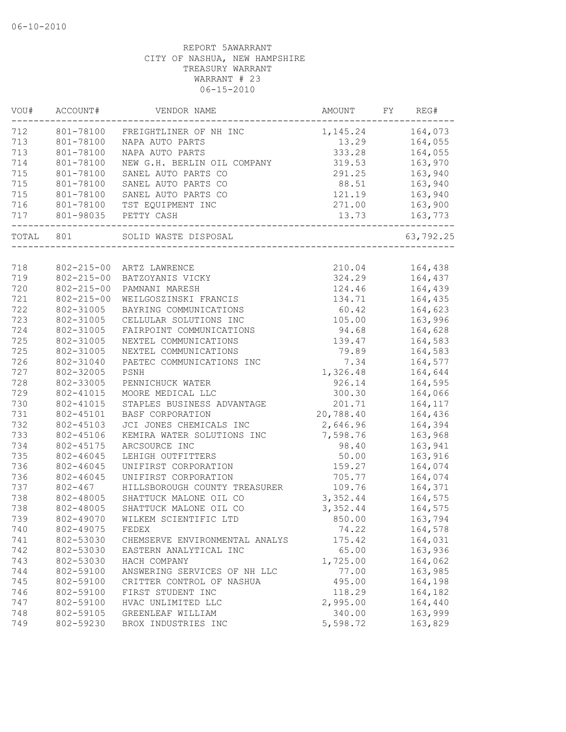| VOU#  | ACCOUNT#<br>VENDOR NAME |                                | AMOUNT    | FY | REG#      |  |
|-------|-------------------------|--------------------------------|-----------|----|-----------|--|
| 712   | 801-78100               | FREIGHTLINER OF NH INC         | 1, 145.24 |    | 164,073   |  |
| 713   | 801-78100               | NAPA AUTO PARTS                | 13.29     |    | 164,055   |  |
| 713   | 801-78100               | NAPA AUTO PARTS                | 333.28    |    | 164,055   |  |
| 714   | 801-78100               | NEW G.H. BERLIN OIL COMPANY    | 319.53    |    | 163,970   |  |
| 715   | 801-78100               | SANEL AUTO PARTS CO            | 291.25    |    | 163,940   |  |
| 715   | 801-78100               | SANEL AUTO PARTS CO            | 88.51     |    | 163,940   |  |
| 715   | 801-78100               | SANEL AUTO PARTS CO            | 121.19    |    | 163,940   |  |
| 716   | 801-78100               | TST EQUIPMENT INC              | 271.00    |    | 163,900   |  |
| 717   | 801-98035               | PETTY CASH                     | 13.73     |    | 163,773   |  |
| TOTAL | 801                     | SOLID WASTE DISPOSAL           |           |    | 63,792.25 |  |
|       |                         |                                |           |    |           |  |
| 718   | $802 - 215 - 00$        | ARTZ LAWRENCE                  | 210.04    |    | 164,438   |  |
| 719   | $802 - 215 - 00$        | BATZOYANIS VICKY               | 324.29    |    | 164,437   |  |
| 720   | $802 - 215 - 00$        | PAMNANI MARESH                 | 124.46    |    | 164,439   |  |
| 721   | $802 - 215 - 00$        | WEILGOSZINSKI FRANCIS          | 134.71    |    | 164,435   |  |
| 722   | 802-31005               | BAYRING COMMUNICATIONS         | 60.42     |    | 164,623   |  |
| 723   | 802-31005               | CELLULAR SOLUTIONS INC         | 105.00    |    | 163,996   |  |
| 724   | 802-31005               | FAIRPOINT COMMUNICATIONS       | 94.68     |    | 164,628   |  |
| 725   | 802-31005               | NEXTEL COMMUNICATIONS          | 139.47    |    | 164,583   |  |
| 725   | 802-31005               | NEXTEL COMMUNICATIONS          | 79.89     |    | 164,583   |  |
| 726   | 802-31040               | PAETEC COMMUNICATIONS INC      | 7.34      |    | 164,577   |  |
| 727   | 802-32005               | PSNH                           | 1,326.48  |    | 164,644   |  |
| 728   | 802-33005               | PENNICHUCK WATER               | 926.14    |    | 164,595   |  |
| 729   | 802-41015               | MOORE MEDICAL LLC              | 300.30    |    | 164,066   |  |
| 730   | 802-41015               | STAPLES BUSINESS ADVANTAGE     | 201.71    |    | 164,117   |  |
| 731   | 802-45101               | BASF CORPORATION               | 20,788.40 |    | 164,436   |  |
| 732   | 802-45103               | JCI JONES CHEMICALS INC        | 2,646.96  |    | 164,394   |  |
| 733   | 802-45106               | KEMIRA WATER SOLUTIONS INC     | 7,598.76  |    | 163,968   |  |
| 734   | 802-45175               | ARCSOURCE INC                  | 98.40     |    | 163,941   |  |
| 735   | 802-46045               | LEHIGH OUTFITTERS              | 50.00     |    | 163,916   |  |
| 736   | 802-46045               | UNIFIRST CORPORATION           | 159.27    |    | 164,074   |  |
| 736   | 802-46045               | UNIFIRST CORPORATION           | 705.77    |    | 164,074   |  |
| 737   | $802 - 467$             | HILLSBOROUGH COUNTY TREASURER  | 109.76    |    | 164,371   |  |
| 738   | 802-48005               | SHATTUCK MALONE OIL CO         | 3,352.44  |    | 164,575   |  |
| 738   | 802-48005               | SHATTUCK MALONE OIL CO         | 3,352.44  |    | 164,575   |  |
| 739   | 802-49070               | WILKEM SCIENTIFIC LTD          | 850.00    |    | 163,794   |  |
| 740   | 802-49075               | FEDEX                          | 74.22     |    | 164,578   |  |
| 741   | 802-53030               | CHEMSERVE ENVIRONMENTAL ANALYS | 175.42    |    | 164,031   |  |
| 742   | 802-53030               | EASTERN ANALYTICAL INC         | 65.00     |    | 163,936   |  |
| 743   | 802-53030               | HACH COMPANY                   | 1,725.00  |    | 164,062   |  |
| 744   | 802-59100               | ANSWERING SERVICES OF NH LLC   | 77.00     |    | 163,985   |  |
| 745   | 802-59100               | CRITTER CONTROL OF NASHUA      | 495.00    |    | 164,198   |  |
| 746   | 802-59100               | FIRST STUDENT INC              | 118.29    |    | 164,182   |  |
| 747   | 802-59100               | HVAC UNLIMITED LLC             | 2,995.00  |    | 164,440   |  |
| 748   | 802-59105               | GREENLEAF WILLIAM              | 340.00    |    | 163,999   |  |
| 749   | 802-59230               | BROX INDUSTRIES INC            | 5,598.72  |    | 163,829   |  |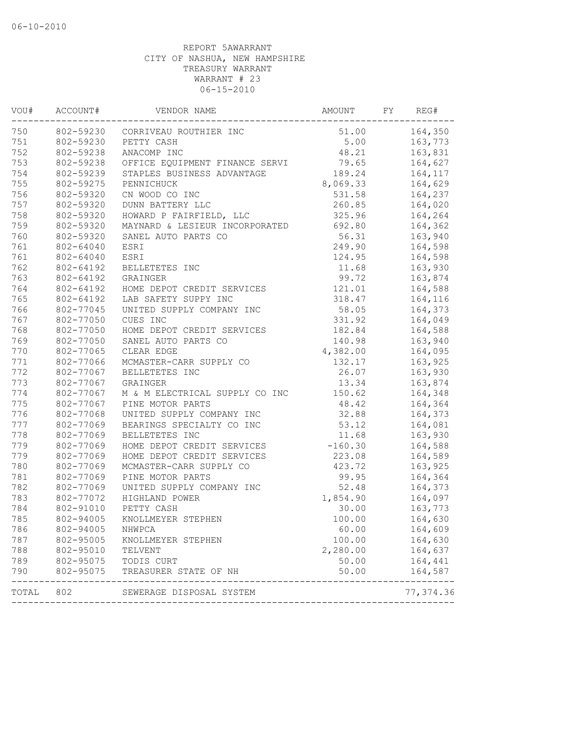| VOU#  | ACCOUNT#  | VENDOR NAME                    | AMOUNT    | FY.  | REG#               |
|-------|-----------|--------------------------------|-----------|------|--------------------|
| 750   | 802-59230 | CORRIVEAU ROUTHIER INC         | 51.00     |      | 164,350            |
| 751   | 802-59230 | PETTY CASH                     |           | 5.00 |                    |
| 752   | 802-59238 | ANACOMP INC                    | 48.21     |      | 163,831            |
| 753   | 802-59238 | OFFICE EQUIPMENT FINANCE SERVI | 79.65     |      | 164,627            |
| 754   | 802-59239 | STAPLES BUSINESS ADVANTAGE     | 189.24    |      | 164,117            |
| 755   | 802-59275 | PENNICHUCK                     | 8,069.33  |      | 164,629            |
| 756   | 802-59320 | CN WOOD CO INC                 | 531.58    |      | 164,237            |
| 757   | 802-59320 | DUNN BATTERY LLC               | 260.85    |      | 164,020            |
| 758   | 802-59320 | HOWARD P FAIRFIELD, LLC        | 325.96    |      | 164,264            |
| 759   | 802-59320 | MAYNARD & LESIEUR INCORPORATED | 692.80    |      | 164,362            |
| 760   | 802-59320 | SANEL AUTO PARTS CO            | 56.31     |      | 163,940            |
| 761   | 802-64040 | ESRI                           | 249.90    |      | 164,598            |
| 761   | 802-64040 | ESRI                           | 124.95    |      | 164,598            |
| 762   | 802-64192 | BELLETETES INC                 | 11.68     |      | 163,930            |
| 763   | 802-64192 | GRAINGER                       | 99.72     |      | 163,874            |
| 764   | 802-64192 | HOME DEPOT CREDIT SERVICES     | 121.01    |      | 164,588            |
| 765   | 802-64192 | LAB SAFETY SUPPY INC           | 318.47    |      | 164,116            |
| 766   | 802-77045 | UNITED SUPPLY COMPANY INC      | 58.05     |      | 164,373            |
| 767   | 802-77050 | CUES INC                       | 331.92    |      | 164,049            |
| 768   | 802-77050 | HOME DEPOT CREDIT SERVICES     | 182.84    |      |                    |
| 769   | 802-77050 | SANEL AUTO PARTS CO            | 140.98    |      | 164,588<br>163,940 |
| 770   | 802-77065 | CLEAR EDGE                     | 4,382.00  |      |                    |
| 771   | 802-77066 | MCMASTER-CARR SUPPLY CO        | 132.17    |      | 164,095<br>163,925 |
| 772   | 802-77067 | BELLETETES INC                 | 26.07     |      | 163,930            |
| 773   | 802-77067 | GRAINGER                       | 13.34     |      | 163,874            |
| 774   | 802-77067 | M & M ELECTRICAL SUPPLY CO INC | 150.62    |      | 164,348            |
| 775   | 802-77067 | PINE MOTOR PARTS               | 48.42     |      | 164,364            |
| 776   | 802-77068 | UNITED SUPPLY COMPANY INC      | 32.88     |      | 164,373            |
| 777   | 802-77069 | BEARINGS SPECIALTY CO INC      | 53.12     |      | 164,081            |
| 778   | 802-77069 | BELLETETES INC                 | 11.68     |      | 163,930            |
| 779   | 802-77069 | HOME DEPOT CREDIT SERVICES     | $-160.30$ |      | 164,588            |
| 779   | 802-77069 | HOME DEPOT CREDIT SERVICES     | 223.08    |      | 164,589            |
| 780   | 802-77069 | MCMASTER-CARR SUPPLY CO        | 423.72    |      | 163,925            |
| 781   | 802-77069 | PINE MOTOR PARTS               | 99.95     |      | 164,364            |
| 782   | 802-77069 | UNITED SUPPLY COMPANY INC      | 52.48     |      | 164,373            |
| 783   | 802-77072 | HIGHLAND POWER                 | 1,854.90  |      | 164,097            |
| 784   | 802-91010 | PETTY CASH                     | 30.00     |      | 163,773            |
| 785   | 802-94005 | KNOLLMEYER STEPHEN             | 100.00    |      | 164,630            |
| 786   | 802-94005 | NHWPCA                         | 60.00     |      |                    |
| 787   | 802-95005 | KNOLLMEYER STEPHEN             | 100.00    |      | 164,609<br>164,630 |
| 788   | 802-95010 |                                | 2,280.00  |      | 164,637            |
|       |           | TELVENT                        | 50.00     |      |                    |
| 789   | 802-95075 | TODIS CURT                     |           |      | 164,441            |
| 790   | 802-95075 | TREASURER STATE OF NH          | 50.00     |      | 164,587            |
| TOTAL | 802       | SEWERAGE DISPOSAL SYSTEM       |           |      | 77, 374.36         |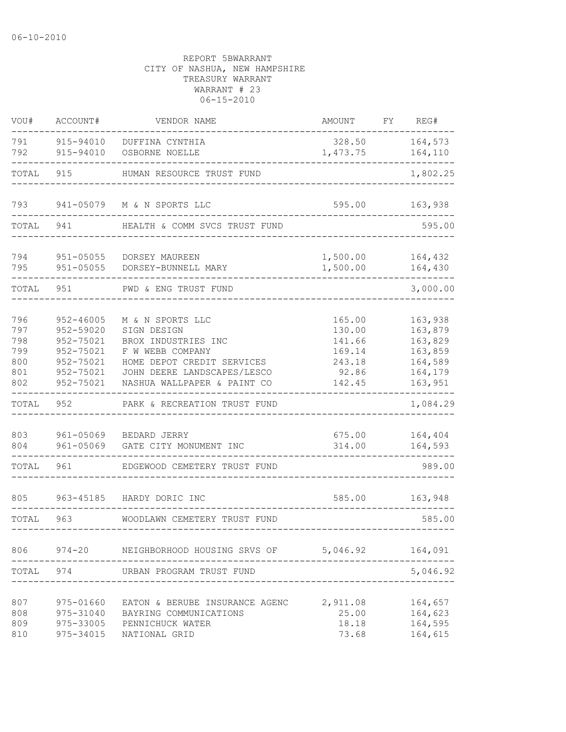| VOU#                                          | ACCOUNT#                                                                                    | VENDOR NAME                                                                                                                                                                                                                                 | AMOUNT                              | FΥ | REG#                                                                      |  |
|-----------------------------------------------|---------------------------------------------------------------------------------------------|---------------------------------------------------------------------------------------------------------------------------------------------------------------------------------------------------------------------------------------------|-------------------------------------|----|---------------------------------------------------------------------------|--|
| 791<br>792                                    | 915-94010<br>915-94010                                                                      | DUFFINA CYNTHIA<br>OSBORNE NOELLE                                                                                                                                                                                                           | 328.50<br>1,473.75                  |    | 164,573<br>164,110                                                        |  |
| TOTAL                                         | 915                                                                                         | HUMAN RESOURCE TRUST FUND                                                                                                                                                                                                                   |                                     |    |                                                                           |  |
| 793                                           | 941-05079                                                                                   | M & N SPORTS LLC                                                                                                                                                                                                                            | 595.00                              |    |                                                                           |  |
| TOTAL                                         | 941                                                                                         | HEALTH & COMM SVCS TRUST FUND                                                                                                                                                                                                               |                                     |    |                                                                           |  |
| 794<br>795                                    | $951 - 05055$<br>$951 - 05055$                                                              | 1,500.00<br>DORSEY MAUREEN<br>1,500.00<br>DORSEY-BUNNELL MARY                                                                                                                                                                               |                                     |    | 164,432<br>164,430                                                        |  |
| TOTAL                                         | 951                                                                                         | PWD & ENG TRUST FUND                                                                                                                                                                                                                        |                                     |    | 3,000.00                                                                  |  |
| 796<br>797<br>798<br>799<br>800<br>801<br>802 | $952 - 46005$<br>952-59020<br>952-75021<br>952-75021<br>952-75021<br>952-75021<br>952-75021 | M & N SPORTS LLC<br>165.00<br>SIGN DESIGN<br>130.00<br>BROX INDUSTRIES INC<br>141.66<br>F W WEBB COMPANY<br>169.14<br>HOME DEPOT CREDIT SERVICES<br>243.18<br>JOHN DEERE LANDSCAPES/LESCO<br>92.86<br>NASHUA WALLPAPER & PAINT CO<br>142.45 |                                     |    | 163,938<br>163,879<br>163,829<br>163,859<br>164,589<br>164,179<br>163,951 |  |
| TOTAL                                         | 952                                                                                         | PARK & RECREATION TRUST FUND                                                                                                                                                                                                                |                                     |    | 1,084.29                                                                  |  |
| 803<br>804<br>TOTAL                           | 961-05069<br>$961 - 05069$<br>961                                                           | BEDARD JERRY<br>GATE CITY MONUMENT INC<br>EDGEWOOD CEMETERY TRUST FUND                                                                                                                                                                      | 675.00<br>314.00                    |    | 164,404<br>164,593<br>989.00                                              |  |
| 805<br>TOTAL                                  | 963-45185<br>963                                                                            | HARDY DORIC INC<br>WOODLAWN CEMETERY TRUST FUND                                                                                                                                                                                             | 585.00                              |    | 163,948<br>585.00                                                         |  |
| 806                                           | $974 - 20$                                                                                  | NEIGHBORHOOD HOUSING SRVS OF                                                                                                                                                                                                                | 5,046.92                            |    | 164,091                                                                   |  |
| TOTAL                                         | 974                                                                                         | URBAN PROGRAM TRUST FUND                                                                                                                                                                                                                    |                                     |    | 5,046.92                                                                  |  |
| 807<br>808<br>809<br>810                      | 975-01660<br>975-31040<br>975-33005<br>975-34015                                            | EATON & BERUBE INSURANCE AGENC<br>BAYRING COMMUNICATIONS<br>PENNICHUCK WATER<br>NATIONAL GRID                                                                                                                                               | 2,911.08<br>25.00<br>18.18<br>73.68 |    | 164,657<br>164,623<br>164,595<br>164,615                                  |  |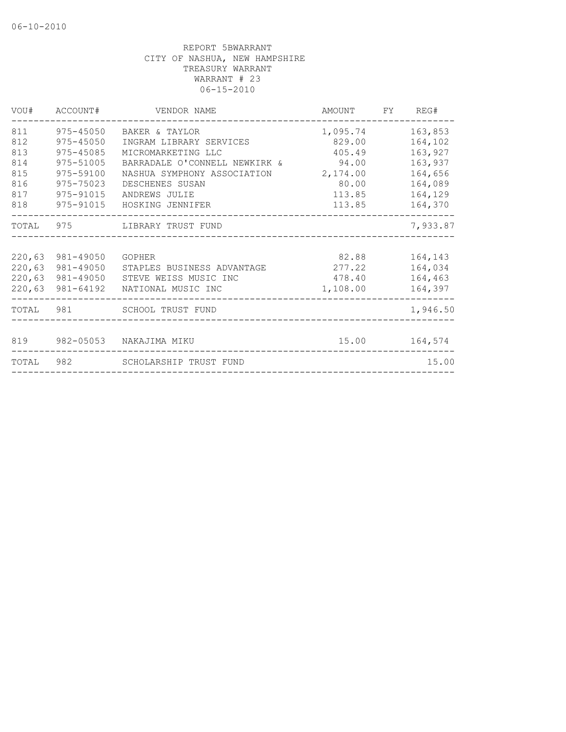|                                 | VOU# ACCOUNT#                                                         | VENDOR NAME                                                                                                                           | AMOUNT FY                                | REG#                                                |
|---------------------------------|-----------------------------------------------------------------------|---------------------------------------------------------------------------------------------------------------------------------------|------------------------------------------|-----------------------------------------------------|
| 811<br>812<br>813<br>814<br>815 | 975-45050<br>$975 - 45050$<br>975-45085<br>975-51005<br>975-59100     | BAKER & TAYLOR<br>INGRAM LIBRARY SERVICES<br>MICROMARKETING LLC<br>BARRADALE O'CONNELL NEWKIRK & 94.00<br>NASHUA SYMPHONY ASSOCIATION | 1,095.74<br>829.00<br>405.49<br>2,174.00 | 163,853<br>164,102<br>163,927<br>163,937<br>164,656 |
| 816<br>817<br>818               | 975-75023<br>975-91015<br>975-91015                                   | DESCHENES SUSAN<br>ANDREWS JULIE<br>HOSKING JENNIFER                                                                                  | 80.00<br>113.85<br>113.85                | 164,089<br>164,129<br>164,370                       |
|                                 |                                                                       | TOTAL 975 LIBRARY TRUST FUND                                                                                                          |                                          | 7,933.87                                            |
| 220,63                          | 981-49050<br>220,63 981-49050<br>220,63 981-49050<br>220,63 981-64192 | GOPHER<br>STAPLES BUSINESS ADVANTAGE<br>STEVE WEISS MUSIC INC<br>NATIONAL MUSIC INC                                                   | 82.88<br>277.22<br>478.40<br>1,108.00    | 164,143<br>164,034<br>164,463<br>164,397            |
|                                 |                                                                       | TOTAL 981 SCHOOL TRUST FUND                                                                                                           |                                          | 1,946.50                                            |
|                                 |                                                                       | 819 982-05053 NAKAJIMA MIKU                                                                                                           |                                          |                                                     |
|                                 |                                                                       | TOTAL 982 SCHOLARSHIP TRUST FUND                                                                                                      |                                          | 15.00                                               |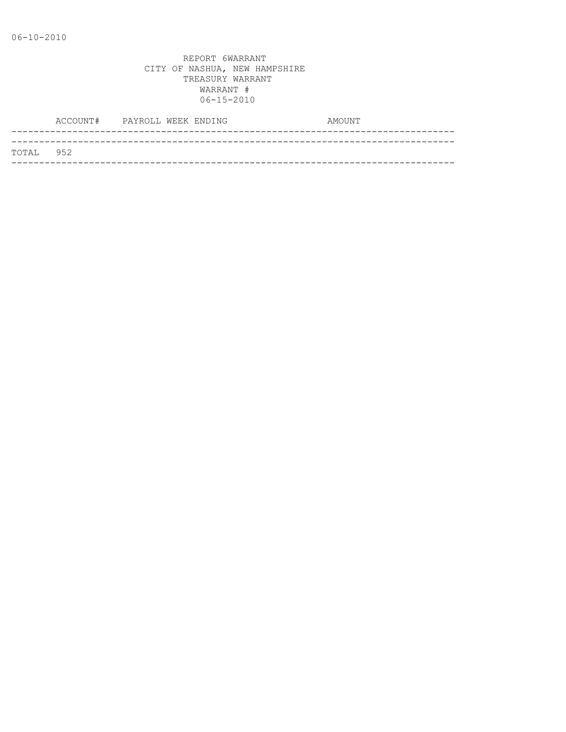|           | ACCOUNT# PAYROLL WEEK ENDING |  |  | AMOUNT |
|-----------|------------------------------|--|--|--------|
|           |                              |  |  |        |
| TOTAL 952 |                              |  |  |        |
|           |                              |  |  |        |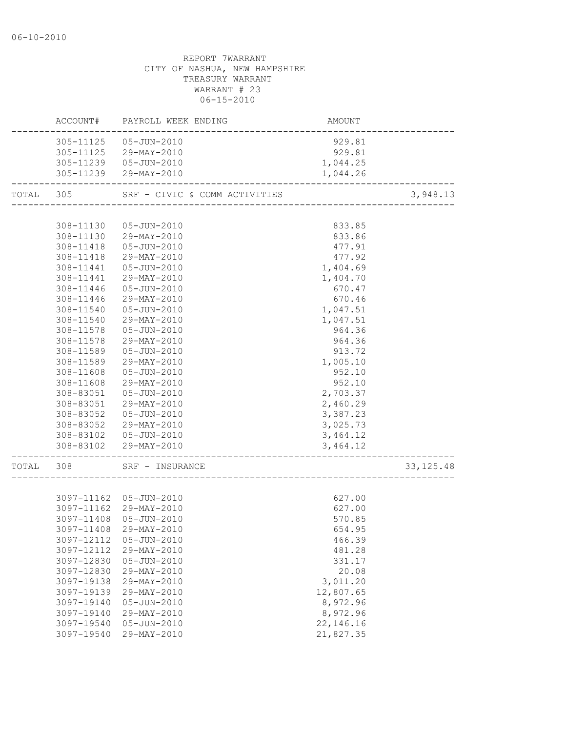|           |                                                                                                                                                                                    | REPORT 7WARRANT<br>CITY OF NASHUA, NEW HAMPSHIRE<br>TREASURY WARRANT<br>WARRANT # 23<br>$06 - 15 - 2010$                                                                                                                                                                                                                                                                                                                  |                                                                                                                                                                                                                                                |             |
|-----------|------------------------------------------------------------------------------------------------------------------------------------------------------------------------------------|---------------------------------------------------------------------------------------------------------------------------------------------------------------------------------------------------------------------------------------------------------------------------------------------------------------------------------------------------------------------------------------------------------------------------|------------------------------------------------------------------------------------------------------------------------------------------------------------------------------------------------------------------------------------------------|-------------|
|           |                                                                                                                                                                                    | ACCOUNT# PAYROLL WEEK ENDING                                                                                                                                                                                                                                                                                                                                                                                              | AMOUNT                                                                                                                                                                                                                                         |             |
|           |                                                                                                                                                                                    | 305-11125  05-JUN-2010<br>305-11125 29-MAY-2010<br>305-11239  05-JUN-2010<br>305-11239 29-MAY-2010                                                                                                                                                                                                                                                                                                                        | 929.81<br>929.81<br>1,044.25<br>1,044.26                                                                                                                                                                                                       |             |
| TOTAL 305 |                                                                                                                                                                                    | SRF - CIVIC & COMM ACTIVITIES                                                                                                                                                                                                                                                                                                                                                                                             |                                                                                                                                                                                                                                                | 3,948.13    |
|           | 308-11441<br>308-11441<br>308-11446<br>308-11446<br>308-11540<br>308-11578<br>308-11578<br>308-11589<br>308-11589<br>308-11608<br>308-11608<br>308-83051<br>308-83051<br>308-83052 | 308-11130  05-JUN-2010<br>308-11130 29-MAY-2010<br>308-11418  05-JUN-2010<br>308-11418 29-MAY-2010<br>05-JUN-2010<br>29-MAY-2010<br>05-JUN-2010<br>29-MAY-2010<br>05-JUN-2010<br>308-11540 29-MAY-2010<br>05-JUN-2010<br>29-MAY-2010<br>05-JUN-2010<br>29-MAY-2010<br>05-JUN-2010<br>29-MAY-2010<br>05-JUN-2010<br>29-MAY-2010<br>05-JUN-2010<br>308-83052 29-MAY-2010<br>308-83102  05-JUN-2010<br>308-83102 29-MAY-2010 | 833.85<br>833.86<br>477.91<br>477.92<br>1,404.69<br>1,404.70<br>670.47<br>670.46<br>1,047.51<br>1,047.51<br>964.36<br>964.36<br>913.72<br>1,005.10<br>952.10<br>952.10<br>2,703.37<br>2,460.29<br>3,387.23<br>3,025.73<br>3,464.12<br>3,464.12 |             |
| TOTAL     | 308                                                                                                                                                                                | SRF - INSURANCE                                                                                                                                                                                                                                                                                                                                                                                                           |                                                                                                                                                                                                                                                | 33, 125. 48 |
|           | 3097-11162<br>3097-11162<br>3097-11408<br>3097-11408<br>3097-12112<br>3097-12112<br>3097-12830<br>3097-12830<br>3097-19138<br>3097-19139<br>3097-19140                             | 05-JUN-2010<br>29-MAY-2010<br>$05 - JUN - 2010$<br>29-MAY-2010<br>$05 - JUN - 2010$<br>29-MAY-2010<br>$05 - JUN - 2010$<br>29-MAY-2010<br>29-MAY-2010<br>29-MAY-2010<br>05-JUN-2010                                                                                                                                                                                                                                       | 627.00<br>627.00<br>570.85<br>654.95<br>466.39<br>481.28<br>331.17<br>20.08<br>3,011.20<br>12,807.65<br>8,972.96                                                                                                                               |             |

3097-19540 29-MAY-2010 21,827.35

 3097-19140 29-MAY-2010 8,972.96 3097-19540 05-JUN-2010 22,146.16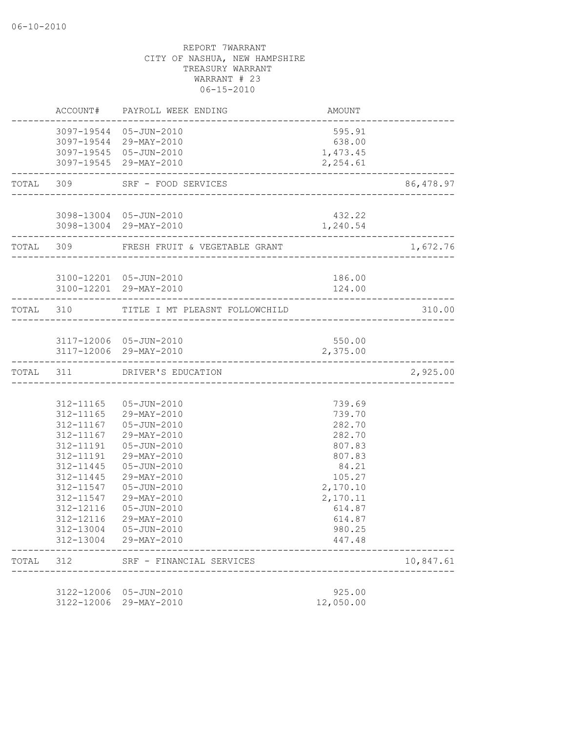|       |                        | ACCOUNT# PAYROLL WEEK ENDING                                             | AMOUNT               |           |
|-------|------------------------|--------------------------------------------------------------------------|----------------------|-----------|
|       |                        | 3097-19544 05-JUN-2010<br>3097-19544 29-MAY-2010                         | 595.91<br>638.00     |           |
|       |                        | 3097-19545 05-JUN-2010<br>3097-19545 29-MAY-2010<br>____________________ | 1,473.45<br>2,254.61 |           |
|       | TOTAL 309              | SRF - FOOD SERVICES                                                      |                      | 86,478.97 |
|       |                        | 3098-13004 05-JUN-2010                                                   | 432.22               |           |
|       |                        | 3098-13004 29-MAY-2010                                                   | 1,240.54             |           |
|       |                        | TOTAL 309 FRESH FRUIT & VEGETABLE GRANT                                  |                      | 1,672.76  |
|       |                        | 3100-12201 05-JUN-2010                                                   | 186.00               |           |
|       |                        | 3100-12201 29-MAY-2010                                                   | 124.00               |           |
|       |                        | TOTAL 310 TITLE I MT PLEASNT FOLLOWCHILD                                 |                      | 310.00    |
|       |                        | 3117-12006 05-JUN-2010                                                   | 550.00               |           |
|       |                        | 3117-12006 29-MAY-2010                                                   | 2,375.00             |           |
|       |                        | TOTAL 311 DRIVER'S EDUCATION                                             |                      | 2,925.00  |
|       |                        |                                                                          |                      |           |
|       |                        | 312-11165  05-JUN-2010                                                   | 739.69               |           |
|       |                        | 312-11165 29-MAY-2010                                                    | 739.70               |           |
|       |                        | 312-11167  05-JUN-2010                                                   | 282.70               |           |
|       | 312-11167              | 29-MAY-2010                                                              | 282.70               |           |
|       | 312-11191              | 05-JUN-2010                                                              | 807.83               |           |
|       | 312-11191<br>312-11445 | 29-MAY-2010<br>05-JUN-2010                                               | 807.83<br>84.21      |           |
|       | 312-11445              | 29-MAY-2010                                                              | 105.27               |           |
|       | 312-11547              | 05-JUN-2010                                                              | 2,170.10             |           |
|       | 312-11547              | 29-MAY-2010                                                              | 2,170.11             |           |
|       | 312-12116              | 05-JUN-2010                                                              | 614.87               |           |
|       | 312-12116              | 29-MAY-2010                                                              | 614.87               |           |
|       | 312-13004              | 05-JUN-2010                                                              | 980.25               |           |
|       |                        | 312-13004 29-MAY-2010                                                    | 447.48               |           |
| TOTAL | 312                    | SRF - FINANCIAL SERVICES                                                 |                      | 10,847.61 |
|       | 3122-12006             | 05-JUN-2010                                                              | 925.00               |           |
|       | 3122-12006             | 29-MAY-2010                                                              | 12,050.00            |           |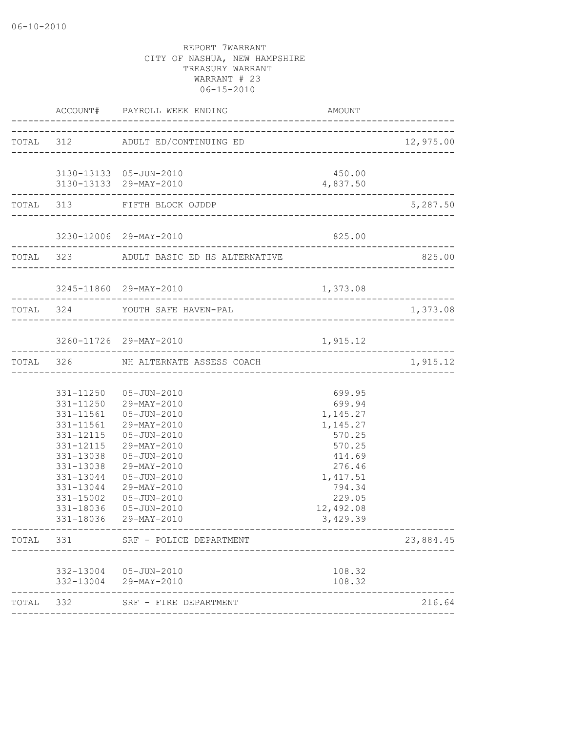|       |                                                               | ACCOUNT# PAYROLL WEEK ENDING<br>------------------------                                                                                                                                                                                                                            | AMOUNT                                                                                                                                    |           |
|-------|---------------------------------------------------------------|-------------------------------------------------------------------------------------------------------------------------------------------------------------------------------------------------------------------------------------------------------------------------------------|-------------------------------------------------------------------------------------------------------------------------------------------|-----------|
|       |                                                               | TOTAL 312 ADULT ED/CONTINUING ED                                                                                                                                                                                                                                                    |                                                                                                                                           |           |
|       |                                                               | 3130-13133  05-JUN-2010<br>3130-13133 29-MAY-2010                                                                                                                                                                                                                                   | 450.00<br>4,837.50                                                                                                                        |           |
|       |                                                               | ---------------------------<br>------------------------------<br>TOTAL 313 FIFTH BLOCK OJDDP                                                                                                                                                                                        |                                                                                                                                           | 5,287.50  |
|       |                                                               | 3230-12006 29-MAY-2010                                                                                                                                                                                                                                                              | 825.00                                                                                                                                    |           |
|       | ---------------------                                         | TOTAL 323 ADULT BASIC ED HS ALTERNATIVE                                                                                                                                                                                                                                             |                                                                                                                                           | 825.00    |
|       | ________________________                                      | 3245-11860 29-MAY-2010                                                                                                                                                                                                                                                              | 1,373.08                                                                                                                                  |           |
|       |                                                               | TOTAL 324 YOUTH SAFE HAVEN-PAL                                                                                                                                                                                                                                                      |                                                                                                                                           | 1,373.08  |
|       |                                                               | 3260-11726 29-MAY-2010                                                                                                                                                                                                                                                              | 1,915.12                                                                                                                                  |           |
|       |                                                               | TOTAL 326 NH ALTERNATE ASSESS COACH                                                                                                                                                                                                                                                 |                                                                                                                                           | 1,915.12  |
|       | 331-13038<br>331-13044<br>331-15002<br>331-18036<br>331-18036 | 331-11250  05-JUN-2010<br>331-11250 29-MAY-2010<br>331-11561  05-JUN-2010<br>331-11561 29-MAY-2010<br>331-12115  05-JUN-2010<br>331-12115 29-MAY-2010<br>331-13038  05-JUN-2010<br>29-MAY-2010<br>331-13044 05-JUN-2010<br>29-MAY-2010<br>05-JUN-2010<br>05-JUN-2010<br>29-MAY-2010 | 699.95<br>699.94<br>1,145.27<br>1,145.27<br>570.25<br>570.25<br>414.69<br>276.46<br>1,417.51<br>794.34<br>229.05<br>12,492.08<br>3,429.39 |           |
|       |                                                               | TOTAL 331 SRF - POLICE DEPARTMENT                                                                                                                                                                                                                                                   |                                                                                                                                           | 23,884.45 |
|       |                                                               | 332-13004 05-JUN-2010<br>332-13004 29-MAY-2010                                                                                                                                                                                                                                      | 108.32<br>108.32                                                                                                                          |           |
| TOTAL | 332                                                           | SRF - FIRE DEPARTMENT                                                                                                                                                                                                                                                               |                                                                                                                                           | 216.64    |
|       |                                                               |                                                                                                                                                                                                                                                                                     |                                                                                                                                           |           |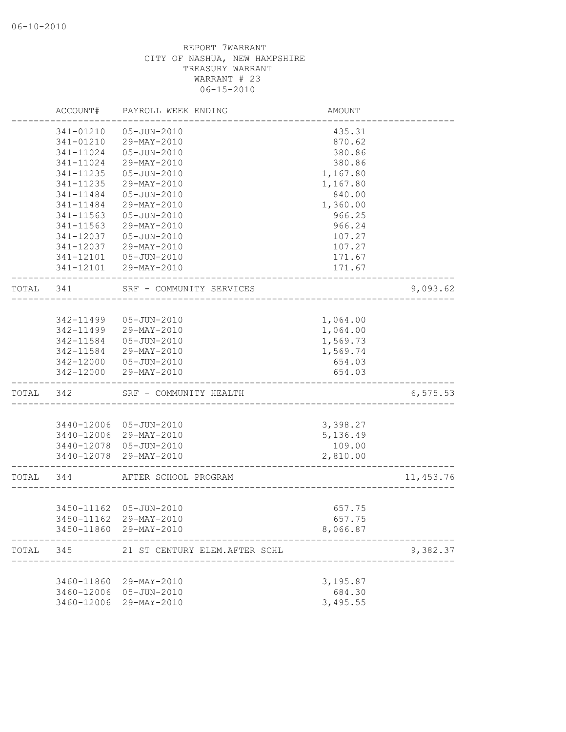|           | ACCOUNT#   | PAYROLL WEEK ENDING            | AMOUNT   |            |
|-----------|------------|--------------------------------|----------|------------|
|           | 341-01210  | 05-JUN-2010                    | 435.31   |            |
|           | 341-01210  | 29-MAY-2010                    | 870.62   |            |
|           | 341-11024  | 05-JUN-2010                    | 380.86   |            |
|           | 341-11024  | 29-MAY-2010                    | 380.86   |            |
|           | 341-11235  | 05-JUN-2010                    | 1,167.80 |            |
|           | 341-11235  | 29-MAY-2010                    | 1,167.80 |            |
|           | 341-11484  | $05 - JUN - 2010$              | 840.00   |            |
|           | 341-11484  | 29-MAY-2010                    | 1,360.00 |            |
|           | 341-11563  | 05-JUN-2010                    | 966.25   |            |
|           | 341-11563  | 29-MAY-2010                    | 966.24   |            |
|           | 341-12037  | 05-JUN-2010                    | 107.27   |            |
|           | 341-12037  | 29-MAY-2010                    | 107.27   |            |
|           | 341-12101  | 05-JUN-2010                    | 171.67   |            |
|           |            | 341-12101 29-MAY-2010          | 171.67   |            |
| TOTAL     | 341        | SRF - COMMUNITY SERVICES       |          | 9,093.62   |
|           |            |                                |          |            |
|           | 342-11499  | 05-JUN-2010                    | 1,064.00 |            |
|           | 342-11499  | 29-MAY-2010                    | 1,064.00 |            |
|           | 342-11584  | 05-JUN-2010                    | 1,569.73 |            |
|           | 342-11584  | 29-MAY-2010                    | 1,569.74 |            |
|           | 342-12000  | 05-JUN-2010                    | 654.03   |            |
|           | 342-12000  | 29-MAY-2010                    | 654.03   |            |
| TOTAL     | 342        | SRF - COMMUNITY HEALTH         |          | 6, 575.53  |
|           |            |                                |          |            |
|           | 3440-12006 | 05-JUN-2010                    | 3,398.27 |            |
|           |            | 3440-12006 29-MAY-2010         | 5,136.49 |            |
|           |            | 3440-12078 05-JUN-2010         | 109.00   |            |
|           | 3440-12078 | 29-MAY-2010                    | 2,810.00 |            |
| TOTAL 344 |            | AFTER SCHOOL PROGRAM           |          | 11, 453.76 |
|           |            |                                |          |            |
|           |            | 3450-11162 05-JUN-2010         | 657.75   |            |
|           |            | 3450-11162 29-MAY-2010         | 657.75   |            |
|           |            | 3450-11860 29-MAY-2010         | 8,066.87 |            |
| TOTAL     | 345        | 21 ST CENTURY ELEM. AFTER SCHL |          | 9,382.37   |
|           |            |                                |          |            |
|           | 3460-11860 | 29-MAY-2010                    | 3,195.87 |            |
|           | 3460-12006 | 05-JUN-2010                    | 684.30   |            |
|           | 3460-12006 | 29-MAY-2010                    | 3,495.55 |            |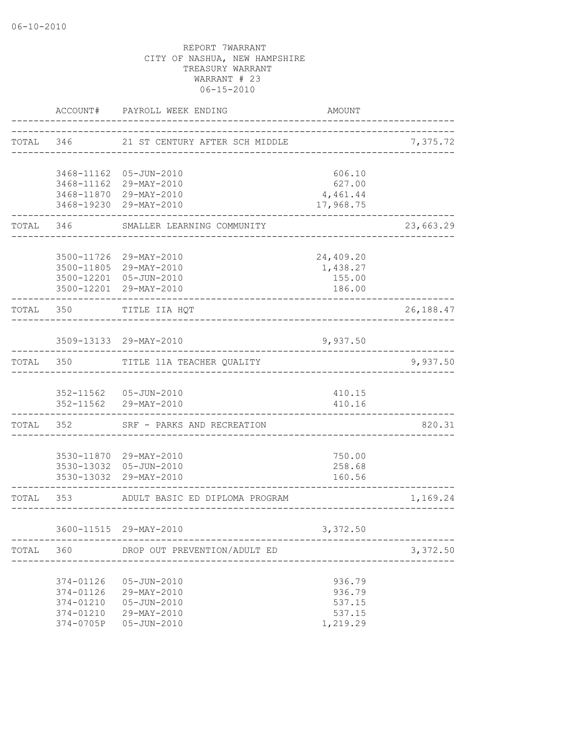|           |                          | ACCOUNT# PAYROLL WEEK ENDING                     | <b>AMOUNT</b>    |           |
|-----------|--------------------------|--------------------------------------------------|------------------|-----------|
| TOTAL     | 346                      | 21 ST CENTURY AFTER SCH MIDDLE                   |                  | 7,375.72  |
|           |                          |                                                  |                  |           |
|           |                          | 3468-11162 05-JUN-2010                           | 606.10           |           |
|           |                          | 3468-11162 29-MAY-2010                           | 627.00           |           |
|           |                          | 3468-11870 29-MAY-2010                           | 4,461.44         |           |
|           |                          | 3468-19230 29-MAY-2010                           | 17,968.75        |           |
| TOTAL     | 346                      | SMALLER LEARNING COMMUNITY                       |                  | 23,663.29 |
|           |                          |                                                  |                  |           |
|           |                          | 3500-11726 29-MAY-2010                           | 24,409.20        |           |
|           |                          | 3500-11805 29-MAY-2010                           | 1,438.27         |           |
|           |                          | 3500-12201 05-JUN-2010<br>3500-12201 29-MAY-2010 | 155.00<br>186.00 |           |
| TOTAL     | 350                      | TITLE IIA HQT                                    |                  | 26,188.47 |
|           |                          |                                                  |                  |           |
|           |                          | 3509-13133 29-MAY-2010                           | 9,937.50         |           |
| TOTAL     | 350                      | TITLE 11A TEACHER QUALITY                        |                  | 9,937.50  |
|           |                          | 352-11562  05-JUN-2010                           |                  |           |
|           |                          | 352-11562 29-MAY-2010                            | 410.15<br>410.16 |           |
| TOTAL     | -------------<br>352 200 | SRF - PARKS AND RECREATION                       |                  | 820.31    |
|           |                          | 3530-11870 29-MAY-2010                           | 750.00           |           |
|           |                          | 3530-13032 05-JUN-2010                           | 258.68           |           |
|           |                          | 3530-13032 29-MAY-2010                           | 160.56           |           |
| TOTAL 353 |                          | ADULT BASIC ED DIPLOMA PROGRAM                   |                  | 1,169.24  |
|           |                          |                                                  |                  |           |
|           |                          | 3600-11515 29-MAY-2010                           | 3,372.50         |           |
| TOTAL     | 360                      | DROP OUT PREVENTION/ADULT ED                     |                  | 3,372.50  |
|           |                          | $05 - JUN - 2010$                                |                  |           |
|           | 374-01126<br>374-01126   | 29-MAY-2010                                      | 936.79<br>936.79 |           |
|           | 374-01210                | $05 - JUN - 2010$                                | 537.15           |           |
|           | 374-01210                | 29-MAY-2010                                      | 537.15           |           |
|           | 374-0705P                | $05 - JUN - 2010$                                | 1,219.29         |           |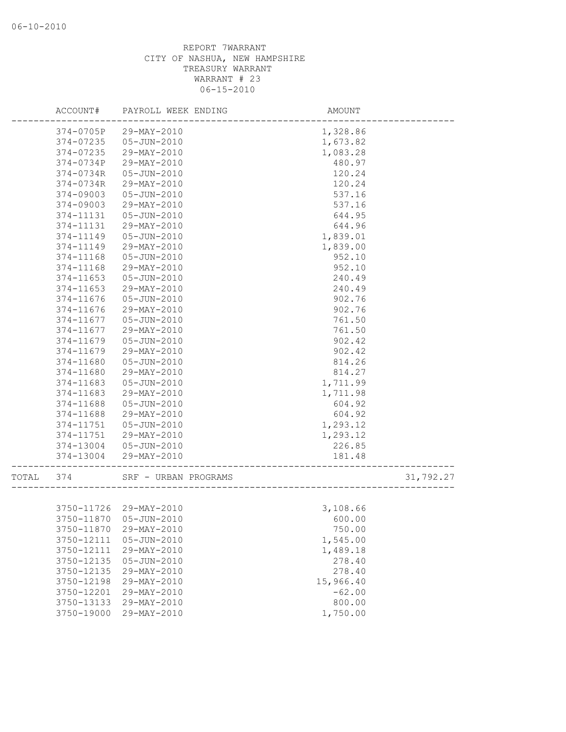| 374-0705P<br>29-MAY-2010<br>1,328.86<br>374-07235<br>05-JUN-2010<br>1,673.82<br>1,083.28<br>374-07235<br>29-MAY-2010<br>374-0734P<br>29-MAY-2010<br>480.97<br>374-0734R<br>05-JUN-2010<br>120.24<br>374-0734R<br>29-MAY-2010<br>120.24<br>374-09003<br>05-JUN-2010<br>537.16<br>374-09003<br>29-MAY-2010<br>537.16<br>374-11131<br>$05 - JUN - 2010$<br>644.95<br>374-11131<br>29-MAY-2010<br>644.96<br>374-11149<br>$05 - JUN - 2010$<br>1,839.01<br>374-11149<br>1,839.00<br>29-MAY-2010<br>374-11168<br>05-JUN-2010<br>952.10<br>374-11168<br>29-MAY-2010<br>952.10<br>374-11653<br>05-JUN-2010<br>240.49<br>374-11653<br>29-MAY-2010<br>240.49<br>374-11676<br>$05 - JUN - 2010$<br>902.76<br>902.76<br>374-11676<br>29-MAY-2010<br>761.50<br>374-11677<br>05-JUN-2010<br>761.50<br>374-11677<br>29-MAY-2010<br>374-11679<br>05-JUN-2010<br>902.42<br>374-11679<br>29-MAY-2010<br>902.42<br>374-11680<br>$05 - JUN - 2010$<br>814.26<br>374-11680<br>29-MAY-2010<br>814.27<br>374-11683<br>$05 - JUN - 2010$<br>1,711.99<br>374-11683<br>29-MAY-2010<br>1,711.98<br>374-11688<br>05-JUN-2010<br>604.92<br>604.92<br>374-11688<br>29-MAY-2010<br>1,293.12<br>374-11751<br>05-JUN-2010<br>1,293.12<br>374-11751<br>29-MAY-2010<br>374-13004 05-JUN-2010<br>226.85<br>374-13004<br>29-MAY-2010<br>181.48<br>31,792.27<br>TOTAL<br>374<br>SRF - URBAN PROGRAMS<br>3,108.66<br>3750-11726 29-MAY-2010<br>3750-11870 05-JUN-2010<br>600.00<br>3750-11870<br>29-MAY-2010<br>750.00<br>1,545.00<br>3750-12111<br>$05 - JUN - 2010$<br>3750-12111<br>29-MAY-2010<br>1,489.18<br>3750-12135<br>$05 - JUN - 2010$<br>278.40<br>3750-12135<br>29-MAY-2010<br>278.40<br>3750-12198<br>29-MAY-2010<br>15,966.40<br>3750-12201<br>29-MAY-2010<br>$-62.00$<br>3750-13133<br>29-MAY-2010<br>800.00 | ACCOUNT#   | PAYROLL WEEK ENDING | AMOUNT   |  |
|---------------------------------------------------------------------------------------------------------------------------------------------------------------------------------------------------------------------------------------------------------------------------------------------------------------------------------------------------------------------------------------------------------------------------------------------------------------------------------------------------------------------------------------------------------------------------------------------------------------------------------------------------------------------------------------------------------------------------------------------------------------------------------------------------------------------------------------------------------------------------------------------------------------------------------------------------------------------------------------------------------------------------------------------------------------------------------------------------------------------------------------------------------------------------------------------------------------------------------------------------------------------------------------------------------------------------------------------------------------------------------------------------------------------------------------------------------------------------------------------------------------------------------------------------------------------------------------------------------------------------------------------------------------------------------------------------------------------------------------------------------------------------------------|------------|---------------------|----------|--|
|                                                                                                                                                                                                                                                                                                                                                                                                                                                                                                                                                                                                                                                                                                                                                                                                                                                                                                                                                                                                                                                                                                                                                                                                                                                                                                                                                                                                                                                                                                                                                                                                                                                                                                                                                                                       |            |                     |          |  |
|                                                                                                                                                                                                                                                                                                                                                                                                                                                                                                                                                                                                                                                                                                                                                                                                                                                                                                                                                                                                                                                                                                                                                                                                                                                                                                                                                                                                                                                                                                                                                                                                                                                                                                                                                                                       |            |                     |          |  |
|                                                                                                                                                                                                                                                                                                                                                                                                                                                                                                                                                                                                                                                                                                                                                                                                                                                                                                                                                                                                                                                                                                                                                                                                                                                                                                                                                                                                                                                                                                                                                                                                                                                                                                                                                                                       |            |                     |          |  |
|                                                                                                                                                                                                                                                                                                                                                                                                                                                                                                                                                                                                                                                                                                                                                                                                                                                                                                                                                                                                                                                                                                                                                                                                                                                                                                                                                                                                                                                                                                                                                                                                                                                                                                                                                                                       |            |                     |          |  |
|                                                                                                                                                                                                                                                                                                                                                                                                                                                                                                                                                                                                                                                                                                                                                                                                                                                                                                                                                                                                                                                                                                                                                                                                                                                                                                                                                                                                                                                                                                                                                                                                                                                                                                                                                                                       |            |                     |          |  |
|                                                                                                                                                                                                                                                                                                                                                                                                                                                                                                                                                                                                                                                                                                                                                                                                                                                                                                                                                                                                                                                                                                                                                                                                                                                                                                                                                                                                                                                                                                                                                                                                                                                                                                                                                                                       |            |                     |          |  |
|                                                                                                                                                                                                                                                                                                                                                                                                                                                                                                                                                                                                                                                                                                                                                                                                                                                                                                                                                                                                                                                                                                                                                                                                                                                                                                                                                                                                                                                                                                                                                                                                                                                                                                                                                                                       |            |                     |          |  |
|                                                                                                                                                                                                                                                                                                                                                                                                                                                                                                                                                                                                                                                                                                                                                                                                                                                                                                                                                                                                                                                                                                                                                                                                                                                                                                                                                                                                                                                                                                                                                                                                                                                                                                                                                                                       |            |                     |          |  |
|                                                                                                                                                                                                                                                                                                                                                                                                                                                                                                                                                                                                                                                                                                                                                                                                                                                                                                                                                                                                                                                                                                                                                                                                                                                                                                                                                                                                                                                                                                                                                                                                                                                                                                                                                                                       |            |                     |          |  |
|                                                                                                                                                                                                                                                                                                                                                                                                                                                                                                                                                                                                                                                                                                                                                                                                                                                                                                                                                                                                                                                                                                                                                                                                                                                                                                                                                                                                                                                                                                                                                                                                                                                                                                                                                                                       |            |                     |          |  |
|                                                                                                                                                                                                                                                                                                                                                                                                                                                                                                                                                                                                                                                                                                                                                                                                                                                                                                                                                                                                                                                                                                                                                                                                                                                                                                                                                                                                                                                                                                                                                                                                                                                                                                                                                                                       |            |                     |          |  |
|                                                                                                                                                                                                                                                                                                                                                                                                                                                                                                                                                                                                                                                                                                                                                                                                                                                                                                                                                                                                                                                                                                                                                                                                                                                                                                                                                                                                                                                                                                                                                                                                                                                                                                                                                                                       |            |                     |          |  |
|                                                                                                                                                                                                                                                                                                                                                                                                                                                                                                                                                                                                                                                                                                                                                                                                                                                                                                                                                                                                                                                                                                                                                                                                                                                                                                                                                                                                                                                                                                                                                                                                                                                                                                                                                                                       |            |                     |          |  |
|                                                                                                                                                                                                                                                                                                                                                                                                                                                                                                                                                                                                                                                                                                                                                                                                                                                                                                                                                                                                                                                                                                                                                                                                                                                                                                                                                                                                                                                                                                                                                                                                                                                                                                                                                                                       |            |                     |          |  |
|                                                                                                                                                                                                                                                                                                                                                                                                                                                                                                                                                                                                                                                                                                                                                                                                                                                                                                                                                                                                                                                                                                                                                                                                                                                                                                                                                                                                                                                                                                                                                                                                                                                                                                                                                                                       |            |                     |          |  |
|                                                                                                                                                                                                                                                                                                                                                                                                                                                                                                                                                                                                                                                                                                                                                                                                                                                                                                                                                                                                                                                                                                                                                                                                                                                                                                                                                                                                                                                                                                                                                                                                                                                                                                                                                                                       |            |                     |          |  |
|                                                                                                                                                                                                                                                                                                                                                                                                                                                                                                                                                                                                                                                                                                                                                                                                                                                                                                                                                                                                                                                                                                                                                                                                                                                                                                                                                                                                                                                                                                                                                                                                                                                                                                                                                                                       |            |                     |          |  |
|                                                                                                                                                                                                                                                                                                                                                                                                                                                                                                                                                                                                                                                                                                                                                                                                                                                                                                                                                                                                                                                                                                                                                                                                                                                                                                                                                                                                                                                                                                                                                                                                                                                                                                                                                                                       |            |                     |          |  |
|                                                                                                                                                                                                                                                                                                                                                                                                                                                                                                                                                                                                                                                                                                                                                                                                                                                                                                                                                                                                                                                                                                                                                                                                                                                                                                                                                                                                                                                                                                                                                                                                                                                                                                                                                                                       |            |                     |          |  |
|                                                                                                                                                                                                                                                                                                                                                                                                                                                                                                                                                                                                                                                                                                                                                                                                                                                                                                                                                                                                                                                                                                                                                                                                                                                                                                                                                                                                                                                                                                                                                                                                                                                                                                                                                                                       |            |                     |          |  |
|                                                                                                                                                                                                                                                                                                                                                                                                                                                                                                                                                                                                                                                                                                                                                                                                                                                                                                                                                                                                                                                                                                                                                                                                                                                                                                                                                                                                                                                                                                                                                                                                                                                                                                                                                                                       |            |                     |          |  |
|                                                                                                                                                                                                                                                                                                                                                                                                                                                                                                                                                                                                                                                                                                                                                                                                                                                                                                                                                                                                                                                                                                                                                                                                                                                                                                                                                                                                                                                                                                                                                                                                                                                                                                                                                                                       |            |                     |          |  |
|                                                                                                                                                                                                                                                                                                                                                                                                                                                                                                                                                                                                                                                                                                                                                                                                                                                                                                                                                                                                                                                                                                                                                                                                                                                                                                                                                                                                                                                                                                                                                                                                                                                                                                                                                                                       |            |                     |          |  |
|                                                                                                                                                                                                                                                                                                                                                                                                                                                                                                                                                                                                                                                                                                                                                                                                                                                                                                                                                                                                                                                                                                                                                                                                                                                                                                                                                                                                                                                                                                                                                                                                                                                                                                                                                                                       |            |                     |          |  |
|                                                                                                                                                                                                                                                                                                                                                                                                                                                                                                                                                                                                                                                                                                                                                                                                                                                                                                                                                                                                                                                                                                                                                                                                                                                                                                                                                                                                                                                                                                                                                                                                                                                                                                                                                                                       |            |                     |          |  |
|                                                                                                                                                                                                                                                                                                                                                                                                                                                                                                                                                                                                                                                                                                                                                                                                                                                                                                                                                                                                                                                                                                                                                                                                                                                                                                                                                                                                                                                                                                                                                                                                                                                                                                                                                                                       |            |                     |          |  |
|                                                                                                                                                                                                                                                                                                                                                                                                                                                                                                                                                                                                                                                                                                                                                                                                                                                                                                                                                                                                                                                                                                                                                                                                                                                                                                                                                                                                                                                                                                                                                                                                                                                                                                                                                                                       |            |                     |          |  |
|                                                                                                                                                                                                                                                                                                                                                                                                                                                                                                                                                                                                                                                                                                                                                                                                                                                                                                                                                                                                                                                                                                                                                                                                                                                                                                                                                                                                                                                                                                                                                                                                                                                                                                                                                                                       |            |                     |          |  |
|                                                                                                                                                                                                                                                                                                                                                                                                                                                                                                                                                                                                                                                                                                                                                                                                                                                                                                                                                                                                                                                                                                                                                                                                                                                                                                                                                                                                                                                                                                                                                                                                                                                                                                                                                                                       |            |                     |          |  |
|                                                                                                                                                                                                                                                                                                                                                                                                                                                                                                                                                                                                                                                                                                                                                                                                                                                                                                                                                                                                                                                                                                                                                                                                                                                                                                                                                                                                                                                                                                                                                                                                                                                                                                                                                                                       |            |                     |          |  |
|                                                                                                                                                                                                                                                                                                                                                                                                                                                                                                                                                                                                                                                                                                                                                                                                                                                                                                                                                                                                                                                                                                                                                                                                                                                                                                                                                                                                                                                                                                                                                                                                                                                                                                                                                                                       |            |                     |          |  |
|                                                                                                                                                                                                                                                                                                                                                                                                                                                                                                                                                                                                                                                                                                                                                                                                                                                                                                                                                                                                                                                                                                                                                                                                                                                                                                                                                                                                                                                                                                                                                                                                                                                                                                                                                                                       |            |                     |          |  |
|                                                                                                                                                                                                                                                                                                                                                                                                                                                                                                                                                                                                                                                                                                                                                                                                                                                                                                                                                                                                                                                                                                                                                                                                                                                                                                                                                                                                                                                                                                                                                                                                                                                                                                                                                                                       |            |                     |          |  |
|                                                                                                                                                                                                                                                                                                                                                                                                                                                                                                                                                                                                                                                                                                                                                                                                                                                                                                                                                                                                                                                                                                                                                                                                                                                                                                                                                                                                                                                                                                                                                                                                                                                                                                                                                                                       |            |                     |          |  |
|                                                                                                                                                                                                                                                                                                                                                                                                                                                                                                                                                                                                                                                                                                                                                                                                                                                                                                                                                                                                                                                                                                                                                                                                                                                                                                                                                                                                                                                                                                                                                                                                                                                                                                                                                                                       |            |                     |          |  |
|                                                                                                                                                                                                                                                                                                                                                                                                                                                                                                                                                                                                                                                                                                                                                                                                                                                                                                                                                                                                                                                                                                                                                                                                                                                                                                                                                                                                                                                                                                                                                                                                                                                                                                                                                                                       |            |                     |          |  |
|                                                                                                                                                                                                                                                                                                                                                                                                                                                                                                                                                                                                                                                                                                                                                                                                                                                                                                                                                                                                                                                                                                                                                                                                                                                                                                                                                                                                                                                                                                                                                                                                                                                                                                                                                                                       |            |                     |          |  |
|                                                                                                                                                                                                                                                                                                                                                                                                                                                                                                                                                                                                                                                                                                                                                                                                                                                                                                                                                                                                                                                                                                                                                                                                                                                                                                                                                                                                                                                                                                                                                                                                                                                                                                                                                                                       |            |                     |          |  |
|                                                                                                                                                                                                                                                                                                                                                                                                                                                                                                                                                                                                                                                                                                                                                                                                                                                                                                                                                                                                                                                                                                                                                                                                                                                                                                                                                                                                                                                                                                                                                                                                                                                                                                                                                                                       |            |                     |          |  |
|                                                                                                                                                                                                                                                                                                                                                                                                                                                                                                                                                                                                                                                                                                                                                                                                                                                                                                                                                                                                                                                                                                                                                                                                                                                                                                                                                                                                                                                                                                                                                                                                                                                                                                                                                                                       |            |                     |          |  |
|                                                                                                                                                                                                                                                                                                                                                                                                                                                                                                                                                                                                                                                                                                                                                                                                                                                                                                                                                                                                                                                                                                                                                                                                                                                                                                                                                                                                                                                                                                                                                                                                                                                                                                                                                                                       |            |                     |          |  |
|                                                                                                                                                                                                                                                                                                                                                                                                                                                                                                                                                                                                                                                                                                                                                                                                                                                                                                                                                                                                                                                                                                                                                                                                                                                                                                                                                                                                                                                                                                                                                                                                                                                                                                                                                                                       |            |                     |          |  |
|                                                                                                                                                                                                                                                                                                                                                                                                                                                                                                                                                                                                                                                                                                                                                                                                                                                                                                                                                                                                                                                                                                                                                                                                                                                                                                                                                                                                                                                                                                                                                                                                                                                                                                                                                                                       |            |                     |          |  |
|                                                                                                                                                                                                                                                                                                                                                                                                                                                                                                                                                                                                                                                                                                                                                                                                                                                                                                                                                                                                                                                                                                                                                                                                                                                                                                                                                                                                                                                                                                                                                                                                                                                                                                                                                                                       |            |                     |          |  |
|                                                                                                                                                                                                                                                                                                                                                                                                                                                                                                                                                                                                                                                                                                                                                                                                                                                                                                                                                                                                                                                                                                                                                                                                                                                                                                                                                                                                                                                                                                                                                                                                                                                                                                                                                                                       | 3750-19000 | 29-MAY-2010         | 1,750.00 |  |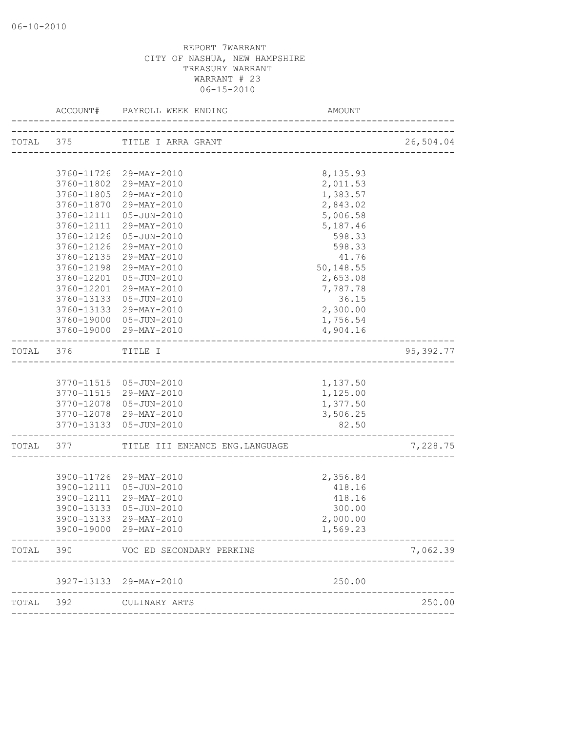|           | ACCOUNT#                 | PAYROLL WEEK ENDING                              | AMOUNT                            |           |
|-----------|--------------------------|--------------------------------------------------|-----------------------------------|-----------|
| TOTAL 375 |                          | TITLE I ARRA GRANT                               | _________________________________ | 26,504.04 |
|           |                          |                                                  |                                   |           |
|           |                          | 3760-11726 29-MAY-2010                           | 8,135.93                          |           |
|           |                          | 3760-11802 29-MAY-2010                           | 2,011.53                          |           |
|           |                          | 3760-11805 29-MAY-2010                           | 1,383.57                          |           |
|           | 3760-11870               | 29-MAY-2010                                      | 2,843.02                          |           |
|           | 3760-12111               | $05 - JUN - 2010$                                | 5,006.58                          |           |
|           | 3760-12111               | 29-MAY-2010                                      | 5,187.46                          |           |
|           | 3760-12126               | 05-JUN-2010                                      | 598.33                            |           |
|           | 3760-12126               | 29-MAY-2010                                      | 598.33                            |           |
|           | 3760-12135               | 29-MAY-2010                                      | 41.76                             |           |
|           | 3760-12198               | 29-MAY-2010                                      | 50,148.55                         |           |
|           | 3760-12201               | 05-JUN-2010                                      | 2,653.08                          |           |
|           | 3760-12201<br>3760-13133 | 29-MAY-2010                                      | 7,787.78                          |           |
|           | 3760-13133               | 05-JUN-2010<br>29-MAY-2010                       | 36.15<br>2,300.00                 |           |
|           |                          | 3760-19000 05-JUN-2010                           | 1,756.54                          |           |
|           |                          | 3760-19000 29-MAY-2010                           | 4,904.16                          |           |
|           |                          |                                                  |                                   |           |
| TOTAL     | 376                      | TITLE I                                          |                                   | 95,392.77 |
|           |                          |                                                  |                                   |           |
|           |                          |                                                  |                                   |           |
|           |                          | 3770-11515 05-JUN-2010<br>3770-11515 29-MAY-2010 | 1,137.50<br>1,125.00              |           |
|           |                          | 3770-12078 05-JUN-2010                           | 1,377.50                          |           |
|           |                          | 3770-12078 29-MAY-2010                           | 3,506.25                          |           |
|           |                          | 3770-13133 05-JUN-2010                           | 82.50                             |           |
|           |                          |                                                  |                                   |           |
| TOTAL 377 |                          | TITLE III ENHANCE ENG. LANGUAGE                  |                                   | 7,228.75  |
|           |                          |                                                  |                                   |           |
|           |                          | 3900-11726 29-MAY-2010                           | 2,356.84                          |           |
|           |                          | 3900-12111 05-JUN-2010                           | 418.16                            |           |
|           | 3900-12111               | 29-MAY-2010                                      | 418.16                            |           |
|           | 3900-13133               | 05-JUN-2010                                      | 300.00                            |           |
|           |                          | 3900-13133 29-MAY-2010                           | 2,000.00                          |           |
|           |                          | 3900-19000 29-MAY-2010                           | 1,569.23                          |           |
| TOTAL     | 390                      | VOC ED SECONDARY PERKINS                         |                                   | 7,062.39  |
|           |                          | 3927-13133 29-MAY-2010                           | 250.00                            |           |
|           |                          |                                                  |                                   |           |
| TOTAL     | 392                      | CULINARY ARTS                                    |                                   | 250.00    |
|           |                          |                                                  |                                   |           |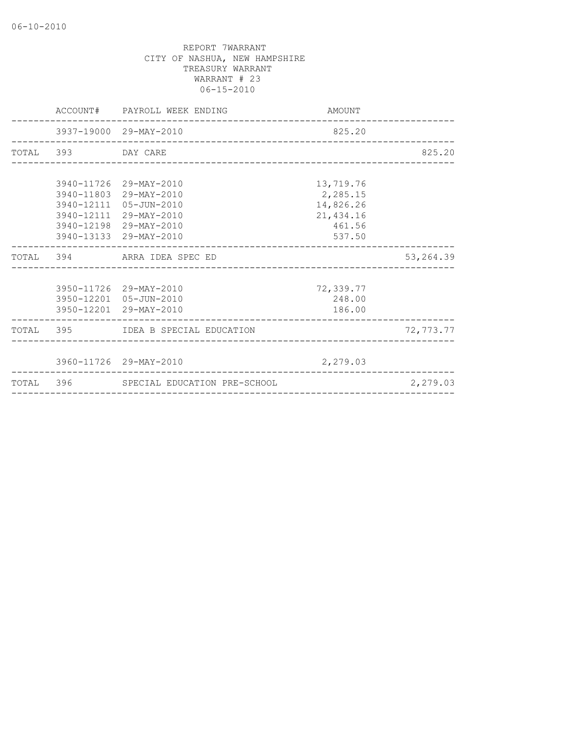|                    | ACCOUNT# PAYROLL WEEK ENDING                                  | AMOUNT     |            |
|--------------------|---------------------------------------------------------------|------------|------------|
|                    | 3937-19000 29-MAY-2010<br>___________________________________ | 825.20     |            |
| TOTAL 393 DAY CARE |                                                               |            | 825.20     |
|                    |                                                               |            |            |
|                    | 3940-11726 29-MAY-2010                                        | 13,719.76  |            |
|                    | 3940-11803 29-MAY-2010                                        | 2,285.15   |            |
|                    | 3940-12111 05-JUN-2010                                        | 14,826.26  |            |
|                    | 3940-12111 29-MAY-2010                                        | 21, 434.16 |            |
|                    | 3940-12198 29-MAY-2010                                        | 461.56     |            |
|                    | 3940-13133 29-MAY-2010                                        | 537.50     |            |
|                    | TOTAL 394 ARRA IDEA SPEC ED                                   |            | 53, 264.39 |
|                    |                                                               |            |            |
|                    | 3950-11726 29-MAY-2010                                        | 72,339.77  |            |
|                    | 3950-12201 05-JUN-2010                                        | 248.00     |            |
|                    | 3950-12201 29-MAY-2010                                        | 186.00     |            |
|                    | TOTAL 395 IDEA B SPECIAL EDUCATION                            |            | 72,773.77  |
|                    |                                                               |            |            |
|                    | 3960-11726 29-MAY-2010                                        | 2,279.03   |            |
|                    | TOTAL 396 SPECIAL EDUCATION PRE-SCHOOL                        |            | 2,279.03   |
|                    |                                                               |            |            |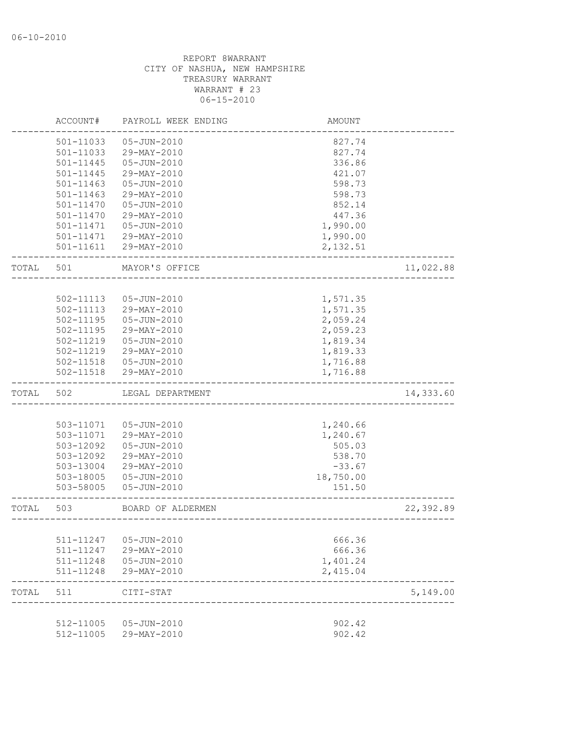|       | ACCOUNT#               | PAYROLL WEEK ENDING        | AMOUNT               |           |
|-------|------------------------|----------------------------|----------------------|-----------|
|       | 501-11033              | 05-JUN-2010                | 827.74               |           |
|       | 501-11033              | 29-MAY-2010                | 827.74               |           |
|       | 501-11445              | $05 - JUN - 2010$          | 336.86               |           |
|       | $501 - 11445$          | 29-MAY-2010                | 421.07               |           |
|       | 501-11463              | $05 - JUN - 2010$          | 598.73               |           |
|       | $501 - 11463$          | 29-MAY-2010                | 598.73               |           |
|       | 501-11470              | $05 - JUN - 2010$          | 852.14               |           |
|       | $501 - 11470$          | 29-MAY-2010                | 447.36               |           |
|       | 501-11471              | 05-JUN-2010                | 1,990.00             |           |
|       | 501-11471              | 29-MAY-2010                | 1,990.00             |           |
|       | 501-11611              | 29-MAY-2010                | 2,132.51             |           |
| TOTAL | 501                    | MAYOR'S OFFICE             |                      | 11,022.88 |
|       |                        |                            |                      |           |
|       | 502-11113              | $05 - JUN - 2010$          | 1,571.35             |           |
|       | 502-11113              | 29-MAY-2010                | 1,571.35             |           |
|       | $502 - 11195$          | 05-JUN-2010                | 2,059.24             |           |
|       | 502-11195              | 29-MAY-2010                | 2,059.23             |           |
|       | 502-11219              | $05 - JUN - 2010$          | 1,819.34             |           |
|       | 502-11219              | 29-MAY-2010                | 1,819.33             |           |
|       | 502-11518              | 05-JUN-2010                | 1,716.88             |           |
|       | 502-11518              | 29-MAY-2010                | 1,716.88             |           |
| TOTAL | 502                    | LEGAL DEPARTMENT           |                      | 14,333.60 |
|       |                        |                            |                      |           |
|       | 503-11071              | 05-JUN-2010                | 1,240.66             |           |
|       | 503-11071              | 29-MAY-2010                | 1,240.67             |           |
|       | 503-12092              | 05-JUN-2010                | 505.03               |           |
|       | 503-12092              | 29-MAY-2010                | 538.70               |           |
|       | 503-13004              | 29-MAY-2010                | $-33.67$             |           |
|       | 503-18005              | $05 - JUN - 2010$          | 18,750.00            |           |
|       | 503-58005              | $05 - JUN - 2010$          | 151.50               |           |
| TOTAL | 503                    | BOARD OF ALDERMEN          | ____________________ | 22,392.89 |
|       |                        |                            |                      |           |
|       | 511-11247              | $05 - JUN - 2010$          | 666.36               |           |
|       | 511-11247              | 29-MAY-2010                | 666.36               |           |
|       | 511-11248              | 05-JUN-2010                | 1,401.24             |           |
|       | 511-11248              | 29-MAY-2010                | 2,415.04             |           |
| TOTAL | 511                    | CITI-STAT                  |                      | 5,149.00  |
|       |                        |                            |                      |           |
|       |                        |                            |                      |           |
|       | 512-11005<br>512-11005 | 05-JUN-2010<br>29-MAY-2010 | 902.42<br>902.42     |           |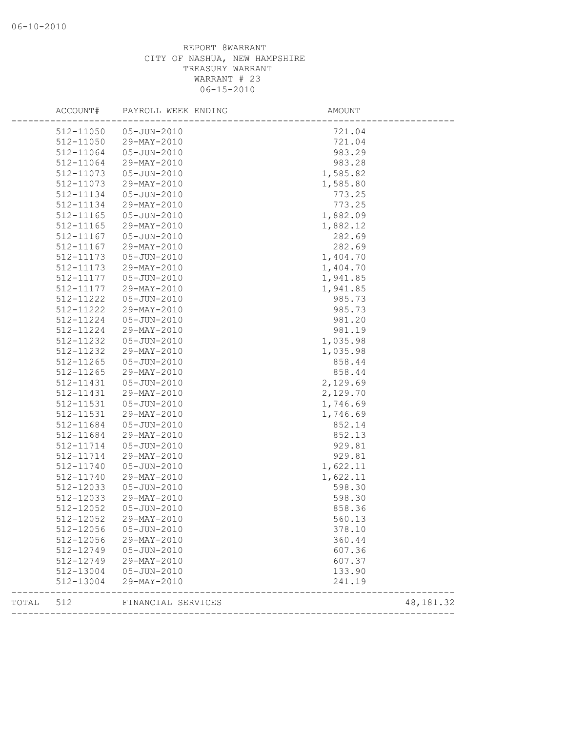|       | ACCOUNT#  | PAYROLL WEEK ENDING | AMOUNT   |            |
|-------|-----------|---------------------|----------|------------|
|       | 512-11050 | 05-JUN-2010         | 721.04   |            |
|       | 512-11050 | 29-MAY-2010         | 721.04   |            |
|       | 512-11064 | 05-JUN-2010         | 983.29   |            |
|       | 512-11064 | 29-MAY-2010         | 983.28   |            |
|       | 512-11073 | 05-JUN-2010         | 1,585.82 |            |
|       | 512-11073 | 29-MAY-2010         | 1,585.80 |            |
|       | 512-11134 | $05 - JUN - 2010$   | 773.25   |            |
|       | 512-11134 | 29-MAY-2010         | 773.25   |            |
|       | 512-11165 | $05 - JUN - 2010$   | 1,882.09 |            |
|       | 512-11165 | 29-MAY-2010         | 1,882.12 |            |
|       | 512-11167 | 05-JUN-2010         | 282.69   |            |
|       | 512-11167 | 29-MAY-2010         | 282.69   |            |
|       | 512-11173 | 05-JUN-2010         | 1,404.70 |            |
|       | 512-11173 | 29-MAY-2010         | 1,404.70 |            |
|       | 512-11177 | 05-JUN-2010         | 1,941.85 |            |
|       | 512-11177 | 29-MAY-2010         | 1,941.85 |            |
|       | 512-11222 | 05-JUN-2010         | 985.73   |            |
|       | 512-11222 | 29-MAY-2010         | 985.73   |            |
|       | 512-11224 | $05 - JUN - 2010$   | 981.20   |            |
|       | 512-11224 | 29-MAY-2010         | 981.19   |            |
|       | 512-11232 | 05-JUN-2010         | 1,035.98 |            |
|       | 512-11232 | 29-MAY-2010         | 1,035.98 |            |
|       | 512-11265 | 05-JUN-2010         | 858.44   |            |
|       | 512-11265 | 29-MAY-2010         | 858.44   |            |
|       | 512-11431 | 05-JUN-2010         | 2,129.69 |            |
|       | 512-11431 | 29-MAY-2010         | 2,129.70 |            |
|       | 512-11531 | $05 - JUN - 2010$   | 1,746.69 |            |
|       | 512-11531 | 29-MAY-2010         | 1,746.69 |            |
|       | 512-11684 | 05-JUN-2010         | 852.14   |            |
|       | 512-11684 | 29-MAY-2010         | 852.13   |            |
|       | 512-11714 | $05 - JUN - 2010$   | 929.81   |            |
|       | 512-11714 | 29-MAY-2010         | 929.81   |            |
|       | 512-11740 | $05 - JUN - 2010$   | 1,622.11 |            |
|       | 512-11740 | 29-MAY-2010         | 1,622.11 |            |
|       | 512-12033 | 05-JUN-2010         | 598.30   |            |
|       | 512-12033 | 29-MAY-2010         | 598.30   |            |
|       | 512-12052 | 05-JUN-2010         | 858.36   |            |
|       | 512-12052 | 29-MAY-2010         | 560.13   |            |
|       | 512-12056 | $05 - JUN - 2010$   | 378.10   |            |
|       | 512-12056 | 29-MAY-2010         | 360.44   |            |
|       | 512-12749 | 05-JUN-2010         | 607.36   |            |
|       | 512-12749 | 29-MAY-2010         | 607.37   |            |
|       | 512-13004 | 05-JUN-2010         | 133.90   |            |
|       | 512-13004 | 29-MAY-2010         | 241.19   |            |
| TOTAL | 512       | FINANCIAL SERVICES  |          | 48, 181.32 |
|       |           |                     |          |            |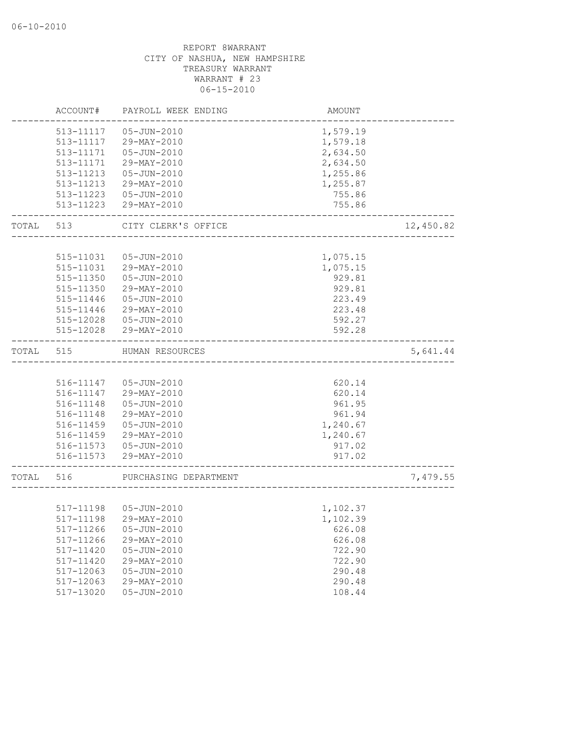|           | ACCOUNT#               | PAYROLL WEEK ENDING        | AMOUNT                 |           |
|-----------|------------------------|----------------------------|------------------------|-----------|
|           | 513-11117              | 05-JUN-2010                | 1,579.19               |           |
|           | 513-11117              | 29-MAY-2010                | 1,579.18               |           |
|           | 513-11171              | 05-JUN-2010                | 2,634.50               |           |
|           | 513-11171              | 29-MAY-2010                | 2,634.50               |           |
|           | 513-11213              | 05-JUN-2010                | 1,255.86               |           |
|           | 513-11213              | 29-MAY-2010                | 1,255.87               |           |
|           | 513-11223              | 05-JUN-2010                | 755.86                 |           |
|           | 513-11223              | 29-MAY-2010                | 755.86                 |           |
| TOTAL 513 |                        | CITY CLERK'S OFFICE        | ______________________ | 12,450.82 |
|           |                        |                            |                        |           |
|           | 515-11031              | 05-JUN-2010                | 1,075.15               |           |
|           | 515-11031              | 29-MAY-2010                | 1,075.15               |           |
|           | 515-11350<br>515-11350 | 05-JUN-2010<br>29-MAY-2010 | 929.81<br>929.81       |           |
|           | 515-11446              | 05-JUN-2010                | 223.49                 |           |
|           | 515-11446              | 29-MAY-2010                | 223.48                 |           |
|           | 515-12028              | 05-JUN-2010                | 592.27                 |           |
|           | 515-12028              | 29-MAY-2010                | 592.28                 |           |
|           |                        |                            |                        |           |
| TOTAL     | 515                    | HUMAN RESOURCES            |                        | 5,641.44  |
|           |                        |                            |                        |           |
|           | 516-11147              | 05-JUN-2010                | 620.14                 |           |
|           | 516-11147              | 29-MAY-2010                | 620.14                 |           |
|           | 516-11148              | 05-JUN-2010                | 961.95                 |           |
|           | 516-11148              | 29-MAY-2010                | 961.94                 |           |
|           | 516-11459              | 05-JUN-2010                | 1,240.67               |           |
|           | 516-11459              | 29-MAY-2010                | 1,240.67               |           |
|           |                        | 516-11573  05-JUN-2010     | 917.02                 |           |
|           | 516-11573              | 29-MAY-2010                | 917.02                 |           |
| TOTAL     | 516                    | PURCHASING DEPARTMENT      |                        | 7,479.55  |
|           |                        |                            |                        |           |
|           |                        | 517-11198  05-JUN-2010     | 1,102.37               |           |
|           |                        | 517-11198 29-MAY-2010      | 1,102.39               |           |
|           | 517-11266              | $05 - JUN - 2010$          | 626.08                 |           |
|           | 517-11266              | 29-MAY-2010                | 626.08                 |           |
|           | 517-11420              | $05 - JUN - 2010$          | 722.90                 |           |
|           | 517-11420              | 29-MAY-2010                | 722.90                 |           |
|           | 517-12063              | $05 - JUN - 2010$          | 290.48                 |           |
|           | 517-12063              | 29-MAY-2010                | 290.48                 |           |
|           | 517-13020              | $05 - JUN - 2010$          | 108.44                 |           |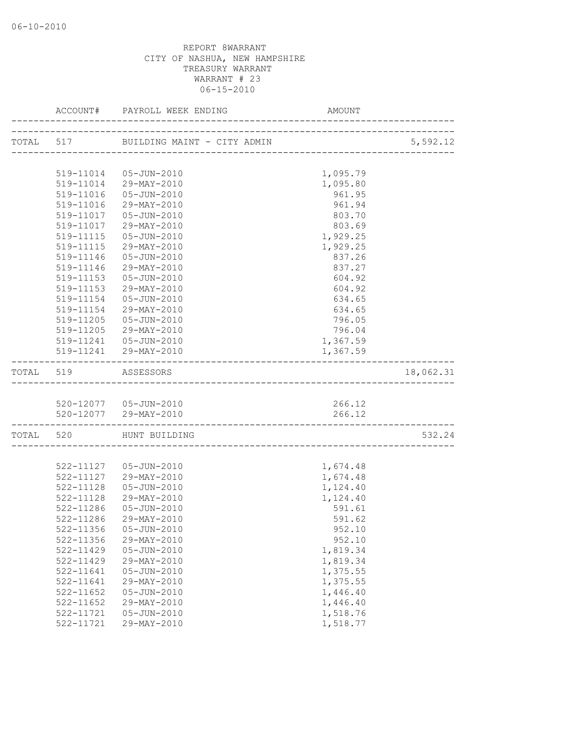|           |                        |                                                 | AMOUNT               |           |
|-----------|------------------------|-------------------------------------------------|----------------------|-----------|
|           |                        |                                                 |                      | 5,592.12  |
|           |                        |                                                 |                      |           |
|           |                        | 519-11014  05-JUN-2010                          | 1,095.79             |           |
|           |                        | 519-11014 29-MAY-2010                           | 1,095.80             |           |
|           | 519-11016              | 05-JUN-2010                                     | 961.95               |           |
|           | 519-11016              | 29-MAY-2010                                     | 961.94               |           |
|           | 519-11017              | 05-JUN-2010                                     | 803.70               |           |
|           | 519-11017              | 29-MAY-2010                                     | 803.69               |           |
|           | 519-11115              | 05-JUN-2010                                     | 1,929.25             |           |
|           |                        | 519-11115 29-MAY-2010                           | 1,929.25             |           |
|           | 519-11146              | 05-JUN-2010                                     | 837.26               |           |
|           | 519-11146              | 29-MAY-2010                                     | 837.27               |           |
|           | 519-11153              | 05-JUN-2010                                     | 604.92               |           |
|           | 519-11153              | 29-MAY-2010                                     | 604.92               |           |
|           | 519-11154              | 05-JUN-2010                                     | 634.65               |           |
|           | 519-11154              | 29-MAY-2010                                     | 634.65               |           |
|           | 519-11205              | 05-JUN-2010                                     | 796.05               |           |
|           |                        | 519-11205 29-MAY-2010                           | 796.04               |           |
|           |                        | 519-11241  05-JUN-2010                          | 1,367.59             |           |
|           |                        | 519-11241 29-MAY-2010                           | 1,367.59             |           |
| TOTAL 519 |                        | ASSESSORS                                       |                      | 18,062.31 |
|           |                        |                                                 |                      |           |
|           |                        | 520-12077  05-JUN-2010<br>520-12077 29-MAY-2010 | 266.12<br>266.12     |           |
|           |                        |                                                 |                      |           |
|           |                        | TOTAL 520 HUNT BUILDING                         |                      | 532.24    |
|           |                        |                                                 |                      |           |
|           |                        | 522-11127  05-JUN-2010                          | 1,674.48             |           |
|           |                        | 522-11127 29-MAY-2010                           | 1,674.48             |           |
|           | 522-11128              | 05-JUN-2010                                     | 1,124.40             |           |
|           | 522-11128              | 29-MAY-2010                                     | 1,124.40             |           |
|           | 522-11286              | 05-JUN-2010                                     | 591.61               |           |
|           | 522-11286              | 29-MAY-2010                                     | 591.62               |           |
|           | 522-11356              | $05 - JUN - 2010$                               | 952.10               |           |
|           | 522-11356              | 29-MAY-2010                                     | 952.10               |           |
|           | 522-11429              | $05 - JUN - 2010$                               | 1,819.34             |           |
|           | 522-11429              | 29-MAY-2010                                     | 1,819.34             |           |
|           | 522-11641              | $05 - JUN - 2010$                               | 1,375.55             |           |
|           | 522-11641              | 29-MAY-2010                                     | 1,375.55             |           |
|           | 522-11652              | $05 - JUN - 2010$<br>29-MAY-2010                | 1,446.40             |           |
|           | 522-11652<br>522-11721 | $05 - JUN - 2010$                               | 1,446.40<br>1,518.76 |           |
|           | 522-11721              | 29-MAY-2010                                     | 1,518.77             |           |
|           |                        |                                                 |                      |           |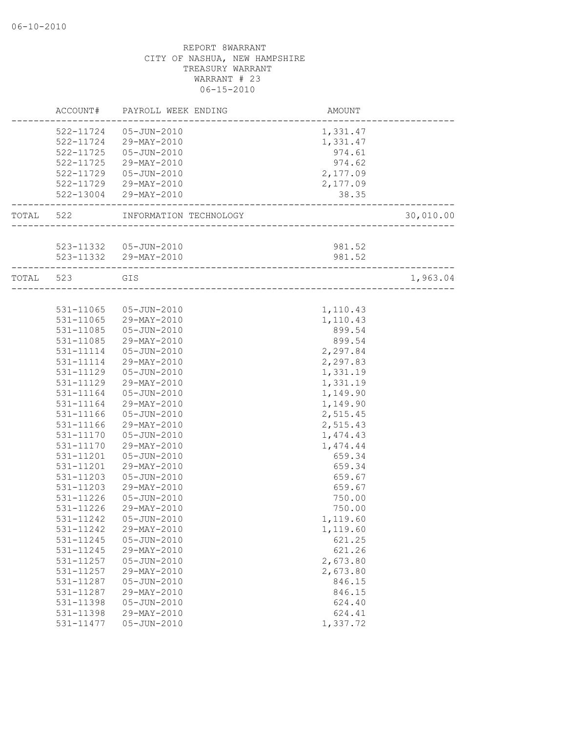|           | ACCOUNT#  | PAYROLL WEEK ENDING    | AMOUNT                    |           |
|-----------|-----------|------------------------|---------------------------|-----------|
|           | 522-11724 | 05-JUN-2010            | 1,331.47                  |           |
|           | 522-11724 | 29-MAY-2010            | 1,331.47                  |           |
|           | 522-11725 | 05-JUN-2010            | 974.61                    |           |
|           | 522-11725 | 29-MAY-2010            | 974.62                    |           |
|           | 522-11729 | 05-JUN-2010            | 2,177.09                  |           |
|           |           | 522-11729 29-MAY-2010  | 2,177.09                  |           |
|           | 522-13004 | 29-MAY-2010            | 38.35                     |           |
| TOTAL 522 |           | INFORMATION TECHNOLOGY |                           | 30,010.00 |
|           |           |                        |                           |           |
|           |           | 523-11332  05-JUN-2010 | 981.52                    |           |
|           |           | 523-11332 29-MAY-2010  | 981.52                    |           |
| TOTAL 523 |           | GIS                    |                           | 1,963.04  |
|           |           |                        | _________________________ |           |
|           | 531-11065 | 05-JUN-2010            | 1,110.43                  |           |
|           | 531-11065 | 29-MAY-2010            | 1,110.43                  |           |
|           | 531-11085 | 05-JUN-2010            | 899.54                    |           |
|           | 531-11085 | 29-MAY-2010            | 899.54                    |           |
|           | 531-11114 | 05-JUN-2010            | 2,297.84                  |           |
|           | 531-11114 | 29-MAY-2010            | 2,297.83                  |           |
|           | 531-11129 | 05-JUN-2010            | 1,331.19                  |           |
|           | 531-11129 | 29-MAY-2010            | 1,331.19                  |           |
|           | 531-11164 | 05-JUN-2010            | 1,149.90                  |           |
|           | 531-11164 | 29-MAY-2010            | 1,149.90                  |           |
|           | 531-11166 | 05-JUN-2010            | 2,515.45                  |           |
|           | 531-11166 | 29-MAY-2010            | 2,515.43                  |           |
|           | 531-11170 | 05-JUN-2010            | 1,474.43                  |           |
|           | 531-11170 | 29-MAY-2010            | 1,474.44                  |           |
|           | 531-11201 | 05-JUN-2010            | 659.34                    |           |
|           | 531-11201 | 29-MAY-2010            | 659.34                    |           |
|           | 531-11203 | $05 - JUN - 2010$      | 659.67                    |           |
|           | 531-11203 | 29-MAY-2010            | 659.67                    |           |
|           | 531-11226 | $05 - JUN - 2010$      | 750.00                    |           |
|           | 531-11226 | 29-MAY-2010            | 750.00                    |           |
|           |           | 531-11242  05-JUN-2010 | 1,119.60                  |           |
|           | 531-11242 | 29-MAY-2010            | 1,119.60                  |           |
|           | 531-11245 | $05 - JUN - 2010$      | 621.25                    |           |
|           | 531-11245 | 29-MAY-2010            | 621.26                    |           |
|           | 531-11257 | $05 - JUN - 2010$      | 2,673.80                  |           |
|           | 531-11257 | 29-MAY-2010            | 2,673.80                  |           |
|           | 531-11287 | 05-JUN-2010            | 846.15                    |           |
|           | 531-11287 | 29-MAY-2010            | 846.15                    |           |
|           | 531-11398 | 05-JUN-2010            | 624.40                    |           |
|           | 531-11398 | 29-MAY-2010            | 624.41                    |           |
|           | 531-11477 | $05 - JUN - 2010$      | 1,337.72                  |           |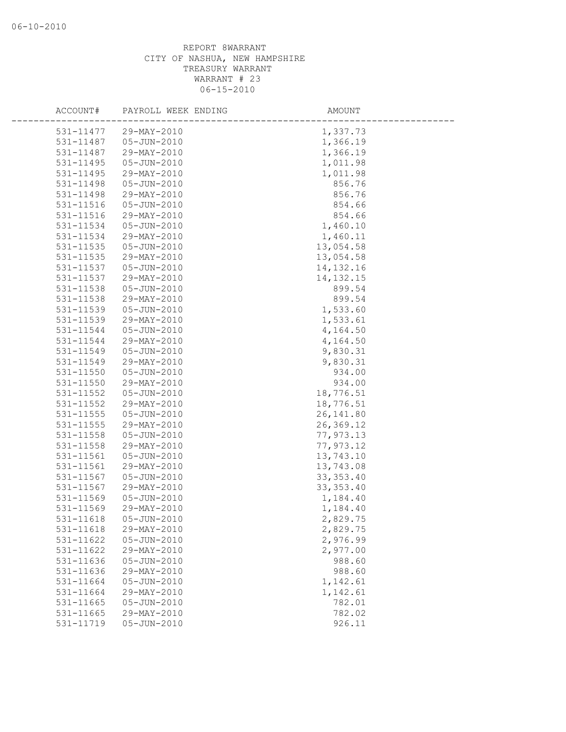| ACCOUNT#      | PAYROLL WEEK ENDING | AMOUNT      |
|---------------|---------------------|-------------|
| 531-11477     | 29-MAY-2010         | 1,337.73    |
| 531-11487     | 05-JUN-2010         | 1,366.19    |
| 531-11487     | 29-MAY-2010         | 1,366.19    |
| 531-11495     | $05 - JUN - 2010$   | 1,011.98    |
| 531-11495     | 29-MAY-2010         | 1,011.98    |
| 531-11498     | 05-JUN-2010         | 856.76      |
| 531-11498     | 29-MAY-2010         | 856.76      |
| $531 - 11516$ | 05-JUN-2010         | 854.66      |
| 531-11516     | 29-MAY-2010         | 854.66      |
| 531-11534     | 05-JUN-2010         | 1,460.10    |
| 531-11534     | 29-MAY-2010         | 1,460.11    |
| 531-11535     | 05-JUN-2010         | 13,054.58   |
| 531-11535     | 29-MAY-2010         | 13,054.58   |
| 531-11537     | 05-JUN-2010         | 14, 132. 16 |
| 531-11537     | 29-MAY-2010         | 14, 132. 15 |
| 531-11538     | 05-JUN-2010         | 899.54      |
| 531-11538     | 29-MAY-2010         | 899.54      |
| 531-11539     | 05-JUN-2010         | 1,533.60    |
| 531-11539     | 29-MAY-2010         | 1,533.61    |
| 531-11544     | 05-JUN-2010         | 4,164.50    |
| 531-11544     | 29-MAY-2010         | 4,164.50    |
| 531-11549     | 05-JUN-2010         | 9,830.31    |
| 531-11549     | 29-MAY-2010         | 9,830.31    |
| 531-11550     | 05-JUN-2010         | 934.00      |
| 531-11550     | 29-MAY-2010         | 934.00      |
| 531-11552     | $05 - JUN - 2010$   | 18,776.51   |
| 531-11552     | 29-MAY-2010         | 18,776.51   |
| 531-11555     | 05-JUN-2010         | 26, 141.80  |
| 531-11555     | 29-MAY-2010         | 26,369.12   |
| 531-11558     | 05-JUN-2010         | 77,973.13   |
| 531-11558     | 29-MAY-2010         | 77,973.12   |
| 531-11561     | $05 - JUN - 2010$   | 13,743.10   |
| 531-11561     | 29-MAY-2010         | 13,743.08   |
| 531-11567     | 05-JUN-2010         | 33, 353.40  |
| 531-11567     | 29-MAY-2010         | 33, 353.40  |
| 531-11569     | 05-JUN-2010         | 1,184.40    |
| 531-11569     | 29-MAY-2010         | 1,184.40    |
| 531-11618     | $05 - JUN - 2010$   | 2,829.75    |
| 531-11618     | 29-MAY-2010         | 2,829.75    |
| 531-11622     | $05 - JUN - 2010$   | 2,976.99    |
| 531-11622     | 29-MAY-2010         | 2,977.00    |
| 531-11636     | $05 - JUN - 2010$   | 988.60      |
| 531-11636     | 29-MAY-2010         | 988.60      |
| 531-11664     | $05 - JUN - 2010$   | 1,142.61    |
| 531-11664     | 29-MAY-2010         | 1,142.61    |
| 531-11665     | $05 - JUN - 2010$   | 782.01      |
| 531-11665     | 29-MAY-2010         | 782.02      |
| 531-11719     | $05 - JUN - 2010$   | 926.11      |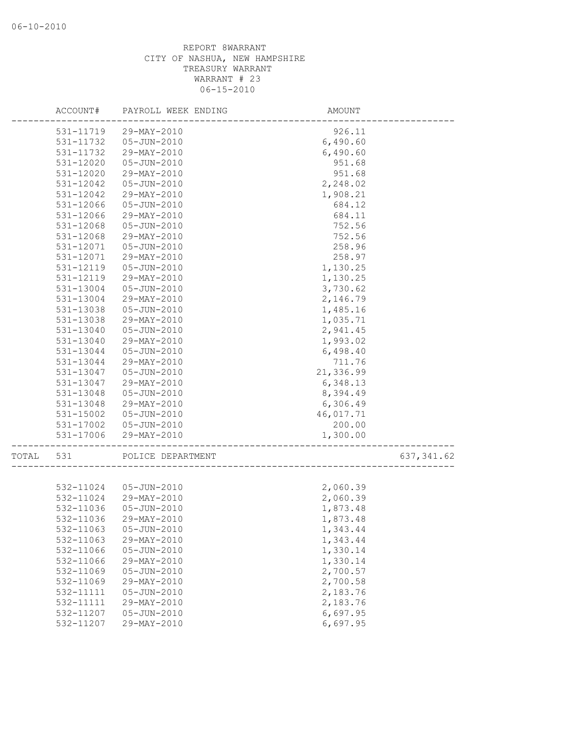|       | ACCOUNT#  | PAYROLL WEEK ENDING    | AMOUNT    |             |
|-------|-----------|------------------------|-----------|-------------|
|       | 531-11719 | 29-MAY-2010            | 926.11    |             |
|       | 531-11732 | 05-JUN-2010            | 6,490.60  |             |
|       | 531-11732 | 29-MAY-2010            | 6,490.60  |             |
|       | 531-12020 | 05-JUN-2010            | 951.68    |             |
|       | 531-12020 | 29-MAY-2010            | 951.68    |             |
|       | 531-12042 | 05-JUN-2010            | 2,248.02  |             |
|       | 531-12042 | 29-MAY-2010            | 1,908.21  |             |
|       | 531-12066 | $05 - JUN - 2010$      | 684.12    |             |
|       | 531-12066 | 29-MAY-2010            | 684.11    |             |
|       | 531-12068 | 05-JUN-2010            | 752.56    |             |
|       | 531-12068 | 29-MAY-2010            | 752.56    |             |
|       | 531-12071 | 05-JUN-2010            | 258.96    |             |
|       | 531-12071 | 29-MAY-2010            | 258.97    |             |
|       | 531-12119 | 05-JUN-2010            | 1,130.25  |             |
|       | 531-12119 | 29-MAY-2010            | 1,130.25  |             |
|       | 531-13004 | 05-JUN-2010            | 3,730.62  |             |
|       | 531-13004 | 29-MAY-2010            | 2,146.79  |             |
|       | 531-13038 | 05-JUN-2010            | 1,485.16  |             |
|       | 531-13038 | 29-MAY-2010            | 1,035.71  |             |
|       | 531-13040 | 05-JUN-2010            | 2,941.45  |             |
|       | 531-13040 | 29-MAY-2010            | 1,993.02  |             |
|       | 531-13044 | $05 - JUN - 2010$      | 6,498.40  |             |
|       | 531-13044 | 29-MAY-2010            | 711.76    |             |
|       | 531-13047 | 05-JUN-2010            | 21,336.99 |             |
|       | 531-13047 | 29-MAY-2010            | 6,348.13  |             |
|       | 531-13048 | 05-JUN-2010            | 8,394.49  |             |
|       | 531-13048 | 29-MAY-2010            | 6,306.49  |             |
|       | 531-15002 | 05-JUN-2010            | 46,017.71 |             |
|       | 531-17002 | 05-JUN-2010            | 200.00    |             |
|       | 531-17006 | 29-MAY-2010            | 1,300.00  |             |
| TOTAL | 531       | POLICE DEPARTMENT      |           | 637, 341.62 |
|       |           |                        |           |             |
|       |           | 532-11024  05-JUN-2010 | 2,060.39  |             |
|       | 532-11024 | 29-MAY-2010            | 2,060.39  |             |
|       | 532-11036 | 05-JUN-2010            | 1,873.48  |             |
|       | 532-11036 | 29-MAY-2010            | 1,873.48  |             |
|       | 532-11063 | $05 - JUN - 2010$      | 1,343.44  |             |
|       | 532-11063 | 29-MAY-2010            | 1,343.44  |             |
|       | 532-11066 | $05 - JUN - 2010$      | 1,330.14  |             |
|       | 532-11066 | 29-MAY-2010            | 1,330.14  |             |
|       | 532-11069 | $05 - JUN - 2010$      | 2,700.57  |             |
|       | 532-11069 | 29-MAY-2010            | 2,700.58  |             |
|       | 532-11111 | $05 - JUN - 2010$      | 2,183.76  |             |
|       | 532-11111 | 29-MAY-2010            | 2,183.76  |             |
|       | 532-11207 | $05 - JUN - 2010$      | 6,697.95  |             |
|       | 532-11207 | 29-MAY-2010            | 6,697.95  |             |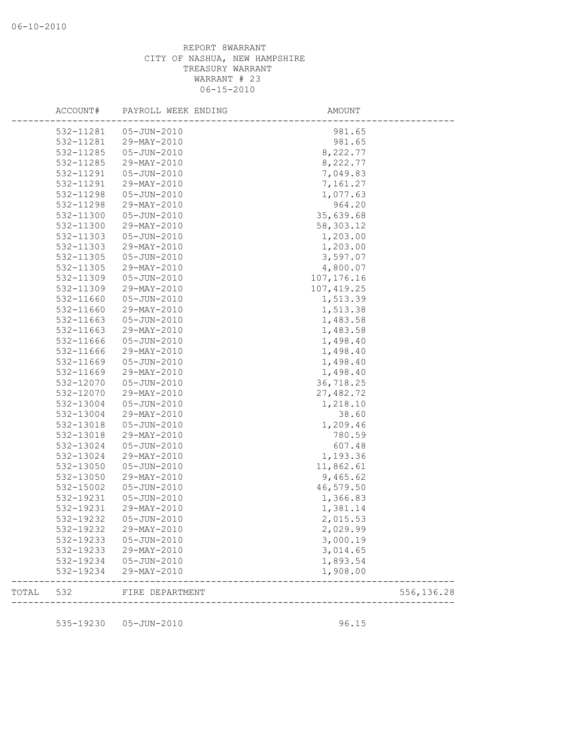|       | ACCOUNT#  | PAYROLL WEEK ENDING | AMOUNT      |            |
|-------|-----------|---------------------|-------------|------------|
|       | 532-11281 | 05-JUN-2010         | 981.65      |            |
|       | 532-11281 | 29-MAY-2010         | 981.65      |            |
|       | 532-11285 | 05-JUN-2010         | 8,222.77    |            |
|       | 532-11285 | 29-MAY-2010         | 8,222.77    |            |
|       | 532-11291 | 05-JUN-2010         | 7,049.83    |            |
|       | 532-11291 | 29-MAY-2010         | 7,161.27    |            |
|       | 532-11298 | 05-JUN-2010         | 1,077.63    |            |
|       | 532-11298 | 29-MAY-2010         | 964.20      |            |
|       | 532-11300 | 05-JUN-2010         | 35,639.68   |            |
|       | 532-11300 | 29-MAY-2010         | 58,303.12   |            |
|       | 532-11303 | 05-JUN-2010         | 1,203.00    |            |
|       | 532-11303 | 29-MAY-2010         | 1,203.00    |            |
|       | 532-11305 | 05-JUN-2010         | 3,597.07    |            |
|       | 532-11305 | 29-MAY-2010         | 4,800.07    |            |
|       | 532-11309 | 05-JUN-2010         | 107, 176.16 |            |
|       | 532-11309 | 29-MAY-2010         | 107, 419.25 |            |
|       | 532-11660 | 05-JUN-2010         | 1,513.39    |            |
|       | 532-11660 | 29-MAY-2010         | 1,513.38    |            |
|       | 532-11663 | 05-JUN-2010         | 1,483.58    |            |
|       | 532-11663 | 29-MAY-2010         | 1,483.58    |            |
|       | 532-11666 | 05-JUN-2010         | 1,498.40    |            |
|       | 532-11666 | 29-MAY-2010         | 1,498.40    |            |
|       | 532-11669 | 05-JUN-2010         | 1,498.40    |            |
|       | 532-11669 | 29-MAY-2010         | 1,498.40    |            |
|       | 532-12070 | 05-JUN-2010         | 36,718.25   |            |
|       | 532-12070 | 29-MAY-2010         | 27,482.72   |            |
|       | 532-13004 | 05-JUN-2010         | 1,218.10    |            |
|       | 532-13004 | 29-MAY-2010         | 38.60       |            |
|       | 532-13018 | 05-JUN-2010         | 1,209.46    |            |
|       | 532-13018 | 29-MAY-2010         | 780.59      |            |
|       | 532-13024 | $05 - JUN - 2010$   | 607.48      |            |
|       | 532-13024 | 29-MAY-2010         | 1,193.36    |            |
|       | 532-13050 | 05-JUN-2010         | 11,862.61   |            |
|       | 532-13050 | 29-MAY-2010         | 9,465.62    |            |
|       | 532-15002 | 05-JUN-2010         | 46,579.50   |            |
|       | 532-19231 | 05-JUN-2010         | 1,366.83    |            |
|       | 532-19231 | 29-MAY-2010         | 1,381.14    |            |
|       | 532-19232 | 05-JUN-2010         | 2,015.53    |            |
|       | 532-19232 | 29-MAY-2010         | 2,029.99    |            |
|       | 532-19233 | 05-JUN-2010         | 3,000.19    |            |
|       | 532-19233 | 29-MAY-2010         | 3,014.65    |            |
|       | 532-19234 | 05-JUN-2010         | 1,893.54    |            |
|       | 532-19234 | 29-MAY-2010         | 1,908.00    |            |
| TOTAL | 532       | FIRE DEPARTMENT     |             | 556,136.28 |
|       |           |                     |             |            |
|       | 535-19230 | 05-JUN-2010         | 96.15       |            |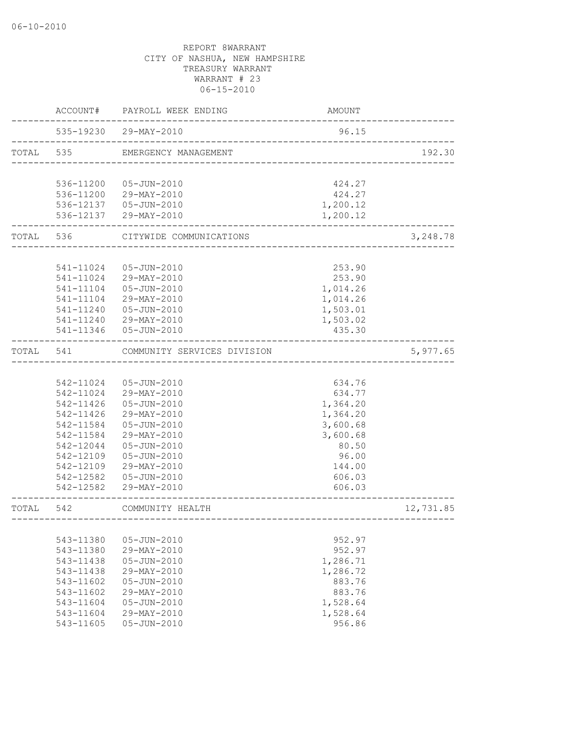|           |               | ACCOUNT# PAYROLL WEEK ENDING                                   | AMOUNT   |           |
|-----------|---------------|----------------------------------------------------------------|----------|-----------|
|           |               | 535-19230 29-MAY-2010<br>------------------------------------- | 96.15    |           |
|           |               | TOTAL 535 EMERGENCY MANAGEMENT                                 |          | 192.30    |
|           |               |                                                                |          |           |
|           |               | 536-11200  05-JUN-2010                                         | 424.27   |           |
|           |               | 536-11200 29-MAY-2010                                          | 424.27   |           |
|           |               | 536-12137  05-JUN-2010                                         | 1,200.12 |           |
|           |               | 536-12137 29-MAY-2010                                          | 1,200.12 |           |
|           |               | TOTAL 536 CITYWIDE COMMUNICATIONS                              |          | 3,248.78  |
|           |               |                                                                |          |           |
|           | 541-11024     | 05-JUN-2010                                                    | 253.90   |           |
|           |               | 541-11024 29-MAY-2010                                          | 253.90   |           |
|           | 541-11104     | 05-JUN-2010                                                    | 1,014.26 |           |
|           | 541-11104     | 29-MAY-2010                                                    | 1,014.26 |           |
|           |               | 541-11240  05-JUN-2010                                         | 1,503.01 |           |
|           |               | 541-11240 29-MAY-2010                                          | 1,503.02 |           |
|           |               | 541-11346  05-JUN-2010                                         | 435.30   |           |
| TOTAL 541 |               | COMMUNITY SERVICES DIVISION                                    |          | 5,977.65  |
|           |               |                                                                |          |           |
|           |               | 542-11024  05-JUN-2010                                         | 634.76   |           |
|           |               | 542-11024 29-MAY-2010                                          | 634.77   |           |
|           |               | 542-11426  05-JUN-2010                                         | 1,364.20 |           |
|           |               | 542-11426 29-MAY-2010                                          | 1,364.20 |           |
|           |               | 542-11584  05-JUN-2010                                         | 3,600.68 |           |
|           |               | 542-11584 29-MAY-2010                                          | 3,600.68 |           |
|           | 542-12044     | 05-JUN-2010                                                    | 80.50    |           |
|           | 542-12109     | 05-JUN-2010                                                    | 96.00    |           |
|           | 542-12109     | 29-MAY-2010                                                    | 144.00   |           |
|           | 542-12582     | 05-JUN-2010                                                    | 606.03   |           |
|           |               | 542-12582 29-MAY-2010                                          | 606.03   |           |
| TOTAL     | 542           | COMMUNITY HEALTH                                               |          | 12,731.85 |
|           |               |                                                                |          |           |
|           | 543-11380     | $05 - JUN - 2010$                                              | 952.97   |           |
|           | 543-11380     | 29-MAY-2010                                                    | 952.97   |           |
|           | 543-11438     | $05 - JUN - 2010$                                              | 1,286.71 |           |
|           | 543-11438     | 29-MAY-2010                                                    | 1,286.72 |           |
|           | 543-11602     | $05 - JUN - 2010$                                              | 883.76   |           |
|           | $543 - 11602$ | 29-MAY-2010                                                    | 883.76   |           |
|           | $543 - 11604$ | $05 - JUN - 2010$                                              | 1,528.64 |           |
|           | $543 - 11604$ | 29-MAY-2010                                                    | 1,528.64 |           |
|           | 543-11605     | $05 - JUN - 2010$                                              | 956.86   |           |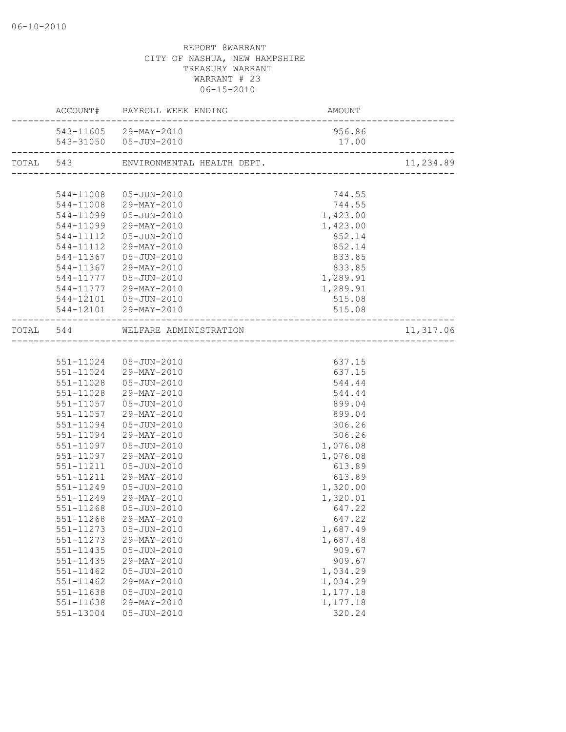|           | ACCOUNT# PAYROLL WEEK ENDING         | AMOUNT   |           |
|-----------|--------------------------------------|----------|-----------|
|           | 543-11605 29-MAY-2010                | 956.86   |           |
|           | 543-31050 05-JUN-2010                | 17.00    |           |
|           | TOTAL 543 ENVIRONMENTAL HEALTH DEPT. |          | 11,234.89 |
|           |                                      |          |           |
|           | 544-11008  05-JUN-2010               | 744.55   |           |
|           | 544-11008 29-MAY-2010                | 744.55   |           |
|           | 544-11099  05-JUN-2010               | 1,423.00 |           |
|           | 544-11099 29-MAY-2010                | 1,423.00 |           |
|           | 544-11112  05-JUN-2010               | 852.14   |           |
|           | 544-11112 29-MAY-2010                | 852.14   |           |
|           | 544-11367  05-JUN-2010               | 833.85   |           |
|           | 544-11367 29-MAY-2010                | 833.85   |           |
|           | 544-11777  05-JUN-2010               | 1,289.91 |           |
|           | 544-11777 29-MAY-2010                | 1,289.91 |           |
|           | 544-12101  05-JUN-2010               | 515.08   |           |
|           | 544-12101 29-MAY-2010                | 515.08   |           |
|           | TOTAL 544 WELFARE ADMINISTRATION     |          | 11,317.06 |
|           |                                      |          |           |
|           |                                      |          |           |
|           | 551-11024  05-JUN-2010               | 637.15   |           |
|           | 551-11024 29-MAY-2010                | 637.15   |           |
|           | 551-11028  05-JUN-2010               | 544.44   |           |
| 551-11028 | 29-MAY-2010                          | 544.44   |           |
|           | 551-11057  05-JUN-2010               | 899.04   |           |
|           | 551-11057 29-MAY-2010                | 899.04   |           |
| 551-11094 | 05-JUN-2010                          | 306.26   |           |
|           | 551-11094 29-MAY-2010                | 306.26   |           |
|           | 551-11097  05-JUN-2010               | 1,076.08 |           |
| 551-11097 | 29-MAY-2010                          | 1,076.08 |           |
| 551-11211 | 05-JUN-2010                          | 613.89   |           |
| 551-11211 | 29-MAY-2010                          | 613.89   |           |
| 551-11249 | 05-JUN-2010                          | 1,320.00 |           |
| 551-11249 | 29-MAY-2010                          | 1,320.01 |           |
| 551-11268 | 05-JUN-2010                          | 647.22   |           |
| 551-11268 | 29-MAY-2010                          | 647.22   |           |
| 551-11273 | $05 - JUN - 2010$                    | 1,687.49 |           |
| 551-11273 | 29-MAY-2010                          | 1,687.48 |           |
| 551-11435 | $05 - JUN - 2010$                    | 909.67   |           |
| 551-11435 | 29-MAY-2010                          | 909.67   |           |
| 551-11462 | $05 - JUN - 2010$                    | 1,034.29 |           |
| 551-11462 | 29-MAY-2010                          | 1,034.29 |           |
| 551-11638 | $05 - JUN - 2010$                    | 1,177.18 |           |
| 551-11638 | 29-MAY-2010                          | 1,177.18 |           |
| 551-13004 | $05 - JUN - 2010$                    | 320.24   |           |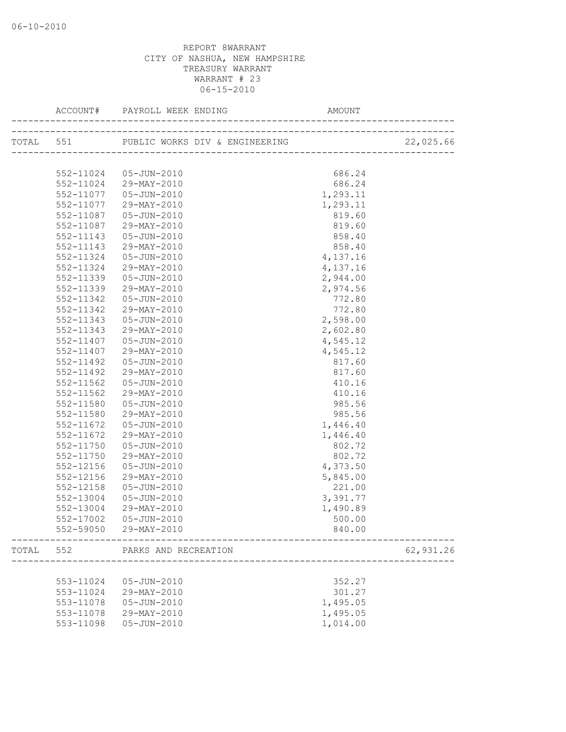|       |                        | ACCOUNT# PAYROLL WEEK ENDING                  |          |           |
|-------|------------------------|-----------------------------------------------|----------|-----------|
|       |                        |                                               |          |           |
|       |                        |                                               |          |           |
|       | 552-11024              | 05-JUN-2010                                   | 686.24   |           |
|       | 552-11024              | 29-MAY-2010                                   | 686.24   |           |
|       | 552-11077              | 05-JUN-2010                                   | 1,293.11 |           |
|       | 552-11077              | 29-MAY-2010                                   | 1,293.11 |           |
|       | 552-11087              | 05-JUN-2010                                   | 819.60   |           |
|       | 552-11087              | 29-MAY-2010                                   | 819.60   |           |
|       | 552-11143              | 05-JUN-2010                                   | 858.40   |           |
|       | 552-11143              | 29-MAY-2010                                   | 858.40   |           |
|       | 552-11324              | 05-JUN-2010                                   | 4,137.16 |           |
|       | 552-11324              | 29-MAY-2010                                   | 4,137.16 |           |
|       | 552-11339              | 05-JUN-2010                                   | 2,944.00 |           |
|       | 552-11339              | 29-MAY-2010                                   | 2,974.56 |           |
|       | 552-11342              | 05-JUN-2010                                   | 772.80   |           |
|       | 552-11342              | 29-MAY-2010                                   | 772.80   |           |
|       | 552-11343              | 05-JUN-2010                                   | 2,598.00 |           |
|       | 552-11343              | 29-MAY-2010                                   | 2,602.80 |           |
|       | 552-11407              | 05-JUN-2010                                   | 4,545.12 |           |
|       | 552-11407              | 29-MAY-2010                                   | 4,545.12 |           |
|       | 552-11492              | 05-JUN-2010                                   | 817.60   |           |
|       | 552-11492              | 29-MAY-2010                                   | 817.60   |           |
|       |                        | 05-JUN-2010                                   | 410.16   |           |
|       | 552-11562<br>552-11562 | 29-MAY-2010                                   | 410.16   |           |
|       |                        |                                               |          |           |
|       | 552-11580              | 05-JUN-2010                                   | 985.56   |           |
|       | 552-11580              | 29-MAY-2010                                   | 985.56   |           |
|       | 552-11672              | 05-JUN-2010                                   | 1,446.40 |           |
|       | 552-11672              | 29-MAY-2010                                   | 1,446.40 |           |
|       | 552-11750              | 05-JUN-2010                                   | 802.72   |           |
|       | 552-11750              | 29-MAY-2010                                   | 802.72   |           |
|       | 552-12156              | 05-JUN-2010                                   | 4,373.50 |           |
|       | 552-12156              | 29-MAY-2010                                   | 5,845.00 |           |
|       | 552-12158              | 05-JUN-2010                                   | 221.00   |           |
|       | 552-13004              | 05-JUN-2010                                   | 3,391.77 |           |
|       | 552-13004              | 29-MAY-2010                                   | 1,490.89 |           |
|       |                        | 552-17002  05-JUN-2010                        | 500.00   |           |
|       |                        | 552-59050 29-MAY-2010<br>____________________ | 840.00   |           |
| TOTAL | 552                    | PARKS AND RECREATION                          |          | 62,931.26 |
|       |                        |                                               |          |           |
|       | 553-11024              | 05-JUN-2010                                   | 352.27   |           |
|       | 553-11024              | 29-MAY-2010                                   | 301.27   |           |
|       | 553-11078              | 05-JUN-2010                                   | 1,495.05 |           |
|       | 553-11078              | 29-MAY-2010                                   | 1,495.05 |           |
|       | 553-11098              | $05 - JUN - 2010$                             | 1,014.00 |           |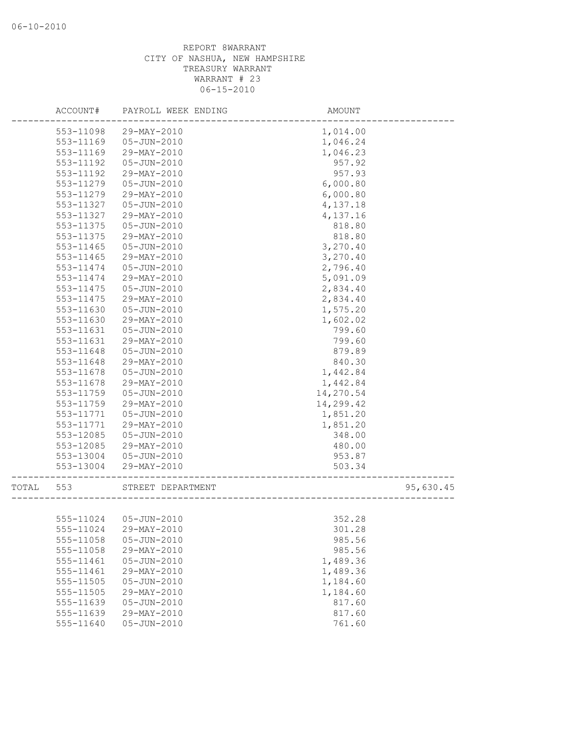|       | ACCOUNT#  | PAYROLL WEEK ENDING    | AMOUNT    |           |
|-------|-----------|------------------------|-----------|-----------|
|       | 553-11098 | 29-MAY-2010            | 1,014.00  |           |
|       | 553-11169 | $05 - JUN - 2010$      | 1,046.24  |           |
|       | 553-11169 | 29-MAY-2010            | 1,046.23  |           |
|       | 553-11192 | 05-JUN-2010            | 957.92    |           |
|       | 553-11192 | 29-MAY-2010            | 957.93    |           |
|       | 553-11279 | 05-JUN-2010            | 6,000.80  |           |
|       | 553-11279 | 29-MAY-2010            | 6,000.80  |           |
|       | 553-11327 | 05-JUN-2010            | 4,137.18  |           |
|       | 553-11327 | 29-MAY-2010            | 4,137.16  |           |
|       | 553-11375 | $05 - JUN - 2010$      | 818.80    |           |
|       | 553-11375 | 29-MAY-2010            | 818.80    |           |
|       | 553-11465 | 05-JUN-2010            | 3,270.40  |           |
|       | 553-11465 | 29-MAY-2010            | 3,270.40  |           |
|       | 553-11474 | 05-JUN-2010            | 2,796.40  |           |
|       | 553-11474 | 29-MAY-2010            | 5,091.09  |           |
|       | 553-11475 | $05 - JUN - 2010$      | 2,834.40  |           |
|       | 553-11475 | 29-MAY-2010            | 2,834.40  |           |
|       | 553-11630 | $05 - JUN - 2010$      | 1,575.20  |           |
|       | 553-11630 | 29-MAY-2010            | 1,602.02  |           |
|       | 553-11631 | 05-JUN-2010            | 799.60    |           |
|       | 553-11631 | 29-MAY-2010            | 799.60    |           |
|       | 553-11648 | 05-JUN-2010            | 879.89    |           |
|       | 553-11648 | 29-MAY-2010            | 840.30    |           |
|       | 553-11678 | 05-JUN-2010            | 1,442.84  |           |
|       | 553-11678 | 29-MAY-2010            | 1,442.84  |           |
|       | 553-11759 | 05-JUN-2010            | 14,270.54 |           |
|       | 553-11759 | 29-MAY-2010            | 14,299.42 |           |
|       | 553-11771 | $05 - JUN - 2010$      | 1,851.20  |           |
|       | 553-11771 | 29-MAY-2010            | 1,851.20  |           |
|       | 553-12085 | 05-JUN-2010            | 348.00    |           |
|       | 553-12085 | 29-MAY-2010            | 480.00    |           |
|       | 553-13004 | 05-JUN-2010            | 953.87    |           |
|       | 553-13004 | 29-MAY-2010            | 503.34    |           |
| TOTAL | 553       | STREET DEPARTMENT      |           | 95,630.45 |
|       |           |                        |           |           |
|       |           | 555-11024  05-JUN-2010 | 352.28    |           |
|       | 555-11024 | 29-MAY-2010            | 301.28    |           |
|       | 555-11058 | $05 - JUN - 2010$      | 985.56    |           |
|       | 555-11058 | 29-MAY-2010            | 985.56    |           |
|       | 555-11461 | $05 - JUN - 2010$      | 1,489.36  |           |
|       | 555-11461 | 29-MAY-2010            | 1,489.36  |           |
|       | 555-11505 | $05 - JUN - 2010$      | 1,184.60  |           |
|       | 555-11505 | 29-MAY-2010            | 1,184.60  |           |
|       | 555-11639 | $05 - JUN - 2010$      | 817.60    |           |
|       | 555-11639 | 29-MAY-2010            | 817.60    |           |
|       | 555-11640 | $05 - JUN - 2010$      | 761.60    |           |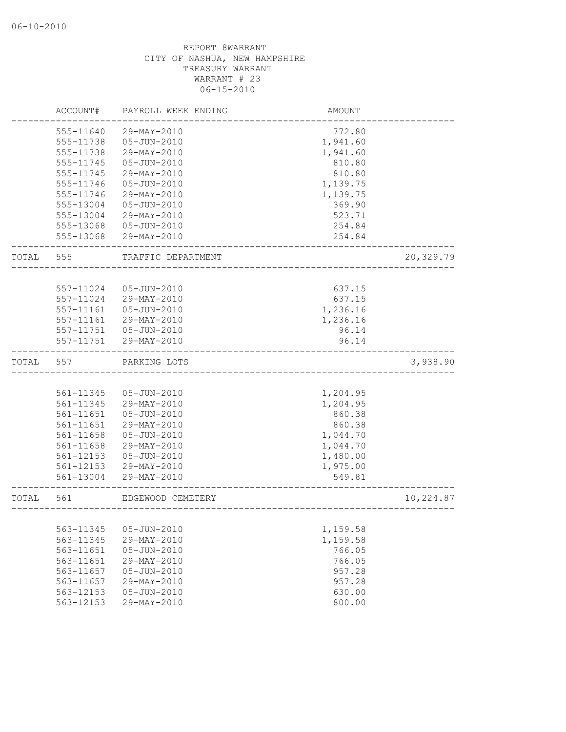|       | ACCOUNT#  | PAYROLL WEEK ENDING | AMOUNT                |           |
|-------|-----------|---------------------|-----------------------|-----------|
|       | 555-11640 | 29-MAY-2010         | 772.80                |           |
|       | 555-11738 | $05 - JUN - 2010$   | 1,941.60              |           |
|       | 555-11738 | 29-MAY-2010         | 1,941.60              |           |
|       | 555-11745 | $05 - JUN - 2010$   | 810.80                |           |
|       | 555-11745 | 29-MAY-2010         | 810.80                |           |
|       | 555-11746 | $05 - JUN - 2010$   | 1,139.75              |           |
|       | 555-11746 | 29-MAY-2010         | 1,139.75              |           |
|       | 555-13004 | $05 - JUN - 2010$   | 369.90                |           |
|       | 555-13004 | 29-MAY-2010         | 523.71                |           |
|       | 555-13068 | 05-JUN-2010         | 254.84                |           |
|       | 555-13068 | 29-MAY-2010         | 254.84                |           |
| TOTAL | 555       | TRAFFIC DEPARTMENT  |                       | 20,329.79 |
|       |           |                     |                       |           |
|       | 557-11024 | 05-JUN-2010         | 637.15                |           |
|       | 557-11024 | 29-MAY-2010         | 637.15                |           |
|       | 557-11161 | $05 - JUN - 2010$   | 1,236.16              |           |
|       | 557-11161 | 29-MAY-2010         | 1,236.16              |           |
|       | 557-11751 | 05-JUN-2010         | 96.14                 |           |
|       | 557-11751 | 29-MAY-2010         | 96.14                 |           |
| TOTAL | 557       | PARKING LOTS        |                       | 3,938.90  |
|       |           |                     |                       |           |
|       | 561-11345 | $05 - JUN - 2010$   | 1,204.95              |           |
|       | 561-11345 | 29-MAY-2010         | 1,204.95              |           |
|       | 561-11651 | 05-JUN-2010         | 860.38                |           |
|       | 561-11651 | 29-MAY-2010         | 860.38                |           |
|       | 561-11658 | $05 - JUN - 2010$   | 1,044.70              |           |
|       | 561-11658 | 29-MAY-2010         | 1,044.70              |           |
|       | 561-12153 | $05 - JUN - 2010$   | 1,480.00              |           |
|       | 561-12153 | 29-MAY-2010         | 1,975.00              |           |
|       | 561-13004 | 29-MAY-2010         | 549.81                |           |
| TOTAL | 561       | EDGEWOOD CEMETERY   |                       | 10,224.87 |
|       |           |                     | --------------------- |           |
|       | 563-11345 | $05 - JUN - 2010$   | 1,159.58              |           |
|       | 563-11345 | 29-MAY-2010         | 1,159.58              |           |
|       | 563-11651 | $05 - JUN - 2010$   | 766.05                |           |
|       | 563-11651 | 29-MAY-2010         | 766.05                |           |
|       | 563-11657 | $05 - JUN - 2010$   | 957.28                |           |
|       | 563-11657 | 29-MAY-2010         | 957.28                |           |
|       | 563-12153 | $05 - JUN - 2010$   | 630.00                |           |
|       | 563-12153 | 29-MAY-2010         | 800.00                |           |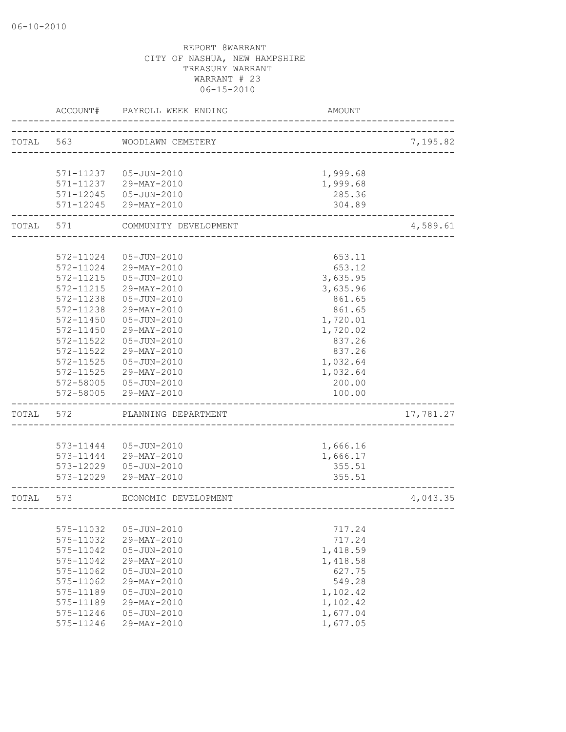|       | ACCOUNT#      | PAYROLL WEEK ENDING   | AMOUNT   |           |
|-------|---------------|-----------------------|----------|-----------|
| TOTAL | 563           | WOODLAWN CEMETERY     |          | 7,195.82  |
|       |               |                       |          |           |
|       | 571-11237     | 05-JUN-2010           | 1,999.68 |           |
|       | 571-11237     | 29-MAY-2010           | 1,999.68 |           |
|       | $571 - 12045$ | 05-JUN-2010           | 285.36   |           |
|       | 571-12045     | 29-MAY-2010           | 304.89   |           |
| TOTAL | 571           | COMMUNITY DEVELOPMENT |          | 4,589.61  |
|       |               |                       |          |           |
|       | 572-11024     | 05-JUN-2010           | 653.11   |           |
|       | 572-11024     | 29-MAY-2010           | 653.12   |           |
|       | 572-11215     | 05-JUN-2010           | 3,635.95 |           |
|       | 572-11215     | 29-MAY-2010           | 3,635.96 |           |
|       | 572-11238     | $05 - JUN - 2010$     | 861.65   |           |
|       | 572-11238     | 29-MAY-2010           | 861.65   |           |
|       | $572 - 11450$ | $05 - JUN - 2010$     | 1,720.01 |           |
|       | 572-11450     | $29-MAY-2010$         | 1,720.02 |           |
|       | $572 - 11522$ | 05-JUN-2010           | 837.26   |           |
|       | 572-11522     | 29-MAY-2010           | 837.26   |           |
|       | 572-11525     | 05-JUN-2010           | 1,032.64 |           |
|       | 572-11525     | 29-MAY-2010           | 1,032.64 |           |
|       | 572-58005     | 05-JUN-2010           | 200.00   |           |
|       | 572-58005     | 29-MAY-2010           | 100.00   |           |
| TOTAL | 572           | PLANNING DEPARTMENT   |          | 17,781.27 |
|       |               |                       |          |           |
|       | 573-11444     | 05-JUN-2010           | 1,666.16 |           |
|       | 573-11444     | 29-MAY-2010           | 1,666.17 |           |
|       | 573-12029     | 05-JUN-2010           | 355.51   |           |
|       | 573-12029     | 29-MAY-2010           | 355.51   |           |
| TOTAL | 573           | ECONOMIC DEVELOPMENT  |          | 4,043.35  |
|       |               |                       |          |           |
|       | 575-11032     | $05 - JUN - 2010$     | 717.24   |           |
|       | 575-11032     | 29-MAY-2010           | 717.24   |           |
|       | 575-11042     | $05 - JUN - 2010$     | 1,418.59 |           |
|       | 575-11042     | 29-MAY-2010           | 1,418.58 |           |
|       | 575-11062     | $05 - JUN - 2010$     | 627.75   |           |
|       | 575-11062     | 29-MAY-2010           | 549.28   |           |
|       | 575-11189     | $05 - JUN - 2010$     | 1,102.42 |           |
|       | 575-11189     | 29-MAY-2010           | 1,102.42 |           |
|       | 575-11246     | $05 - JUN - 2010$     | 1,677.04 |           |
|       | 575-11246     | 29-MAY-2010           | 1,677.05 |           |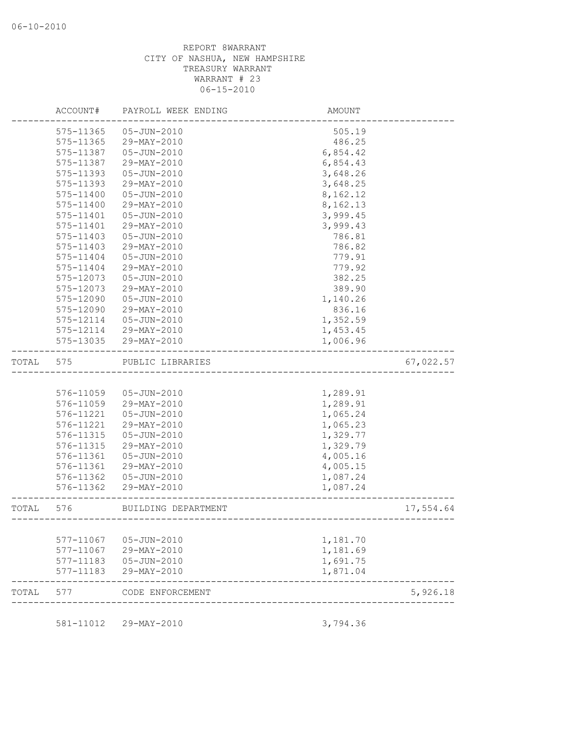|       | ACCOUNT#  | PAYROLL WEEK ENDING | AMOUNT   |           |
|-------|-----------|---------------------|----------|-----------|
|       | 575-11365 | 05-JUN-2010         | 505.19   |           |
|       | 575-11365 | 29-MAY-2010         | 486.25   |           |
|       | 575-11387 | 05-JUN-2010         | 6,854.42 |           |
|       | 575-11387 | 29-MAY-2010         | 6,854.43 |           |
|       | 575-11393 | 05-JUN-2010         | 3,648.26 |           |
|       | 575-11393 | 29-MAY-2010         | 3,648.25 |           |
|       | 575-11400 | 05-JUN-2010         | 8,162.12 |           |
|       | 575-11400 | 29-MAY-2010         | 8,162.13 |           |
|       | 575-11401 | $05 - JUN - 2010$   | 3,999.45 |           |
|       | 575-11401 | 29-MAY-2010         | 3,999.43 |           |
|       | 575-11403 | $05 - JUN - 2010$   | 786.81   |           |
|       | 575-11403 | 29-MAY-2010         | 786.82   |           |
|       | 575-11404 | 05-JUN-2010         | 779.91   |           |
|       | 575-11404 | 29-MAY-2010         | 779.92   |           |
|       | 575-12073 | 05-JUN-2010         | 382.25   |           |
|       | 575-12073 | 29-MAY-2010         | 389.90   |           |
|       | 575-12090 | 05-JUN-2010         | 1,140.26 |           |
|       | 575-12090 | 29-MAY-2010         | 836.16   |           |
|       | 575-12114 | $05 - JUN - 2010$   | 1,352.59 |           |
|       | 575-12114 | 29-MAY-2010         | 1,453.45 |           |
|       | 575-13035 | 29-MAY-2010         | 1,006.96 |           |
| TOTAL | 575       | PUBLIC LIBRARIES    |          | 67,022.57 |
|       |           |                     |          |           |
|       | 576-11059 | 05-JUN-2010         | 1,289.91 |           |
|       | 576-11059 | 29-MAY-2010         | 1,289.91 |           |
|       | 576-11221 | 05-JUN-2010         | 1,065.24 |           |
|       | 576-11221 | 29-MAY-2010         | 1,065.23 |           |
|       | 576-11315 | 05-JUN-2010         | 1,329.77 |           |
|       | 576-11315 | 29-MAY-2010         | 1,329.79 |           |
|       | 576-11361 | 05-JUN-2010         | 4,005.16 |           |
|       | 576-11361 | 29-MAY-2010         | 4,005.15 |           |
|       | 576-11362 | 05-JUN-2010         | 1,087.24 |           |
|       | 576-11362 | 29-MAY-2010         | 1,087.24 |           |
| TOTAL | 576       | BUILDING DEPARTMENT |          | 17,554.64 |
|       |           |                     |          |           |
|       | 577-11067 | $05 - JUN - 2010$   | 1,181.70 |           |
|       | 577-11067 | 29-MAY-2010         | 1,181.69 |           |
|       | 577-11183 | $05 - JUN - 2010$   | 1,691.75 |           |
|       | 577-11183 | 29-MAY-2010         | 1,871.04 |           |
| TOTAL | 577       | CODE ENFORCEMENT    |          | 5,926.18  |
|       |           |                     |          |           |
|       | 581-11012 | 29-MAY-2010         | 3,794.36 |           |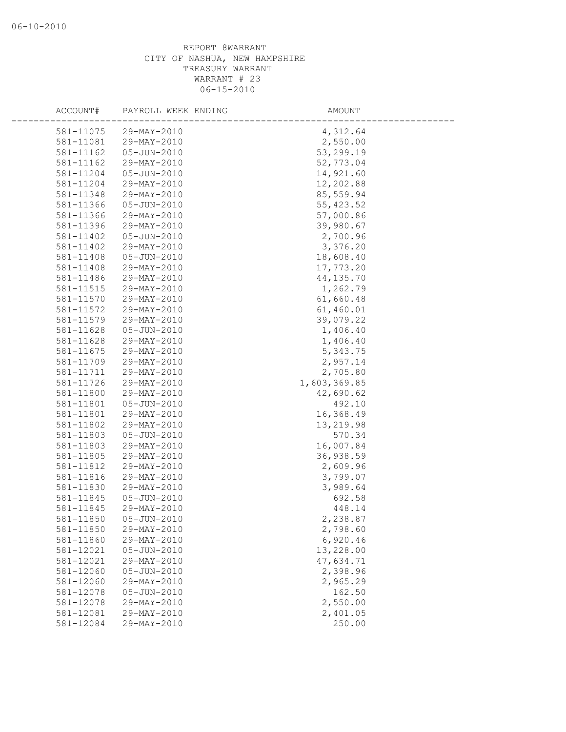| ACCOUNT#  | PAYROLL WEEK ENDING | AMOUNT       |  |
|-----------|---------------------|--------------|--|
| 581-11075 | 29-MAY-2010         | 4,312.64     |  |
| 581-11081 | 29-MAY-2010         | 2,550.00     |  |
| 581-11162 | 05-JUN-2010         | 53,299.19    |  |
| 581-11162 | 29-MAY-2010         | 52,773.04    |  |
| 581-11204 | 05-JUN-2010         | 14,921.60    |  |
| 581-11204 | 29-MAY-2010         | 12,202.88    |  |
| 581-11348 | 29-MAY-2010         | 85,559.94    |  |
| 581-11366 | 05-JUN-2010         | 55, 423.52   |  |
| 581-11366 | 29-MAY-2010         | 57,000.86    |  |
| 581-11396 | 29-MAY-2010         | 39,980.67    |  |
| 581-11402 | 05-JUN-2010         | 2,700.96     |  |
| 581-11402 | 29-MAY-2010         | 3,376.20     |  |
| 581-11408 | 05-JUN-2010         | 18,608.40    |  |
| 581-11408 | 29-MAY-2010         | 17,773.20    |  |
| 581-11486 | 29-MAY-2010         | 44, 135.70   |  |
| 581-11515 | 29-MAY-2010         | 1,262.79     |  |
| 581-11570 | 29-MAY-2010         | 61,660.48    |  |
| 581-11572 | 29-MAY-2010         | 61,460.01    |  |
| 581-11579 | 29-MAY-2010         | 39,079.22    |  |
| 581-11628 | 05-JUN-2010         | 1,406.40     |  |
| 581-11628 | 29-MAY-2010         | 1,406.40     |  |
| 581-11675 | 29-MAY-2010         | 5, 343.75    |  |
| 581-11709 | 29-MAY-2010         | 2,957.14     |  |
| 581-11711 | 29-MAY-2010         | 2,705.80     |  |
| 581-11726 | 29-MAY-2010         | 1,603,369.85 |  |
| 581-11800 | 29-MAY-2010         | 42,690.62    |  |
| 581-11801 | 05-JUN-2010         | 492.10       |  |
| 581-11801 | 29-MAY-2010         | 16,368.49    |  |
| 581-11802 | 29-MAY-2010         | 13,219.98    |  |
| 581-11803 | 05-JUN-2010         | 570.34       |  |
| 581-11803 | 29-MAY-2010         | 16,007.84    |  |
| 581-11805 | 29-MAY-2010         | 36,938.59    |  |
| 581-11812 | 29-MAY-2010         | 2,609.96     |  |
| 581-11816 | 29-MAY-2010         | 3,799.07     |  |
| 581-11830 | 29-MAY-2010         | 3,989.64     |  |
| 581-11845 | 05-JUN-2010         | 692.58       |  |
| 581-11845 | 29-MAY-2010         | 448.14       |  |
| 581-11850 | $05 - JUN - 2010$   | 2,238.87     |  |
| 581-11850 | 29-MAY-2010         | 2,798.60     |  |
| 581-11860 | 29-MAY-2010         | 6,920.46     |  |
| 581-12021 | $05 - JUN - 2010$   | 13,228.00    |  |
| 581-12021 | 29-MAY-2010         | 47,634.71    |  |
| 581-12060 | 05-JUN-2010         | 2,398.96     |  |
| 581-12060 | 29-MAY-2010         | 2,965.29     |  |
| 581-12078 | $05 - JUN - 2010$   | 162.50       |  |
| 581-12078 | 29-MAY-2010         | 2,550.00     |  |
| 581-12081 | 29-MAY-2010         | 2,401.05     |  |
| 581-12084 | 29-MAY-2010         | 250.00       |  |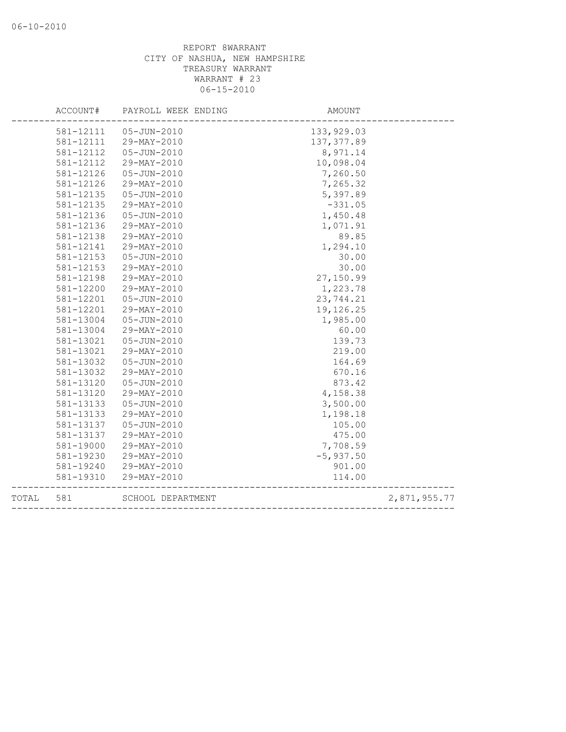|       | ACCOUNT#  | PAYROLL WEEK ENDING | AMOUNT      |              |
|-------|-----------|---------------------|-------------|--------------|
|       | 581-12111 | 05-JUN-2010         | 133, 929.03 |              |
|       | 581-12111 | 29-MAY-2010         | 137, 377.89 |              |
|       | 581-12112 | 05-JUN-2010         | 8,971.14    |              |
|       | 581-12112 | 29-MAY-2010         | 10,098.04   |              |
|       | 581-12126 | 05-JUN-2010         | 7,260.50    |              |
|       | 581-12126 | 29-MAY-2010         | 7,265.32    |              |
|       | 581-12135 | 05-JUN-2010         | 5,397.89    |              |
|       | 581-12135 | 29-MAY-2010         | $-331.05$   |              |
|       | 581-12136 | 05-JUN-2010         | 1,450.48    |              |
|       | 581-12136 | 29-MAY-2010         | 1,071.91    |              |
|       | 581-12138 | 29-MAY-2010         | 89.85       |              |
|       | 581-12141 | 29-MAY-2010         | 1,294.10    |              |
|       | 581-12153 | 05-JUN-2010         | 30.00       |              |
|       | 581-12153 | 29-MAY-2010         | 30.00       |              |
|       | 581-12198 | 29-MAY-2010         | 27,150.99   |              |
|       | 581-12200 | 29-MAY-2010         | 1,223.78    |              |
|       | 581-12201 | 05-JUN-2010         | 23,744.21   |              |
|       | 581-12201 | 29-MAY-2010         | 19,126.25   |              |
|       | 581-13004 | 05-JUN-2010         | 1,985.00    |              |
|       | 581-13004 | 29-MAY-2010         | 60.00       |              |
|       | 581-13021 | 05-JUN-2010         | 139.73      |              |
|       | 581-13021 | 29-MAY-2010         | 219.00      |              |
|       | 581-13032 | 05-JUN-2010         | 164.69      |              |
|       | 581-13032 | 29-MAY-2010         | 670.16      |              |
|       | 581-13120 | 05-JUN-2010         | 873.42      |              |
|       | 581-13120 | 29-MAY-2010         | 4,158.38    |              |
|       | 581-13133 | 05-JUN-2010         | 3,500.00    |              |
|       | 581-13133 | 29-MAY-2010         | 1,198.18    |              |
|       | 581-13137 | 05-JUN-2010         | 105.00      |              |
|       | 581-13137 | 29-MAY-2010         | 475.00      |              |
|       | 581-19000 | 29-MAY-2010         | 7,708.59    |              |
|       | 581-19230 | 29-MAY-2010         | $-5,937.50$ |              |
|       | 581-19240 | 29-MAY-2010         | 901.00      |              |
|       | 581-19310 | 29-MAY-2010         | 114.00      |              |
| TOTAL | 581       | SCHOOL DEPARTMENT   |             | 2,871,955.77 |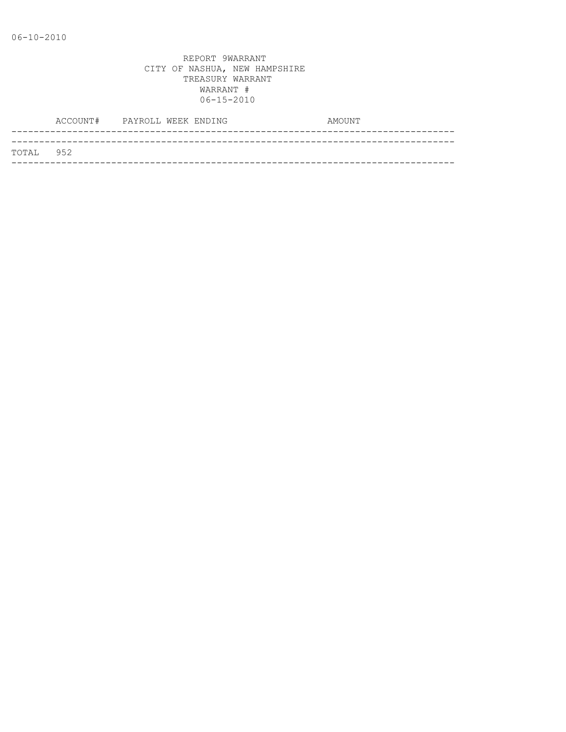|           | ACCOUNT# PAYROLL WEEK ENDING |  |  | AMOUNT |
|-----------|------------------------------|--|--|--------|
|           |                              |  |  |        |
| TOTAL 952 |                              |  |  |        |
|           |                              |  |  |        |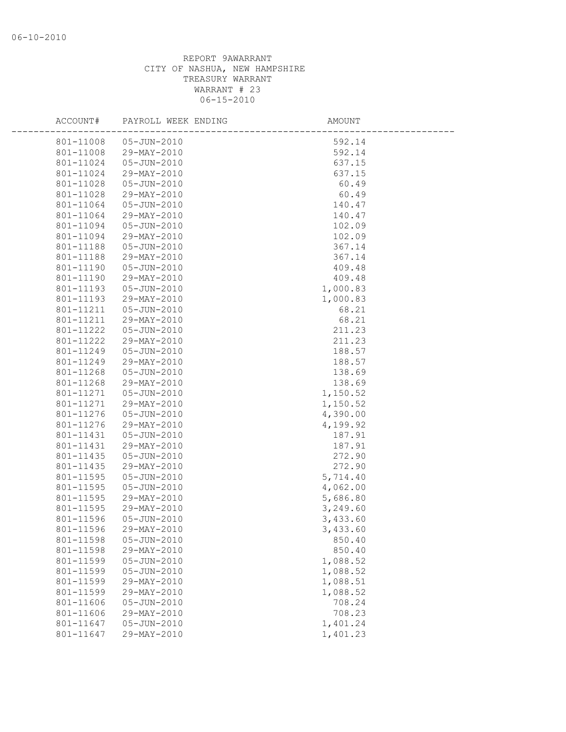| ACCOUNT#  | PAYROLL WEEK ENDING | AMOUNT   |
|-----------|---------------------|----------|
| 801-11008 | 05-JUN-2010         | 592.14   |
| 801-11008 | 29-MAY-2010         | 592.14   |
| 801-11024 | 05-JUN-2010         | 637.15   |
| 801-11024 | 29-MAY-2010         | 637.15   |
| 801-11028 | $05 - JUN - 2010$   | 60.49    |
| 801-11028 | 29-MAY-2010         | 60.49    |
| 801-11064 | $05 - JUN - 2010$   | 140.47   |
| 801-11064 | 29-MAY-2010         | 140.47   |
| 801-11094 | 05-JUN-2010         | 102.09   |
| 801-11094 | 29-MAY-2010         | 102.09   |
| 801-11188 | 05-JUN-2010         | 367.14   |
| 801-11188 | 29-MAY-2010         | 367.14   |
| 801-11190 | 05-JUN-2010         | 409.48   |
| 801-11190 | 29-MAY-2010         | 409.48   |
| 801-11193 | $05 - JUN - 2010$   | 1,000.83 |
| 801-11193 | 29-MAY-2010         | 1,000.83 |
| 801-11211 | $05 - JUN - 2010$   | 68.21    |
| 801-11211 | 29-MAY-2010         | 68.21    |
| 801-11222 | 05-JUN-2010         | 211.23   |
| 801-11222 | 29-MAY-2010         | 211.23   |
| 801-11249 | 05-JUN-2010         | 188.57   |
| 801-11249 | 29-MAY-2010         | 188.57   |
| 801-11268 | $05 - JUN - 2010$   | 138.69   |
| 801-11268 | 29-MAY-2010         | 138.69   |
| 801-11271 | 05-JUN-2010         | 1,150.52 |
| 801-11271 | 29-MAY-2010         | 1,150.52 |
| 801-11276 | 05-JUN-2010         | 4,390.00 |
| 801-11276 | 29-MAY-2010         | 4,199.92 |
| 801-11431 | $05 - JUN - 2010$   | 187.91   |
| 801-11431 | 29-MAY-2010         | 187.91   |
| 801-11435 | $05 - JUN - 2010$   | 272.90   |
| 801-11435 | 29-MAY-2010         | 272.90   |
| 801-11595 | $05 - JUN - 2010$   | 5,714.40 |
| 801-11595 | $05 - JUN - 2010$   | 4,062.00 |
| 801-11595 | 29-MAY-2010         | 5,686.80 |
| 801-11595 | 29-MAY-2010         | 3,249.60 |
| 801-11596 | $05 - JUN - 2010$   | 3,433.60 |
| 801-11596 | 29-MAY-2010         | 3,433.60 |
| 801-11598 | $05 - JUN - 2010$   | 850.40   |
| 801-11598 | 29-MAY-2010         | 850.40   |
| 801-11599 | $05 - JUN - 2010$   | 1,088.52 |
| 801-11599 | $05 - JUN - 2010$   | 1,088.52 |
| 801-11599 | 29-MAY-2010         | 1,088.51 |
| 801-11599 | 29-MAY-2010         | 1,088.52 |
| 801-11606 | $05 - JUN - 2010$   | 708.24   |
| 801-11606 | 29-MAY-2010         | 708.23   |
| 801-11647 | $05 - JUN - 2010$   | 1,401.24 |
| 801-11647 | 29-MAY-2010         | 1,401.23 |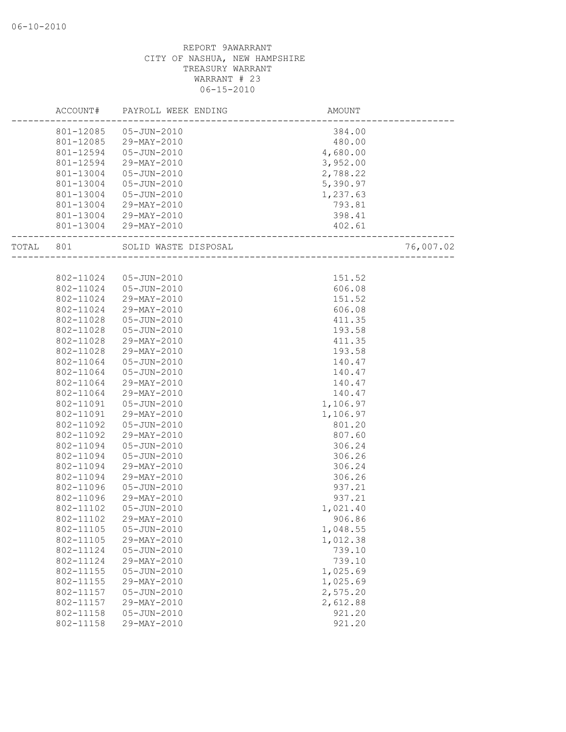|       | ACCOUNT#  | PAYROLL WEEK ENDING   | AMOUNT   |           |
|-------|-----------|-----------------------|----------|-----------|
|       | 801-12085 | 05-JUN-2010           | 384.00   |           |
|       | 801-12085 | 29-MAY-2010           | 480.00   |           |
|       | 801-12594 | 05-JUN-2010           | 4,680.00 |           |
|       | 801-12594 | 29-MAY-2010           | 3,952.00 |           |
|       | 801-13004 | 05-JUN-2010           | 2,788.22 |           |
|       | 801-13004 | 05-JUN-2010           | 5,390.97 |           |
|       | 801-13004 | $05 - JUN - 2010$     | 1,237.63 |           |
|       | 801-13004 | 29-MAY-2010           | 793.81   |           |
|       | 801-13004 | 29-MAY-2010           | 398.41   |           |
|       |           | 801-13004 29-MAY-2010 | 402.61   |           |
| TOTAL | 801       | SOLID WASTE DISPOSAL  |          | 76,007.02 |
|       |           |                       |          |           |
|       | 802-11024 | 05-JUN-2010           | 151.52   |           |
|       | 802-11024 | 05-JUN-2010           | 606.08   |           |
|       | 802-11024 | 29-MAY-2010           | 151.52   |           |
|       | 802-11024 | 29-MAY-2010           | 606.08   |           |
|       | 802-11028 | 05-JUN-2010           | 411.35   |           |
|       | 802-11028 | $05 - JUN - 2010$     | 193.58   |           |
|       | 802-11028 | 29-MAY-2010           | 411.35   |           |
|       | 802-11028 | 29-MAY-2010           | 193.58   |           |
|       | 802-11064 | 05-JUN-2010           | 140.47   |           |
|       | 802-11064 | $05 - JUN - 2010$     | 140.47   |           |
|       | 802-11064 | 29-MAY-2010           | 140.47   |           |
|       | 802-11064 | 29-MAY-2010           | 140.47   |           |
|       | 802-11091 | 05-JUN-2010           | 1,106.97 |           |
|       | 802-11091 | 29-MAY-2010           | 1,106.97 |           |
|       | 802-11092 | $05 - JUN - 2010$     | 801.20   |           |
|       | 802-11092 | 29-MAY-2010           | 807.60   |           |
|       | 802-11094 | 05-JUN-2010           | 306.24   |           |
|       | 802-11094 | 05-JUN-2010           | 306.26   |           |
|       | 802-11094 | 29-MAY-2010           | 306.24   |           |
|       | 802-11094 | 29-MAY-2010           | 306.26   |           |
|       | 802-11096 | 05-JUN-2010           | 937.21   |           |
|       | 802-11096 | 29-MAY-2010           | 937.21   |           |
|       | 802-11102 | $05 - JUN - 2010$     | 1,021.40 |           |
|       | 802-11102 | 29-MAY-2010           | 906.86   |           |
|       | 802-11105 | $05 - JUN - 2010$     | 1,048.55 |           |
|       | 802-11105 | 29-MAY-2010           | 1,012.38 |           |
|       | 802-11124 | 05-JUN-2010           | 739.10   |           |
|       | 802-11124 | 29-MAY-2010           | 739.10   |           |
|       | 802-11155 | $05 - JUN - 2010$     | 1,025.69 |           |
|       | 802-11155 | 29-MAY-2010           | 1,025.69 |           |
|       | 802-11157 | 05-JUN-2010           | 2,575.20 |           |
|       | 802-11157 | 29-MAY-2010           | 2,612.88 |           |
|       | 802-11158 | $05 - JUN - 2010$     | 921.20   |           |
|       | 802-11158 | 29-MAY-2010           | 921.20   |           |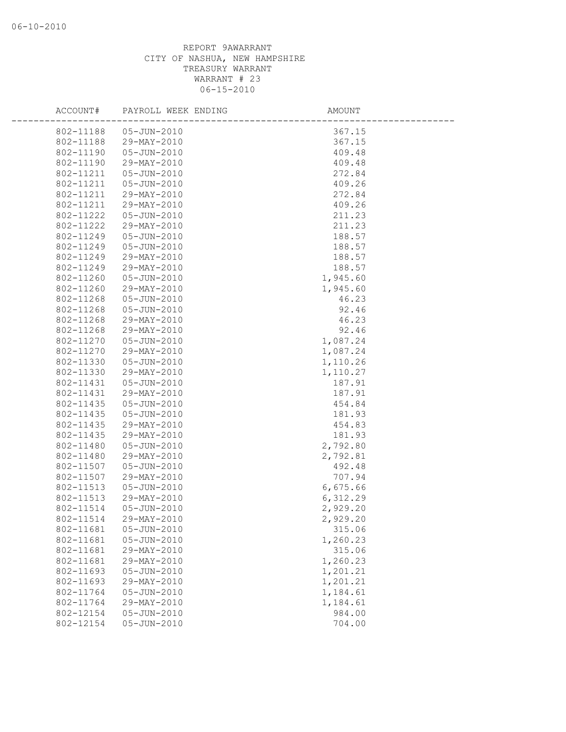| ACCOUNT#  | PAYROLL WEEK ENDING | AMOUNT   |  |
|-----------|---------------------|----------|--|
| 802-11188 | 05-JUN-2010         | 367.15   |  |
| 802-11188 | 29-MAY-2010         | 367.15   |  |
| 802-11190 | $05 - JUN - 2010$   | 409.48   |  |
| 802-11190 | 29-MAY-2010         | 409.48   |  |
| 802-11211 | 05-JUN-2010         | 272.84   |  |
| 802-11211 | $05 - JUN - 2010$   | 409.26   |  |
| 802-11211 | 29-MAY-2010         | 272.84   |  |
| 802-11211 | 29-MAY-2010         | 409.26   |  |
| 802-11222 | 05-JUN-2010         | 211.23   |  |
| 802-11222 | 29-MAY-2010         | 211.23   |  |
| 802-11249 | $05 - JUN - 2010$   | 188.57   |  |
| 802-11249 | $05 - JUN - 2010$   | 188.57   |  |
| 802-11249 | 29-MAY-2010         | 188.57   |  |
| 802-11249 | 29-MAY-2010         | 188.57   |  |
| 802-11260 | $05 - JUN - 2010$   | 1,945.60 |  |
| 802-11260 | 29-MAY-2010         | 1,945.60 |  |
| 802-11268 | $05 - JUN - 2010$   | 46.23    |  |
| 802-11268 | 05-JUN-2010         | 92.46    |  |
| 802-11268 | 29-MAY-2010         | 46.23    |  |
| 802-11268 | 29-MAY-2010         | 92.46    |  |
| 802-11270 | 05-JUN-2010         | 1,087.24 |  |
| 802-11270 | 29-MAY-2010         | 1,087.24 |  |
| 802-11330 | 05-JUN-2010         | 1,110.26 |  |
| 802-11330 | 29-MAY-2010         | 1,110.27 |  |
| 802-11431 | $05 - JUN - 2010$   | 187.91   |  |
| 802-11431 | 29-MAY-2010         | 187.91   |  |
| 802-11435 | 05-JUN-2010         | 454.84   |  |
| 802-11435 | 05-JUN-2010         | 181.93   |  |
| 802-11435 | 29-MAY-2010         | 454.83   |  |
| 802-11435 | 29-MAY-2010         | 181.93   |  |
| 802-11480 | $05 - JUN - 2010$   | 2,792.80 |  |
| 802-11480 | 29-MAY-2010         | 2,792.81 |  |
| 802-11507 | $05 - JUN - 2010$   | 492.48   |  |
| 802-11507 | 29-MAY-2010         | 707.94   |  |
| 802-11513 | $05 - JUN - 2010$   | 6,675.66 |  |
| 802-11513 | 29-MAY-2010         | 6,312.29 |  |
| 802-11514 | 05-JUN-2010         | 2,929.20 |  |
| 802-11514 | 29-MAY-2010         | 2,929.20 |  |
| 802-11681 | $05 - JUN - 2010$   | 315.06   |  |
| 802-11681 | $05 - JUN - 2010$   | 1,260.23 |  |
| 802-11681 | 29-MAY-2010         | 315.06   |  |
| 802-11681 | 29-MAY-2010         | 1,260.23 |  |
| 802-11693 | $05 - JUN - 2010$   | 1,201.21 |  |
| 802-11693 | 29-MAY-2010         | 1,201.21 |  |
| 802-11764 | $05 - JUN - 2010$   | 1,184.61 |  |
| 802-11764 | 29-MAY-2010         | 1,184.61 |  |
| 802-12154 | 05-JUN-2010         | 984.00   |  |
| 802-12154 | 05-JUN-2010         | 704.00   |  |